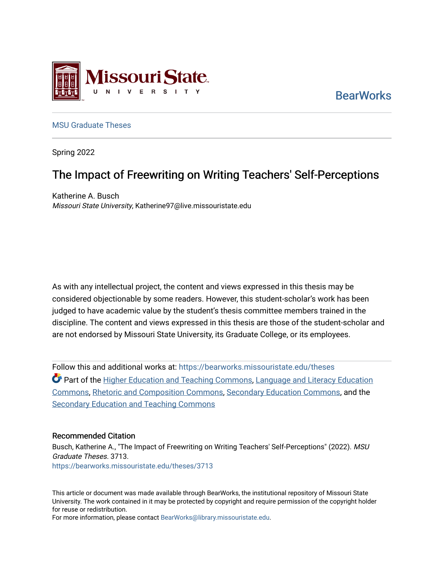

**BearWorks** 

## [MSU Graduate Theses](https://bearworks.missouristate.edu/theses)

Spring 2022

# The Impact of Freewriting on Writing Teachers' Self-Perceptions

Katherine A. Busch Missouri State University, Katherine97@live.missouristate.edu

As with any intellectual project, the content and views expressed in this thesis may be considered objectionable by some readers. However, this student-scholar's work has been judged to have academic value by the student's thesis committee members trained in the discipline. The content and views expressed in this thesis are those of the student-scholar and are not endorsed by Missouri State University, its Graduate College, or its employees.

Follow this and additional works at: [https://bearworks.missouristate.edu/theses](https://bearworks.missouristate.edu/theses?utm_source=bearworks.missouristate.edu%2Ftheses%2F3713&utm_medium=PDF&utm_campaign=PDFCoverPages)  **Part of the [Higher Education and Teaching Commons,](http://network.bepress.com/hgg/discipline/806?utm_source=bearworks.missouristate.edu%2Ftheses%2F3713&utm_medium=PDF&utm_campaign=PDFCoverPages) Language and Literacy Education** [Commons,](http://network.bepress.com/hgg/discipline/1380?utm_source=bearworks.missouristate.edu%2Ftheses%2F3713&utm_medium=PDF&utm_campaign=PDFCoverPages) [Rhetoric and Composition Commons,](http://network.bepress.com/hgg/discipline/573?utm_source=bearworks.missouristate.edu%2Ftheses%2F3713&utm_medium=PDF&utm_campaign=PDFCoverPages) [Secondary Education Commons](http://network.bepress.com/hgg/discipline/1382?utm_source=bearworks.missouristate.edu%2Ftheses%2F3713&utm_medium=PDF&utm_campaign=PDFCoverPages), and the [Secondary Education and Teaching Commons](http://network.bepress.com/hgg/discipline/809?utm_source=bearworks.missouristate.edu%2Ftheses%2F3713&utm_medium=PDF&utm_campaign=PDFCoverPages) 

#### Recommended Citation

Busch, Katherine A., "The Impact of Freewriting on Writing Teachers' Self-Perceptions" (2022). MSU Graduate Theses. 3713. [https://bearworks.missouristate.edu/theses/3713](https://bearworks.missouristate.edu/theses/3713?utm_source=bearworks.missouristate.edu%2Ftheses%2F3713&utm_medium=PDF&utm_campaign=PDFCoverPages) 

This article or document was made available through BearWorks, the institutional repository of Missouri State University. The work contained in it may be protected by copyright and require permission of the copyright holder for reuse or redistribution.

For more information, please contact [BearWorks@library.missouristate.edu.](mailto:BearWorks@library.missouristate.edu)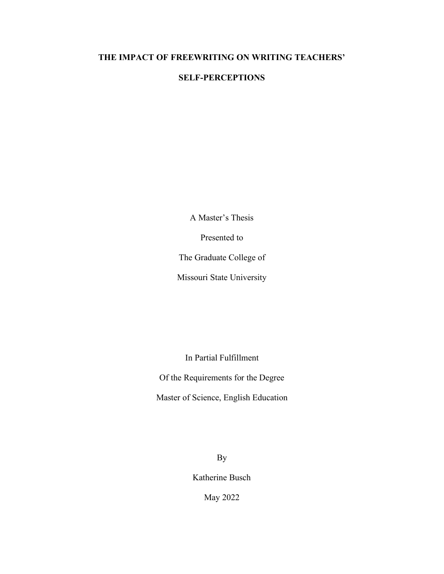## **THE IMPACT OF FREEWRITING ON WRITING TEACHERS'**

## **SELF-PERCEPTIONS**

A Master's Thesis

Presented to

The Graduate College of

Missouri State University

In Partial Fulfillment

Of the Requirements for the Degree

Master of Science, English Education

By

Katherine Busch

May 2022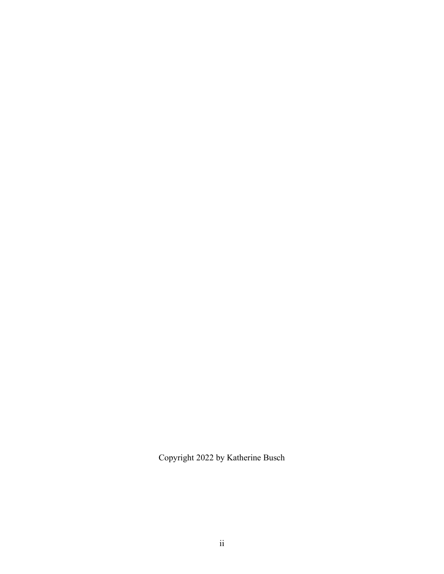Copyright 2022 by Katherine Busch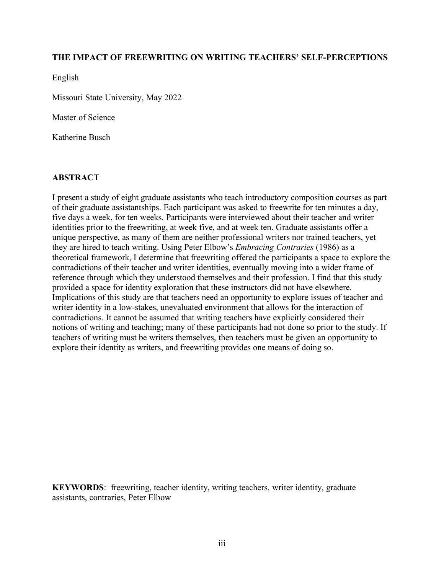## **THE IMPACT OF FREEWRITING ON WRITING TEACHERS' SELF-PERCEPTIONS**

English

Missouri State University, May 2022

Master of Science

Katherine Busch

## **ABSTRACT**

I present a study of eight graduate assistants who teach introductory composition courses as part of their graduate assistantships. Each participant was asked to freewrite for ten minutes a day, five days a week, for ten weeks. Participants were interviewed about their teacher and writer identities prior to the freewriting, at week five, and at week ten. Graduate assistants offer a unique perspective, as many of them are neither professional writers nor trained teachers, yet they are hired to teach writing. Using Peter Elbow's *Embracing Contraries* (1986) as a theoretical framework, I determine that freewriting offered the participants a space to explore the contradictions of their teacher and writer identities, eventually moving into a wider frame of reference through which they understood themselves and their profession. I find that this study provided a space for identity exploration that these instructors did not have elsewhere. Implications of this study are that teachers need an opportunity to explore issues of teacher and writer identity in a low-stakes, unevaluated environment that allows for the interaction of contradictions. It cannot be assumed that writing teachers have explicitly considered their notions of writing and teaching; many of these participants had not done so prior to the study. If teachers of writing must be writers themselves, then teachers must be given an opportunity to explore their identity as writers, and freewriting provides one means of doing so.

**KEYWORDS**: freewriting, teacher identity, writing teachers, writer identity, graduate assistants, contraries, Peter Elbow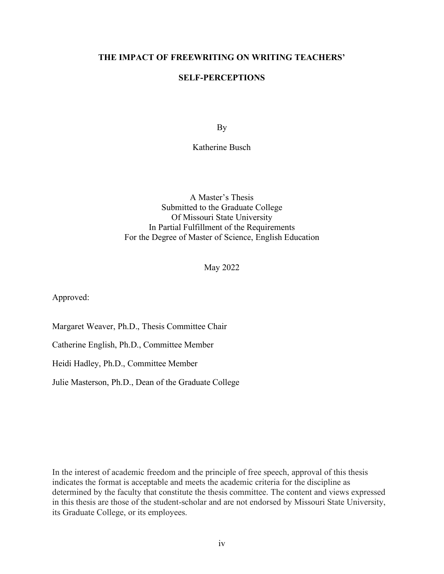## **THE IMPACT OF FREEWRITING ON WRITING TEACHERS'**

## **SELF-PERCEPTIONS**

By

Katherine Busch

A Master's Thesis Submitted to the Graduate College Of Missouri State University In Partial Fulfillment of the Requirements For the Degree of Master of Science, English Education

May 2022

Approved:

Margaret Weaver, Ph.D., Thesis Committee Chair

Catherine English, Ph.D., Committee Member

Heidi Hadley, Ph.D., Committee Member

Julie Masterson, Ph.D., Dean of the Graduate College

In the interest of academic freedom and the principle of free speech, approval of this thesis indicates the format is acceptable and meets the academic criteria for the discipline as determined by the faculty that constitute the thesis committee. The content and views expressed in this thesis are those of the student-scholar and are not endorsed by Missouri State University, its Graduate College, or its employees.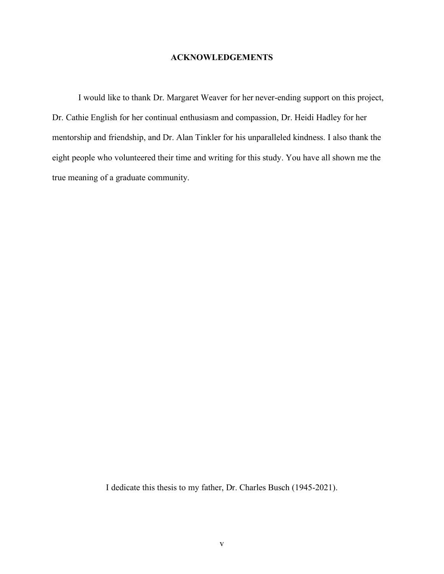### **ACKNOWLEDGEMENTS**

I would like to thank Dr. Margaret Weaver for her never-ending support on this project, Dr. Cathie English for her continual enthusiasm and compassion, Dr. Heidi Hadley for her mentorship and friendship, and Dr. Alan Tinkler for his unparalleled kindness. I also thank the eight people who volunteered their time and writing for this study. You have all shown me the true meaning of a graduate community.

I dedicate this thesis to my father, Dr. Charles Busch (1945-2021).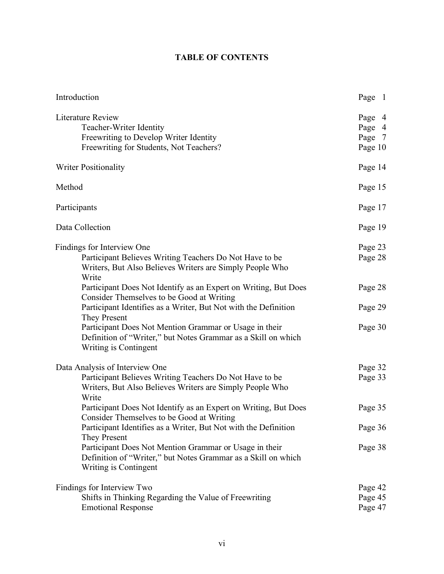## **TABLE OF CONTENTS**

| Introduction                                                                                                                                               | Page 1                                |
|------------------------------------------------------------------------------------------------------------------------------------------------------------|---------------------------------------|
| <b>Literature Review</b><br>Teacher-Writer Identity<br>Freewriting to Develop Writer Identity<br>Freewriting for Students, Not Teachers?                   | Page 4<br>Page 4<br>Page 7<br>Page 10 |
| <b>Writer Positionality</b>                                                                                                                                | Page 14                               |
| Method                                                                                                                                                     | Page 15                               |
| Participants                                                                                                                                               | Page 17                               |
| Data Collection                                                                                                                                            | Page 19                               |
| Findings for Interview One<br>Participant Believes Writing Teachers Do Not Have to be<br>Writers, But Also Believes Writers are Simply People Who<br>Write | Page 23<br>Page 28                    |
| Participant Does Not Identify as an Expert on Writing, But Does<br>Consider Themselves to be Good at Writing                                               | Page 28                               |
| Participant Identifies as a Writer, But Not with the Definition<br>They Present                                                                            | Page 29                               |
| Participant Does Not Mention Grammar or Usage in their<br>Definition of "Writer," but Notes Grammar as a Skill on which<br>Writing is Contingent           | Page 30                               |
| Data Analysis of Interview One                                                                                                                             | Page 32                               |
| Participant Believes Writing Teachers Do Not Have to be<br>Writers, But Also Believes Writers are Simply People Who<br>Write                               | Page 33                               |
| Participant Does Not Identify as an Expert on Writing, But Does<br>Consider Themselves to be Good at Writing                                               | Page 35                               |
| Participant Identifies as a Writer, But Not with the Definition<br>They Present                                                                            | Page 36                               |
| Participant Does Not Mention Grammar or Usage in their<br>Definition of "Writer," but Notes Grammar as a Skill on which<br>Writing is Contingent           | Page 38                               |
| Findings for Interview Two                                                                                                                                 | Page 42                               |
| Shifts in Thinking Regarding the Value of Freewriting                                                                                                      | Page 45                               |
| <b>Emotional Response</b>                                                                                                                                  | Page 47                               |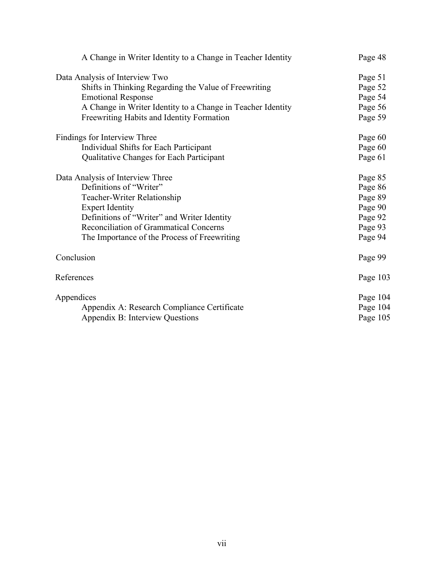| A Change in Writer Identity to a Change in Teacher Identity | Page 48  |  |
|-------------------------------------------------------------|----------|--|
| Data Analysis of Interview Two                              | Page 51  |  |
| Shifts in Thinking Regarding the Value of Freewriting       | Page 52  |  |
| <b>Emotional Response</b>                                   | Page 54  |  |
| A Change in Writer Identity to a Change in Teacher Identity | Page 56  |  |
| Freewriting Habits and Identity Formation                   | Page 59  |  |
| Findings for Interview Three                                | Page 60  |  |
| Individual Shifts for Each Participant                      | Page 60  |  |
| Qualitative Changes for Each Participant                    | Page 61  |  |
| Data Analysis of Interview Three                            | Page 85  |  |
| Definitions of "Writer"                                     | Page 86  |  |
| Teacher-Writer Relationship                                 | Page 89  |  |
| <b>Expert Identity</b>                                      | Page 90  |  |
| Definitions of "Writer" and Writer Identity                 | Page 92  |  |
| Reconciliation of Grammatical Concerns                      | Page 93  |  |
| The Importance of the Process of Freewriting                | Page 94  |  |
| Conclusion                                                  | Page 99  |  |
| References                                                  | Page 103 |  |
| Appendices                                                  | Page 104 |  |
| Appendix A: Research Compliance Certificate                 | Page 104 |  |
| Appendix B: Interview Questions                             | Page 105 |  |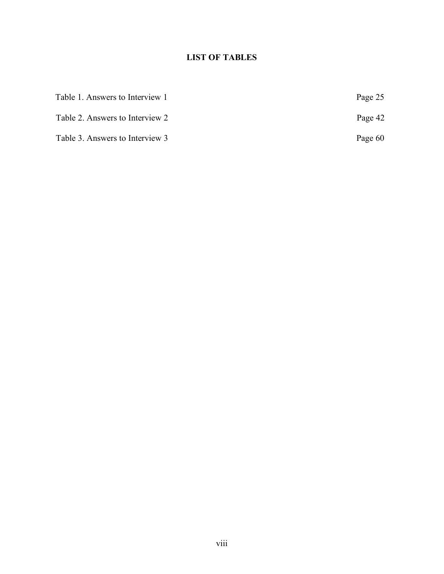## **LIST OF TABLES**

| Table 1. Answers to Interview 1 | Page 25 |
|---------------------------------|---------|
| Table 2. Answers to Interview 2 | Page 42 |
| Table 3. Answers to Interview 3 | Page 60 |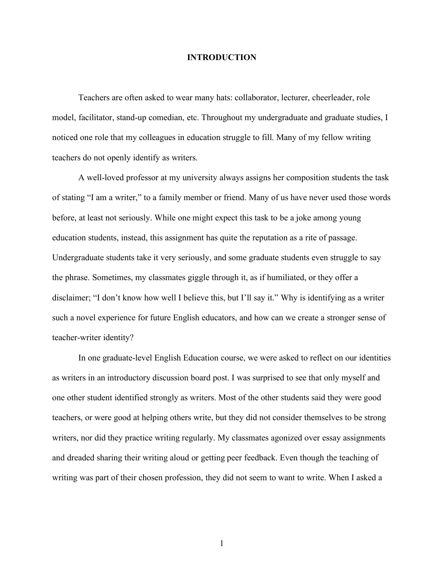#### **INTRODUCTION**

Teachers are often asked to wear many hats: collaborator, lecturer, cheerleader, role model, facilitator, stand-up comedian, etc. Throughout my undergraduate and graduate studies, I noticed one role that my colleagues in education struggle to fill. Many of my fellow writing teachers do not openly identify as writers.

A well-loved professor at my university always assigns her composition students the task of stating "I am a writer," to a family member or friend. Many of us have never used those words before, at least not seriously. While one might expect this task to be a joke among young education students, instead, this assignment has quite the reputation as a rite of passage. Undergraduate students take it very seriously, and some graduate students even struggle to say the phrase. Sometimes, my classmates giggle through it, as if humiliated, or they offer a disclaimer; "I don't know how well I believe this, but I'll say it." Why is identifying as a writer such a novel experience for future English educators, and how can we create a stronger sense of teacher-writer identity?

In one graduate-level English Education course, we were asked to reflect on our identities as writers in an introductory discussion board post. I was surprised to see that only myself and one other student identified strongly as writers. Most of the other students said they were good teachers, or were good at helping others write, but they did not consider themselves to be strong writers, nor did they practice writing regularly. My classmates agonized over essay assignments and dreaded sharing their writing aloud or getting peer feedback. Even though the teaching of writing was part of their chosen profession, they did not seem to want to write. When I asked a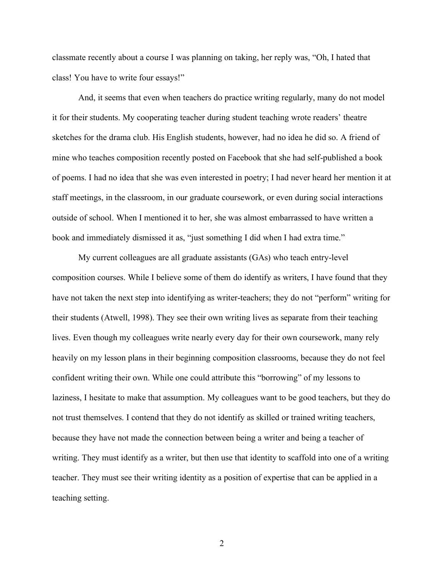classmate recently about a course I was planning on taking, her reply was, "Oh, I hated that class! You have to write four essays!"

And, it seems that even when teachers do practice writing regularly, many do not model it for their students. My cooperating teacher during student teaching wrote readers' theatre sketches for the drama club. His English students, however, had no idea he did so. A friend of mine who teaches composition recently posted on Facebook that she had self-published a book of poems. I had no idea that she was even interested in poetry; I had never heard her mention it at staff meetings, in the classroom, in our graduate coursework, or even during social interactions outside of school. When I mentioned it to her, she was almost embarrassed to have written a book and immediately dismissed it as, "just something I did when I had extra time."

My current colleagues are all graduate assistants (GAs) who teach entry-level composition courses. While I believe some of them do identify as writers, I have found that they have not taken the next step into identifying as writer-teachers; they do not "perform" writing for their students (Atwell, 1998). They see their own writing lives as separate from their teaching lives. Even though my colleagues write nearly every day for their own coursework, many rely heavily on my lesson plans in their beginning composition classrooms, because they do not feel confident writing their own. While one could attribute this "borrowing" of my lessons to laziness, I hesitate to make that assumption. My colleagues want to be good teachers, but they do not trust themselves. I contend that they do not identify as skilled or trained writing teachers, because they have not made the connection between being a writer and being a teacher of writing. They must identify as a writer, but then use that identity to scaffold into one of a writing teacher. They must see their writing identity as a position of expertise that can be applied in a teaching setting.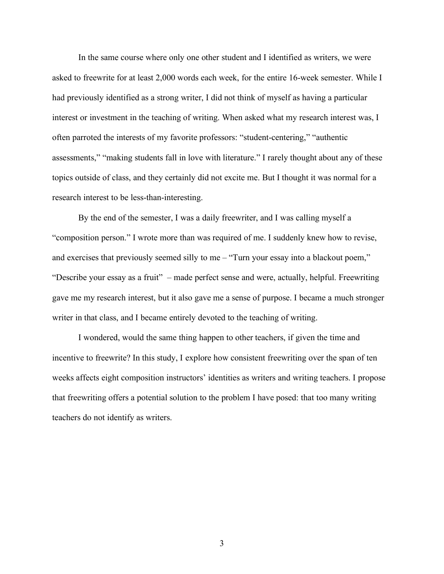In the same course where only one other student and I identified as writers, we were asked to freewrite for at least 2,000 words each week, for the entire 16-week semester. While I had previously identified as a strong writer, I did not think of myself as having a particular interest or investment in the teaching of writing. When asked what my research interest was, I often parroted the interests of my favorite professors: "student-centering," "authentic assessments," "making students fall in love with literature." I rarely thought about any of these topics outside of class, and they certainly did not excite me. But I thought it was normal for a research interest to be less-than-interesting.

By the end of the semester, I was a daily freewriter, and I was calling myself a "composition person." I wrote more than was required of me. I suddenly knew how to revise, and exercises that previously seemed silly to me – "Turn your essay into a blackout poem," "Describe your essay as a fruit" – made perfect sense and were, actually, helpful. Freewriting gave me my research interest, but it also gave me a sense of purpose. I became a much stronger writer in that class, and I became entirely devoted to the teaching of writing.

I wondered, would the same thing happen to other teachers, if given the time and incentive to freewrite? In this study, I explore how consistent freewriting over the span of ten weeks affects eight composition instructors' identities as writers and writing teachers. I propose that freewriting offers a potential solution to the problem I have posed: that too many writing teachers do not identify as writers.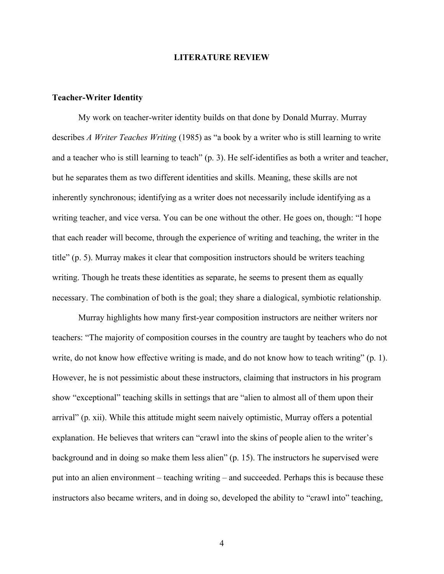#### **LITERATURE REVIEW**

#### **Teacher-Writer Identity**

My work on teacher-writer identity builds on that done by Donald Murray. Murray describes *A Writer Teaches Writing* (1985) as "a book by a writer who is still learning to write and a teacher who is still learning to teach" (p. 3). He self-identifies as both a writer and teacher, but he separates them as two different identities and skills. Meaning, these skills are not inherently synchronous; identifying as a writer does not necessarily include identifying as a writing teacher, and vice versa. You can be one without the other. He goes on, though: "I hope that each reader will become, through the experience of writing and teaching, the writer in the title" (p. 5). Murray makes it clear that composition instructors should be writers teaching writing. Though he treats these identities as separate, he seems to present them as equally necessary. The combination of both is the goal; they share a dialogical, symbiotic relationship.

Murray highlights how many first-year composition instructors are neither writers nor teachers: "The majority of composition courses in the country are taught by teachers who do not write, do not know how effective writing is made, and do not know how to teach writing" (p. 1). However, he is not pessimistic about these instructors, claiming that instructors in his program show "exceptional" teaching skills in settings that are "alien to almost all of them upon their arrival" (p. xii). While this attitude might seem naively optimistic, Murray offers a potential explanation. He believes that writers can "crawl into the skins of people alien to the writer's background and in doing so make them less alien" (p. 15). The instructors he supervised were put into an alien environment – teaching writing – and succeeded. Perhaps this is because these instructors also became writers, and in doing so, developed the ability to "crawl into" teaching,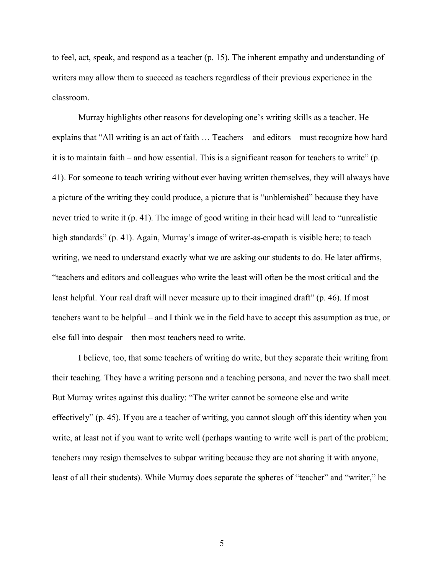to feel, act, speak, and respond as a teacher (p. 15). The inherent empathy and understanding of writers may allow them to succeed as teachers regardless of their previous experience in the classroom.

Murray highlights other reasons for developing one's writing skills as a teacher. He explains that "All writing is an act of faith … Teachers – and editors – must recognize how hard it is to maintain faith – and how essential. This is a significant reason for teachers to write" (p. 41). For someone to teach writing without ever having written themselves, they will always have a picture of the writing they could produce, a picture that is "unblemished" because they have never tried to write it (p. 41). The image of good writing in their head will lead to "unrealistic high standards" (p. 41). Again, Murray's image of writer-as-empath is visible here; to teach writing, we need to understand exactly what we are asking our students to do. He later affirms, "teachers and editors and colleagues who write the least will often be the most critical and the least helpful. Your real draft will never measure up to their imagined draft" (p. 46). If most teachers want to be helpful – and I think we in the field have to accept this assumption as true, or else fall into despair – then most teachers need to write.

I believe, too, that some teachers of writing do write, but they separate their writing from their teaching. They have a writing persona and a teaching persona, and never the two shall meet. But Murray writes against this duality: "The writer cannot be someone else and write effectively" (p. 45). If you are a teacher of writing, you cannot slough off this identity when you write, at least not if you want to write well (perhaps wanting to write well is part of the problem; teachers may resign themselves to subpar writing because they are not sharing it with anyone, least of all their students). While Murray does separate the spheres of "teacher" and "writer," he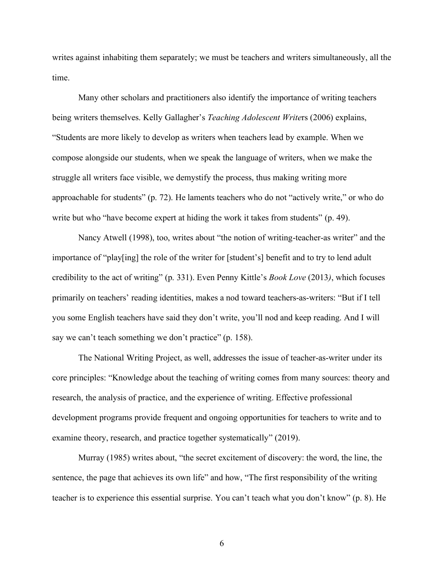writes against inhabiting them separately; we must be teachers and writers simultaneously, all the time.

Many other scholars and practitioners also identify the importance of writing teachers being writers themselves. Kelly Gallagher's *Teaching Adolescent Write*rs (2006) explains, "Students are more likely to develop as writers when teachers lead by example. When we compose alongside our students, when we speak the language of writers, when we make the struggle all writers face visible, we demystify the process, thus making writing more approachable for students" (p. 72). He laments teachers who do not "actively write," or who do write but who "have become expert at hiding the work it takes from students" (p. 49).

Nancy Atwell (1998), too, writes about "the notion of writing-teacher-as writer" and the importance of "play[ing] the role of the writer for [student's] benefit and to try to lend adult credibility to the act of writing" (p. 331). Even Penny Kittle's *Book Love* (2013*)*, which focuses primarily on teachers' reading identities, makes a nod toward teachers-as-writers: "But if I tell you some English teachers have said they don't write, you'll nod and keep reading. And I will say we can't teach something we don't practice" (p. 158).

The National Writing Project, as well, addresses the issue of teacher-as-writer under its core principles: "Knowledge about the teaching of writing comes from many sources: theory and research, the analysis of practice, and the experience of writing. Effective professional development programs provide frequent and ongoing opportunities for teachers to write and to examine theory, research, and practice together systematically" (2019).

Murray (1985) writes about, "the secret excitement of discovery: the word, the line, the sentence, the page that achieves its own life" and how, "The first responsibility of the writing teacher is to experience this essential surprise. You can't teach what you don't know" (p. 8). He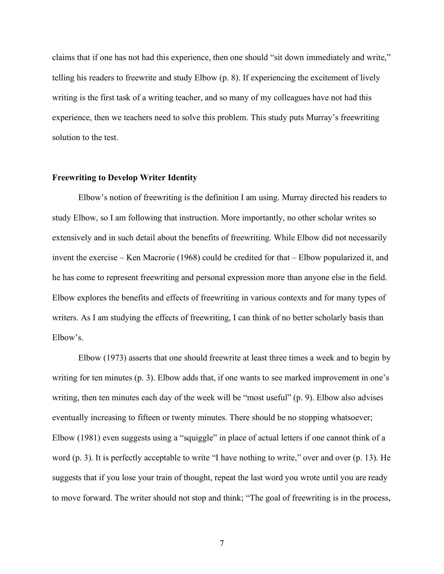claims that if one has not had this experience, then one should "sit down immediately and write," telling his readers to freewrite and study Elbow (p. 8). If experiencing the excitement of lively writing is the first task of a writing teacher, and so many of my colleagues have not had this experience, then we teachers need to solve this problem. This study puts Murray's freewriting solution to the test.

#### **Freewriting to Develop Writer Identity**

Elbow's notion of freewriting is the definition I am using. Murray directed his readers to study Elbow, so I am following that instruction. More importantly, no other scholar writes so extensively and in such detail about the benefits of freewriting. While Elbow did not necessarily invent the exercise – Ken Macrorie (1968) could be credited for that – Elbow popularized it, and he has come to represent freewriting and personal expression more than anyone else in the field. Elbow explores the benefits and effects of freewriting in various contexts and for many types of writers. As I am studying the effects of freewriting, I can think of no better scholarly basis than Elbow's.

Elbow (1973) asserts that one should freewrite at least three times a week and to begin by writing for ten minutes (p. 3). Elbow adds that, if one wants to see marked improvement in one's writing, then ten minutes each day of the week will be "most useful" (p. 9). Elbow also advises eventually increasing to fifteen or twenty minutes. There should be no stopping whatsoever; Elbow (1981) even suggests using a "squiggle" in place of actual letters if one cannot think of a word (p. 3). It is perfectly acceptable to write "I have nothing to write," over and over (p. 13). He suggests that if you lose your train of thought, repeat the last word you wrote until you are ready to move forward. The writer should not stop and think; "The goal of freewriting is in the process,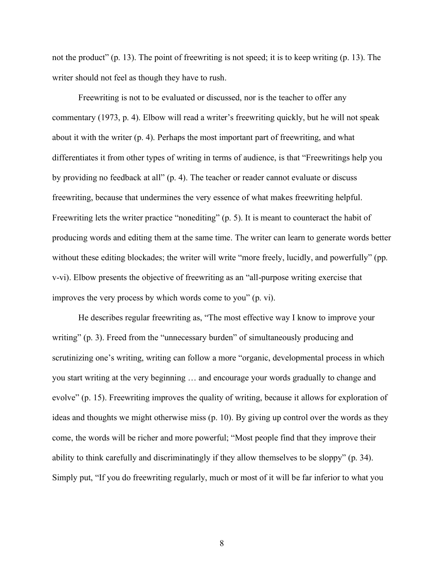not the product" (p. 13). The point of freewriting is not speed; it is to keep writing (p. 13). The writer should not feel as though they have to rush.

Freewriting is not to be evaluated or discussed, nor is the teacher to offer any commentary (1973, p. 4). Elbow will read a writer's freewriting quickly, but he will not speak about it with the writer (p. 4). Perhaps the most important part of freewriting, and what differentiates it from other types of writing in terms of audience, is that "Freewritings help you by providing no feedback at all" (p. 4). The teacher or reader cannot evaluate or discuss freewriting, because that undermines the very essence of what makes freewriting helpful. Freewriting lets the writer practice "nonediting" (p. 5). It is meant to counteract the habit of producing words and editing them at the same time. The writer can learn to generate words better without these editing blockades; the writer will write "more freely, lucidly, and powerfully" (pp. v-vi). Elbow presents the objective of freewriting as an "all-purpose writing exercise that improves the very process by which words come to you" (p. vi).

He describes regular freewriting as, "The most effective way I know to improve your writing" (p. 3). Freed from the "unnecessary burden" of simultaneously producing and scrutinizing one's writing, writing can follow a more "organic, developmental process in which you start writing at the very beginning … and encourage your words gradually to change and evolve" (p. 15). Freewriting improves the quality of writing, because it allows for exploration of ideas and thoughts we might otherwise miss (p. 10). By giving up control over the words as they come, the words will be richer and more powerful; "Most people find that they improve their ability to think carefully and discriminatingly if they allow themselves to be sloppy" (p. 34). Simply put, "If you do freewriting regularly, much or most of it will be far inferior to what you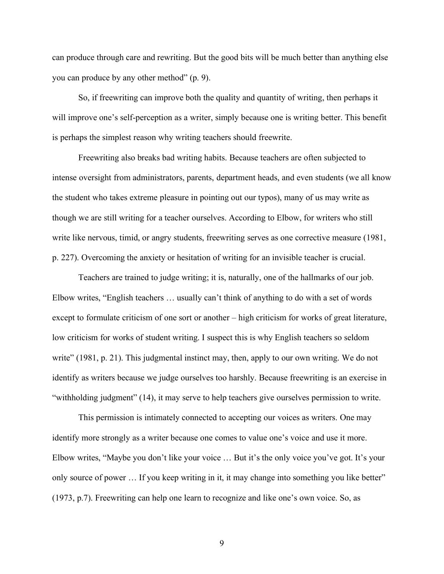can produce through care and rewriting. But the good bits will be much better than anything else you can produce by any other method" (p. 9).

So, if freewriting can improve both the quality and quantity of writing, then perhaps it will improve one's self-perception as a writer, simply because one is writing better. This benefit is perhaps the simplest reason why writing teachers should freewrite.

Freewriting also breaks bad writing habits. Because teachers are often subjected to intense oversight from administrators, parents, department heads, and even students (we all know the student who takes extreme pleasure in pointing out our typos), many of us may write as though we are still writing for a teacher ourselves. According to Elbow, for writers who still write like nervous, timid, or angry students, freewriting serves as one corrective measure (1981, p. 227). Overcoming the anxiety or hesitation of writing for an invisible teacher is crucial.

Teachers are trained to judge writing; it is, naturally, one of the hallmarks of our job. Elbow writes, "English teachers … usually can't think of anything to do with a set of words except to formulate criticism of one sort or another – high criticism for works of great literature, low criticism for works of student writing. I suspect this is why English teachers so seldom write" (1981, p. 21). This judgmental instinct may, then, apply to our own writing. We do not identify as writers because we judge ourselves too harshly. Because freewriting is an exercise in "withholding judgment" (14), it may serve to help teachers give ourselves permission to write.

This permission is intimately connected to accepting our voices as writers. One may identify more strongly as a writer because one comes to value one's voice and use it more. Elbow writes, "Maybe you don't like your voice … But it's the only voice you've got. It's your only source of power … If you keep writing in it, it may change into something you like better" (1973, p.7). Freewriting can help one learn to recognize and like one's own voice. So, as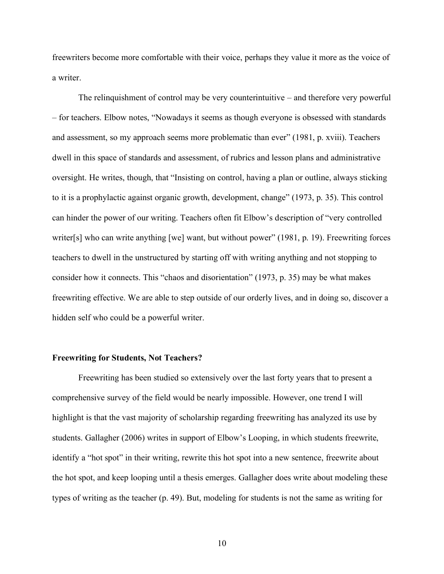freewriters become more comfortable with their voice, perhaps they value it more as the voice of a writer.

The relinquishment of control may be very counterintuitive – and therefore very powerful – for teachers. Elbow notes, "Nowadays it seems as though everyone is obsessed with standards and assessment, so my approach seems more problematic than ever" (1981, p. xviii). Teachers dwell in this space of standards and assessment, of rubrics and lesson plans and administrative oversight. He writes, though, that "Insisting on control, having a plan or outline, always sticking to it is a prophylactic against organic growth, development, change" (1973, p. 35). This control can hinder the power of our writing. Teachers often fit Elbow's description of "very controlled writer[s] who can write anything [we] want, but without power" (1981, p. 19). Freewriting forces teachers to dwell in the unstructured by starting off with writing anything and not stopping to consider how it connects. This "chaos and disorientation" (1973, p. 35) may be what makes freewriting effective. We are able to step outside of our orderly lives, and in doing so, discover a hidden self who could be a powerful writer.

#### **Freewriting for Students, Not Teachers?**

Freewriting has been studied so extensively over the last forty years that to present a comprehensive survey of the field would be nearly impossible. However, one trend I will highlight is that the vast majority of scholarship regarding freewriting has analyzed its use by students. Gallagher (2006) writes in support of Elbow's Looping, in which students freewrite, identify a "hot spot" in their writing, rewrite this hot spot into a new sentence, freewrite about the hot spot, and keep looping until a thesis emerges. Gallagher does write about modeling these types of writing as the teacher (p. 49). But, modeling for students is not the same as writing for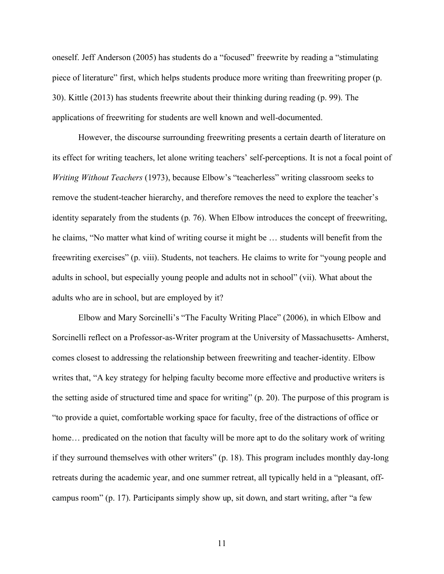oneself. Jeff Anderson (2005) has students do a "focused" freewrite by reading a "stimulating piece of literature" first, which helps students produce more writing than freewriting proper (p. 30). Kittle (2013) has students freewrite about their thinking during reading (p. 99). The applications of freewriting for students are well known and well-documented.

However, the discourse surrounding freewriting presents a certain dearth of literature on its effect for writing teachers, let alone writing teachers' self-perceptions. It is not a focal point of *Writing Without Teachers* (1973), because Elbow's "teacherless" writing classroom seeks to remove the student-teacher hierarchy, and therefore removes the need to explore the teacher's identity separately from the students (p. 76). When Elbow introduces the concept of freewriting, he claims, "No matter what kind of writing course it might be … students will benefit from the freewriting exercises" (p. viii). Students, not teachers. He claims to write for "young people and adults in school, but especially young people and adults not in school" (vii). What about the adults who are in school, but are employed by it?

Elbow and Mary Sorcinelli's "The Faculty Writing Place" (2006), in which Elbow and Sorcinelli reflect on a Professor-as-Writer program at the University of Massachusetts- Amherst, comes closest to addressing the relationship between freewriting and teacher-identity. Elbow writes that, "A key strategy for helping faculty become more effective and productive writers is the setting aside of structured time and space for writing" (p. 20). The purpose of this program is "to provide a quiet, comfortable working space for faculty, free of the distractions of office or home... predicated on the notion that faculty will be more apt to do the solitary work of writing if they surround themselves with other writers" (p. 18). This program includes monthly day-long retreats during the academic year, and one summer retreat, all typically held in a "pleasant, offcampus room" (p. 17). Participants simply show up, sit down, and start writing, after "a few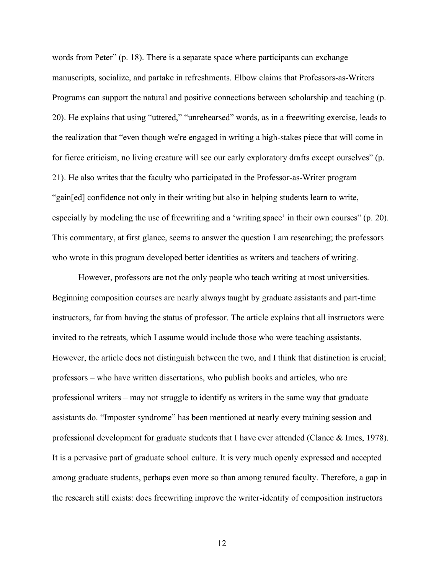words from Peter" (p. 18). There is a separate space where participants can exchange manuscripts, socialize, and partake in refreshments. Elbow claims that Professors-as-Writers Programs can support the natural and positive connections between scholarship and teaching (p. 20). He explains that using "uttered," "unrehearsed" words, as in a freewriting exercise, leads to the realization that "even though we're engaged in writing a high-stakes piece that will come in for fierce criticism, no living creature will see our early exploratory drafts except ourselves" (p. 21). He also writes that the faculty who participated in the Professor-as-Writer program "gain[ed] confidence not only in their writing but also in helping students learn to write, especially by modeling the use of freewriting and a 'writing space' in their own courses" (p. 20). This commentary, at first glance, seems to answer the question I am researching; the professors who wrote in this program developed better identities as writers and teachers of writing.

However, professors are not the only people who teach writing at most universities. Beginning composition courses are nearly always taught by graduate assistants and part-time instructors, far from having the status of professor. The article explains that all instructors were invited to the retreats, which I assume would include those who were teaching assistants. However, the article does not distinguish between the two, and I think that distinction is crucial; professors – who have written dissertations, who publish books and articles, who are professional writers – may not struggle to identify as writers in the same way that graduate assistants do. "Imposter syndrome" has been mentioned at nearly every training session and professional development for graduate students that I have ever attended (Clance & Imes, 1978). It is a pervasive part of graduate school culture. It is very much openly expressed and accepted among graduate students, perhaps even more so than among tenured faculty. Therefore, a gap in the research still exists: does freewriting improve the writer-identity of composition instructors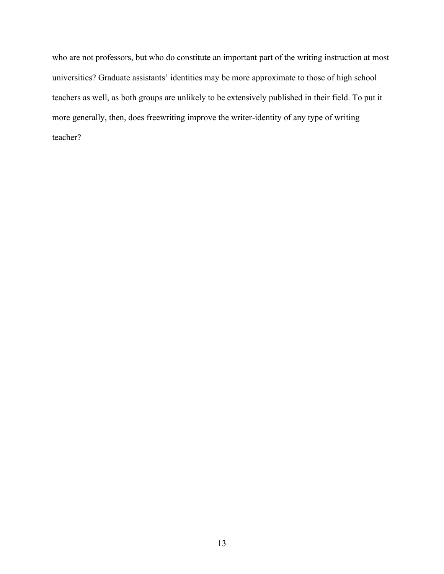who are not professors, but who do constitute an important part of the writing instruction at most universities? Graduate assistants' identities may be more approximate to those of high school teachers as well, as both groups are unlikely to be extensively published in their field. To put it more generally, then, does freewriting improve the writer-identity of any type of writing teacher?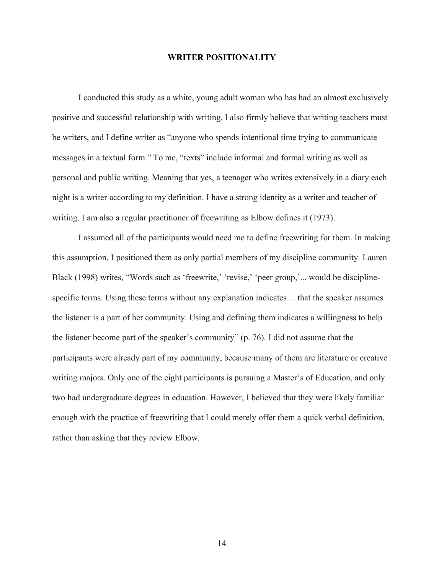#### **WRITER POSITIONALITY**

I conducted this study as a white, young adult woman who has had an almost exclusively positive and successful relationship with writing. I also firmly believe that writing teachers must be writers, and I define writer as "anyone who spends intentional time trying to communicate messages in a textual form." To me, "texts" include informal and formal writing as well as personal and public writing. Meaning that yes, a teenager who writes extensively in a diary each night is a writer according to my definition. I have a strong identity as a writer and teacher of writing. I am also a regular practitioner of freewriting as Elbow defines it (1973).

I assumed all of the participants would need me to define freewriting for them. In making this assumption, I positioned them as only partial members of my discipline community. Lauren Black (1998) writes, "Words such as 'freewrite,' 'revise,' 'peer group,'... would be disciplinespecific terms. Using these terms without any explanation indicates… that the speaker assumes the listener is a part of her community. Using and defining them indicates a willingness to help the listener become part of the speaker's community" (p. 76). I did not assume that the participants were already part of my community, because many of them are literature or creative writing majors. Only one of the eight participants is pursuing a Master's of Education, and only two had undergraduate degrees in education. However, I believed that they were likely familiar enough with the practice of freewriting that I could merely offer them a quick verbal definition, rather than asking that they review Elbow.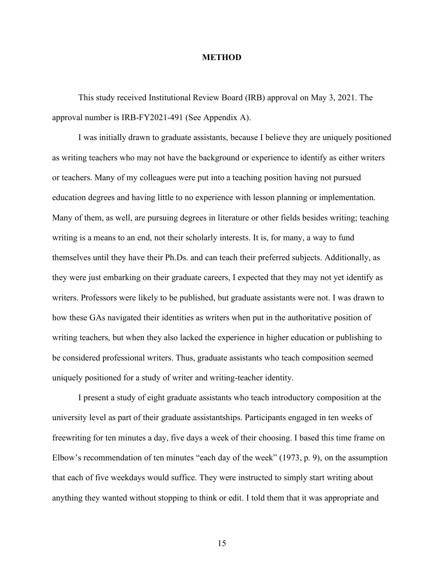#### **METHOD**

This study received Institutional Review Board (IRB) approval on May 3, 2021. The approval number is IRB-FY2021-491 (See Appendix A).

I was initially drawn to graduate assistants, because I believe they are uniquely positioned as writing teachers who may not have the background or experience to identify as either writers or teachers. Many of my colleagues were put into a teaching position having not pursued education degrees and having little to no experience with lesson planning or implementation. Many of them, as well, are pursuing degrees in literature or other fields besides writing; teaching writing is a means to an end, not their scholarly interests. It is, for many, a way to fund themselves until they have their Ph.Ds. and can teach their preferred subjects. Additionally, as they were just embarking on their graduate careers, I expected that they may not yet identify as writers. Professors were likely to be published, but graduate assistants were not. I was drawn to how these GAs navigated their identities as writers when put in the authoritative position of writing teachers, but when they also lacked the experience in higher education or publishing to be considered professional writers. Thus, graduate assistants who teach composition seemed uniquely positioned for a study of writer and writing-teacher identity.

I present a study of eight graduate assistants who teach introductory composition at the university level as part of their graduate assistantships. Participants engaged in ten weeks of freewriting for ten minutes a day, five days a week of their choosing. I based this time frame on Elbow's recommendation of ten minutes "each day of the week" (1973, p. 9), on the assumption that each of five weekdays would suffice. They were instructed to simply start writing about anything they wanted without stopping to think or edit. I told them that it was appropriate and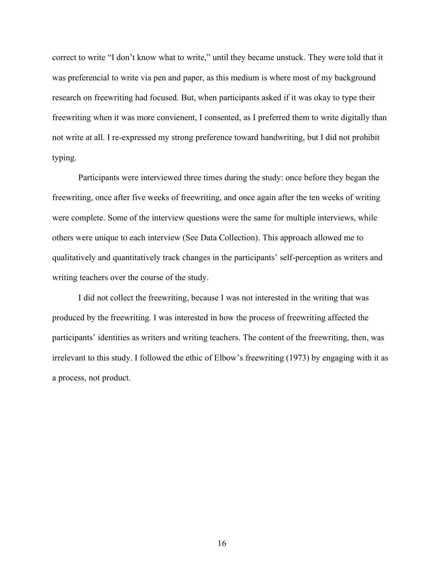correct to write "I don't know what to write," until they became unstuck. They were told that it was preferencial to write via pen and paper, as this medium is where most of my background research on freewriting had focused. But, when participants asked if it was okay to type their freewriting when it was more convienent, I consented, as I preferred them to write digitally than not write at all. I re-expressed my strong preference toward handwriting, but I did not prohibit typing.

Participants were interviewed three times during the study: once before they began the freewriting, once after five weeks of freewriting, and once again after the ten weeks of writing were complete. Some of the interview questions were the same for multiple interviews, while others were unique to each interview (See Data Collection). This approach allowed me to qualitatively and quantitatively track changes in the participants' self-perception as writers and writing teachers over the course of the study.

I did not collect the freewriting, because I was not interested in the writing that was produced by the freewriting. I was interested in how the process of freewriting affected the participants' identities as writers and writing teachers. The content of the freewriting, then, was irrelevant to this study. I followed the ethic of Elbow's freewriting (1973) by engaging with it as a process, not product.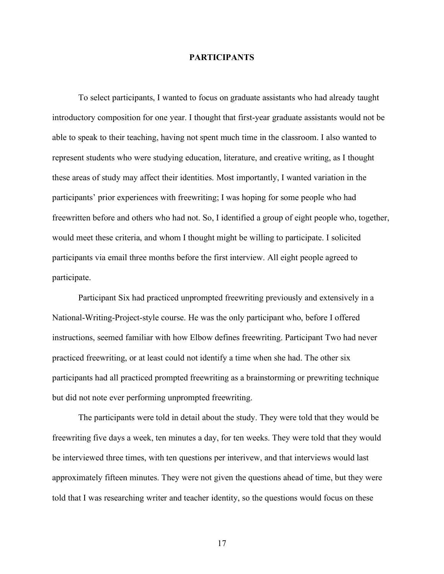#### **PARTICIPANTS**

To select participants, I wanted to focus on graduate assistants who had already taught introductory composition for one year. I thought that first-year graduate assistants would not be able to speak to their teaching, having not spent much time in the classroom. I also wanted to represent students who were studying education, literature, and creative writing, as I thought these areas of study may affect their identities. Most importantly, I wanted variation in the participants' prior experiences with freewriting; I was hoping for some people who had freewritten before and others who had not. So, I identified a group of eight people who, together, would meet these criteria, and whom I thought might be willing to participate. I solicited participants via email three months before the first interview. All eight people agreed to participate.

Participant Six had practiced unprompted freewriting previously and extensively in a National-Writing-Project-style course. He was the only participant who, before I offered instructions, seemed familiar with how Elbow defines freewriting. Participant Two had never practiced freewriting, or at least could not identify a time when she had. The other six participants had all practiced prompted freewriting as a brainstorming or prewriting technique but did not note ever performing unprompted freewriting.

The participants were told in detail about the study. They were told that they would be freewriting five days a week, ten minutes a day, for ten weeks. They were told that they would be interviewed three times, with ten questions per interivew, and that interviews would last approximately fifteen minutes. They were not given the questions ahead of time, but they were told that I was researching writer and teacher identity, so the questions would focus on these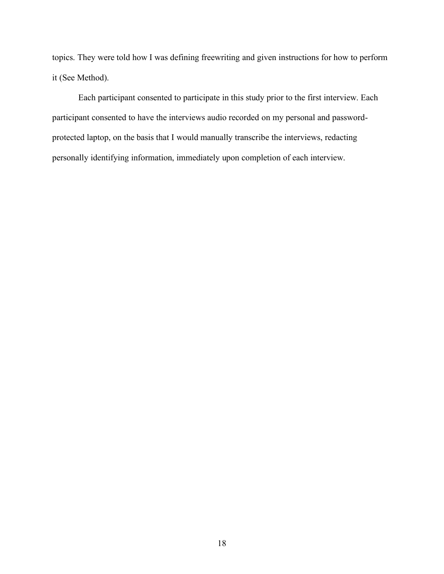topics. They were told how I was defining freewriting and given instructions for how to perform it (See Method).

Each participant consented to participate in this study prior to the first interview. Each participant consented to have the interviews audio recorded on my personal and passwordprotected laptop, on the basis that I would manually transcribe the interviews, redacting personally identifying information, immediately upon completion of each interview.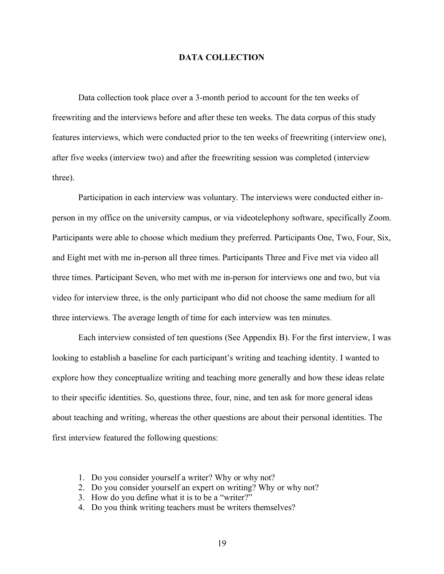#### **DATA COLLECTION**

Data collection took place over a 3-month period to account for the ten weeks of freewriting and the interviews before and after these ten weeks. The data corpus of this study features interviews, which were conducted prior to the ten weeks of freewriting (interview one), after five weeks (interview two) and after the freewriting session was completed (interview three).

Participation in each interview was voluntary. The interviews were conducted either inperson in my office on the university campus, or via videotelephony software, specifically Zoom. Participants were able to choose which medium they preferred. Participants One, Two, Four, Six, and Eight met with me in-person all three times. Participants Three and Five met via video all three times. Participant Seven, who met with me in-person for interviews one and two, but via video for interview three, is the only participant who did not choose the same medium for all three interviews. The average length of time for each interview was ten minutes.

Each interview consisted of ten questions (See Appendix B). For the first interview, I was looking to establish a baseline for each participant's writing and teaching identity. I wanted to explore how they conceptualize writing and teaching more generally and how these ideas relate to their specific identities. So, questions three, four, nine, and ten ask for more general ideas about teaching and writing, whereas the other questions are about their personal identities. The first interview featured the following questions:

- 1. Do you consider yourself a writer? Why or why not?
- 2. Do you consider yourself an expert on writing? Why or why not?
- 3. How do you define what it is to be a "writer?"
- 4. Do you think writing teachers must be writers themselves?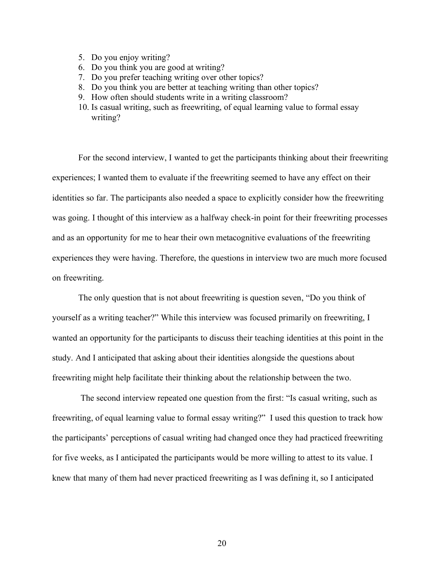- 5. Do you enjoy writing?
- 6. Do you think you are good at writing?
- 7. Do you prefer teaching writing over other topics?
- 8. Do you think you are better at teaching writing than other topics?
- 9. How often should students write in a writing classroom?
- 10. Is casual writing, such as freewriting, of equal learning value to formal essay writing?

For the second interview, I wanted to get the participants thinking about their freewriting experiences; I wanted them to evaluate if the freewriting seemed to have any effect on their identities so far. The participants also needed a space to explicitly consider how the freewriting was going. I thought of this interview as a halfway check-in point for their freewriting processes and as an opportunity for me to hear their own metacognitive evaluations of the freewriting experiences they were having. Therefore, the questions in interview two are much more focused on freewriting.

The only question that is not about freewriting is question seven, "Do you think of yourself as a writing teacher?" While this interview was focused primarily on freewriting, I wanted an opportunity for the participants to discuss their teaching identities at this point in the study. And I anticipated that asking about their identities alongside the questions about freewriting might help facilitate their thinking about the relationship between the two.

The second interview repeated one question from the first: "Is casual writing, such as freewriting, of equal learning value to formal essay writing?" I used this question to track how the participants' perceptions of casual writing had changed once they had practiced freewriting for five weeks, as I anticipated the participants would be more willing to attest to its value. I knew that many of them had never practiced freewriting as I was defining it, so I anticipated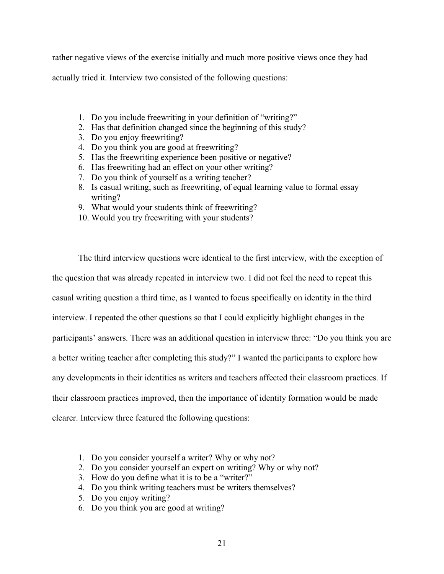rather negative views of the exercise initially and much more positive views once they had

actually tried it. Interview two consisted of the following questions:

- 1. Do you include freewriting in your definition of "writing?"
- 2. Has that definition changed since the beginning of this study?
- 3. Do you enjoy freewriting?
- 4. Do you think you are good at freewriting?
- 5. Has the freewriting experience been positive or negative?
- 6. Has freewriting had an effect on your other writing?
- 7. Do you think of yourself as a writing teacher?
- 8. Is casual writing, such as freewriting, of equal learning value to formal essay writing?
- 9. What would your students think of freewriting?
- 10. Would you try freewriting with your students?

The third interview questions were identical to the first interview, with the exception of the question that was already repeated in interview two. I did not feel the need to repeat this casual writing question a third time, as I wanted to focus specifically on identity in the third interview. I repeated the other questions so that I could explicitly highlight changes in the participants' answers. There was an additional question in interview three: "Do you think you are a better writing teacher after completing this study?" I wanted the participants to explore how any developments in their identities as writers and teachers affected their classroom practices. If their classroom practices improved, then the importance of identity formation would be made clearer. Interview three featured the following questions:

- 1. Do you consider yourself a writer? Why or why not?
- 2. Do you consider yourself an expert on writing? Why or why not?
- 3. How do you define what it is to be a "writer?"
- 4. Do you think writing teachers must be writers themselves?
- 5. Do you enjoy writing?
- 6. Do you think you are good at writing?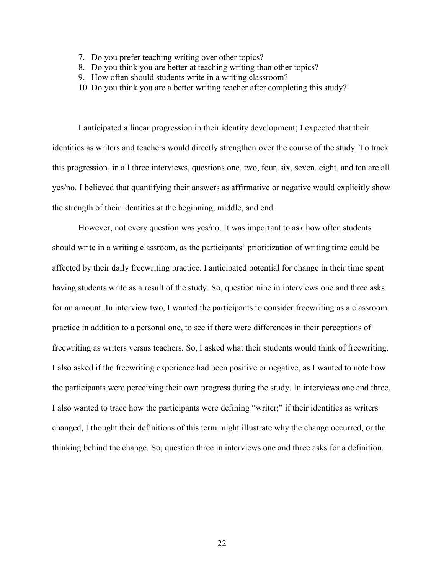- 7. Do you prefer teaching writing over other topics?
- 8. Do you think you are better at teaching writing than other topics?
- 9. How often should students write in a writing classroom?
- 10. Do you think you are a better writing teacher after completing this study?

I anticipated a linear progression in their identity development; I expected that their identities as writers and teachers would directly strengthen over the course of the study. To track this progression, in all three interviews, questions one, two, four, six, seven, eight, and ten are all yes/no. I believed that quantifying their answers as affirmative or negative would explicitly show the strength of their identities at the beginning, middle, and end.

However, not every question was yes/no. It was important to ask how often students should write in a writing classroom, as the participants' prioritization of writing time could be affected by their daily freewriting practice. I anticipated potential for change in their time spent having students write as a result of the study. So, question nine in interviews one and three asks for an amount. In interview two, I wanted the participants to consider freewriting as a classroom practice in addition to a personal one, to see if there were differences in their perceptions of freewriting as writers versus teachers. So, I asked what their students would think of freewriting. I also asked if the freewriting experience had been positive or negative, as I wanted to note how the participants were perceiving their own progress during the study. In interviews one and three, I also wanted to trace how the participants were defining "writer;" if their identities as writers changed, I thought their definitions of this term might illustrate why the change occurred, or the thinking behind the change. So, question three in interviews one and three asks for a definition.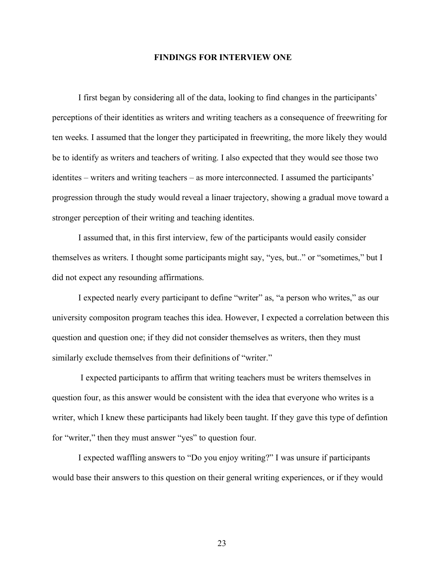#### **FINDINGS FOR INTERVIEW ONE**

I first began by considering all of the data, looking to find changes in the participants' perceptions of their identities as writers and writing teachers as a consequence of freewriting for ten weeks. I assumed that the longer they participated in freewriting, the more likely they would be to identify as writers and teachers of writing. I also expected that they would see those two identites – writers and writing teachers – as more interconnected. I assumed the participants' progression through the study would reveal a linaer trajectory, showing a gradual move toward a stronger perception of their writing and teaching identites.

I assumed that, in this first interview, few of the participants would easily consider themselves as writers. I thought some participants might say, "yes, but.." or "sometimes," but I did not expect any resounding affirmations.

I expected nearly every participant to define "writer" as, "a person who writes," as our university compositon program teaches this idea. However, I expected a correlation between this question and question one; if they did not consider themselves as writers, then they must similarly exclude themselves from their definitions of "writer."

I expected participants to affirm that writing teachers must be writers themselves in question four, as this answer would be consistent with the idea that everyone who writes is a writer, which I knew these participants had likely been taught. If they gave this type of defintion for "writer," then they must answer "yes" to question four.

I expected waffling answers to "Do you enjoy writing?" I was unsure if participants would base their answers to this question on their general writing experiences, or if they would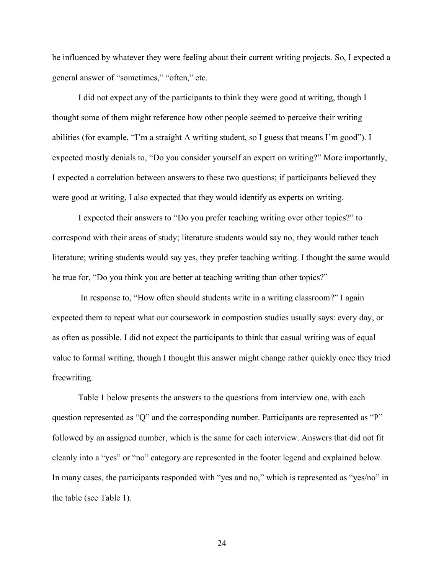be influenced by whatever they were feeling about their current writing projects. So, I expected a general answer of "sometimes," "often," etc.

I did not expect any of the participants to think they were good at writing, though I thought some of them might reference how other people seemed to perceive their writing abilities (for example, "I'm a straight A writing student, so I guess that means I'm good"). I expected mostly denials to, "Do you consider yourself an expert on writing?" More importantly, I expected a correlation between answers to these two questions; if participants believed they were good at writing, I also expected that they would identify as experts on writing.

I expected their answers to "Do you prefer teaching writing over other topics?" to correspond with their areas of study; literature students would say no, they would rather teach literature; writing students would say yes, they prefer teaching writing. I thought the same would be true for, "Do you think you are better at teaching writing than other topics?"

In response to, "How often should students write in a writing classroom?" I again expected them to repeat what our coursework in compostion studies usually says: every day, or as often as possible. I did not expect the participants to think that casual writing was of equal value to formal writing, though I thought this answer might change rather quickly once they tried freewriting.

Table 1 below presents the answers to the questions from interview one, with each question represented as "Q" and the corresponding number. Participants are represented as "P" followed by an assigned number, which is the same for each interview. Answers that did not fit cleanly into a "yes" or "no" category are represented in the footer legend and explained below. In many cases, the participants responded with "yes and no," which is represented as "yes/no" in the table (see Table 1).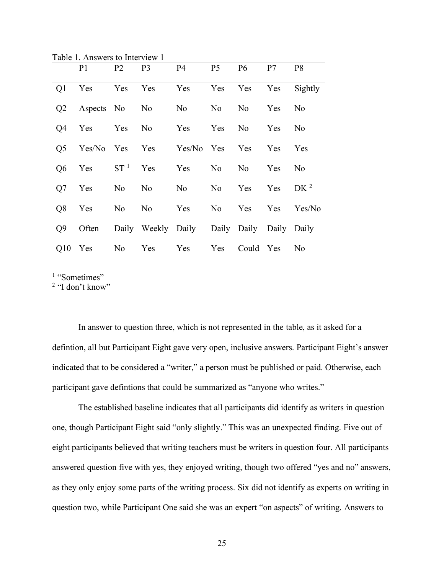|                | I avic 1. Alisweis to filter view T |                |                                            |                 |    |            |     |                |
|----------------|-------------------------------------|----------------|--------------------------------------------|-----------------|----|------------|-----|----------------|
|                | P1                                  | P <sub>2</sub> | P <sub>3</sub>                             | P4              | P5 | <b>P6</b>  | P7  | P <sub>8</sub> |
| Q1             | Yes Yes Yes                         |                |                                            | Yes Yes Yes Yes |    |            |     | Sightly        |
|                | Q2 Aspects No No                    |                |                                            | No No No Yes    |    |            |     | N <sub>o</sub> |
| Q4             | Yes Yes No Yes Yes No               |                |                                            |                 |    |            | Yes | N <sub>o</sub> |
| Q <sub>5</sub> | Yes/No Yes Yes Yes/No Yes Yes       |                |                                            |                 |    |            | Yes | Yes            |
|                | $Q6$ Yes $ST^1$ Yes                 |                |                                            | Yes             |    | No No      | Yes | No             |
| Q7             | Yes No No                           |                |                                            | No No Yes Yes   |    |            |     | $DK^2$         |
| Q8             | Yes                                 | No no          | No No                                      | Yes             |    | No Yes Yes |     | Yes/No         |
|                | Q9 Often                            |                | Daily Weekly Daily Daily Daily Daily Daily |                 |    |            |     |                |
|                | Q10 Yes No Yes Yes Yes Could Yes    |                |                                            |                 |    |            |     | N <sub>o</sub> |

Table 1. Answers to Interview 1

<sup>1</sup> "Sometimes"

<sup>2</sup> "I don't know"

In answer to question three, which is not represented in the table, as it asked for a defintion, all but Participant Eight gave very open, inclusive answers. Participant Eight's answer indicated that to be considered a "writer," a person must be published or paid. Otherwise, each participant gave defintions that could be summarized as "anyone who writes."

The established baseline indicates that all participants did identify as writers in question one, though Participant Eight said "only slightly." This was an unexpected finding. Five out of eight participants believed that writing teachers must be writers in question four. All participants answered question five with yes, they enjoyed writing, though two offered "yes and no" answers, as they only enjoy some parts of the writing process. Six did not identify as experts on writing in question two, while Participant One said she was an expert "on aspects" of writing. Answers to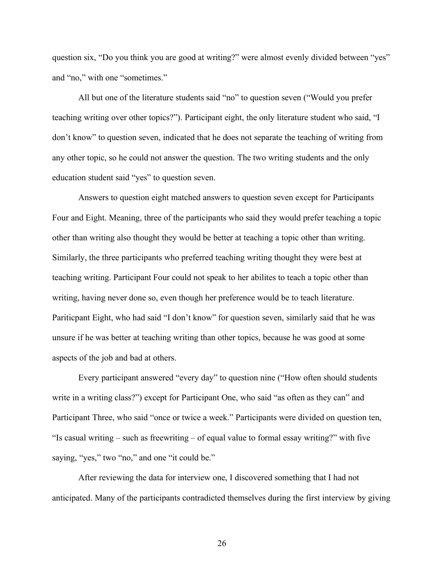question six, "Do you think you are good at writing?" were almost evenly divided between "yes" and "no," with one "sometimes."

All but one of the literature students said "no" to question seven ("Would you prefer teaching writing over other topics?"). Participant eight, the only literature student who said, "I don't know" to question seven, indicated that he does not separate the teaching of writing from any other topic, so he could not answer the question. The two writing students and the only education student said "yes" to question seven.

Answers to question eight matched answers to question seven except for Participants Four and Eight. Meaning, three of the participants who said they would prefer teaching a topic other than writing also thought they would be better at teaching a topic other than writing. Similarly, the three participants who preferred teaching writing thought they were best at teaching writing. Participant Four could not speak to her abilites to teach a topic other than writing, having never done so, even though her preference would be to teach literature. Pariticpant Eight, who had said "I don't know" for question seven, similarly said that he was unsure if he was better at teaching writing than other topics, because he was good at some aspects of the job and bad at others.

Every participant answered "every day" to question nine ("How often should students write in a writing class?") except for Participant One, who said "as often as they can" and Participant Three, who said "once or twice a week." Participants were divided on question ten, "Is casual writing – such as freewriting – of equal value to formal essay writing?" with five saying, "yes," two "no," and one "it could be."

After reviewing the data for interview one, I discovered something that I had not anticipated. Many of the participants contradicted themselves during the first interview by giving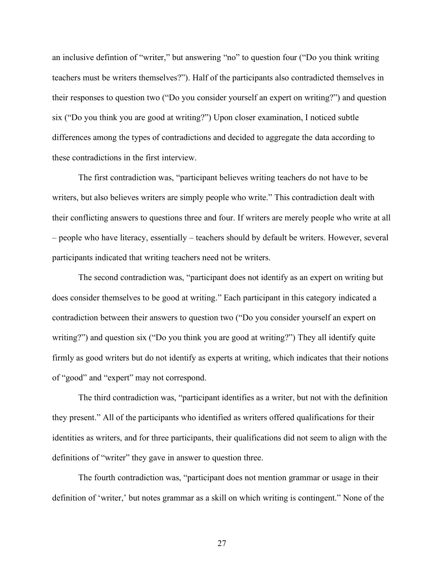an inclusive defintion of "writer," but answering "no" to question four ("Do you think writing teachers must be writers themselves?"). Half of the participants also contradicted themselves in their responses to question two ("Do you consider yourself an expert on writing?") and question six ("Do you think you are good at writing?") Upon closer examination, I noticed subtle differences among the types of contradictions and decided to aggregate the data according to these contradictions in the first interview.

The first contradiction was, "participant believes writing teachers do not have to be writers, but also believes writers are simply people who write." This contradiction dealt with their conflicting answers to questions three and four. If writers are merely people who write at all – people who have literacy, essentially – teachers should by default be writers. However, several participants indicated that writing teachers need not be writers.

The second contradiction was, "participant does not identify as an expert on writing but does consider themselves to be good at writing." Each participant in this category indicated a contradiction between their answers to question two ("Do you consider yourself an expert on writing?") and question six ("Do you think you are good at writing?") They all identify quite firmly as good writers but do not identify as experts at writing, which indicates that their notions of "good" and "expert" may not correspond.

The third contradiction was, "participant identifies as a writer, but not with the definition they present." All of the participants who identified as writers offered qualifications for their identities as writers, and for three participants, their qualifications did not seem to align with the definitions of "writer" they gave in answer to question three.

The fourth contradiction was, "participant does not mention grammar or usage in their definition of 'writer,' but notes grammar as a skill on which writing is contingent." None of the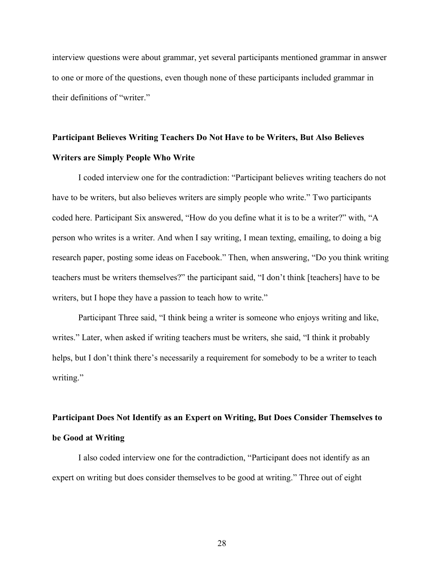interview questions were about grammar, yet several participants mentioned grammar in answer to one or more of the questions, even though none of these participants included grammar in their definitions of "writer."

# **Participant Believes Writing Teachers Do Not Have to be Writers, But Also Believes Writers are Simply People Who Write**

I coded interview one for the contradiction: "Participant believes writing teachers do not have to be writers, but also believes writers are simply people who write." Two participants coded here. Participant Six answered, "How do you define what it is to be a writer?" with, "A person who writes is a writer. And when I say writing, I mean texting, emailing, to doing a big research paper, posting some ideas on Facebook." Then, when answering, "Do you think writing teachers must be writers themselves?" the participant said, "I don't think [teachers] have to be writers, but I hope they have a passion to teach how to write."

Participant Three said, "I think being a writer is someone who enjoys writing and like, writes." Later, when asked if writing teachers must be writers, she said, "I think it probably helps, but I don't think there's necessarily a requirement for somebody to be a writer to teach writing."

## **Participant Does Not Identify as an Expert on Writing, But Does Consider Themselves to be Good at Writing**

I also coded interview one for the contradiction, "Participant does not identify as an expert on writing but does consider themselves to be good at writing." Three out of eight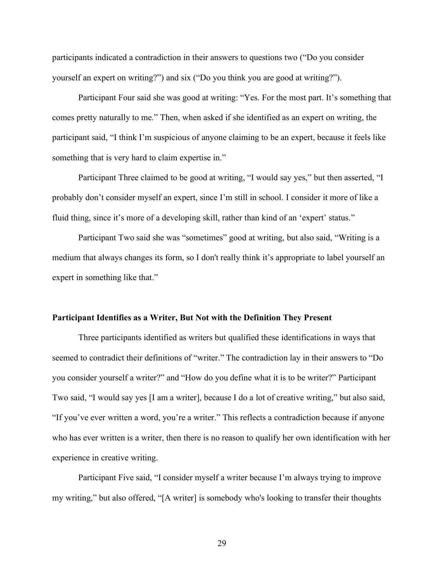participants indicated a contradiction in their answers to questions two ("Do you consider yourself an expert on writing?") and six ("Do you think you are good at writing?").

Participant Four said she was good at writing: "Yes. For the most part. It's something that comes pretty naturally to me." Then, when asked if she identified as an expert on writing, the participant said, "I think I'm suspicious of anyone claiming to be an expert, because it feels like something that is very hard to claim expertise in."

Participant Three claimed to be good at writing, "I would say yes," but then asserted, "I probably don't consider myself an expert, since I'm still in school. I consider it more of like a fluid thing, since it's more of a developing skill, rather than kind of an 'expert' status."

Participant Two said she was "sometimes" good at writing, but also said, "Writing is a medium that always changes its form, so I don't really think it's appropriate to label yourself an expert in something like that."

#### **Participant Identifies as a Writer, But Not with the Definition They Present**

Three participants identified as writers but qualified these identifications in ways that seemed to contradict their definitions of "writer." The contradiction lay in their answers to "Do you consider yourself a writer?" and "How do you define what it is to be writer?" Participant Two said, "I would say yes [I am a writer], because I do a lot of creative writing," but also said, "If you've ever written a word, you're a writer." This reflects a contradiction because if anyone who has ever written is a writer, then there is no reason to qualify her own identification with her experience in creative writing.

Participant Five said, "I consider myself a writer because I'm always trying to improve my writing," but also offered, "[A writer] is somebody who's looking to transfer their thoughts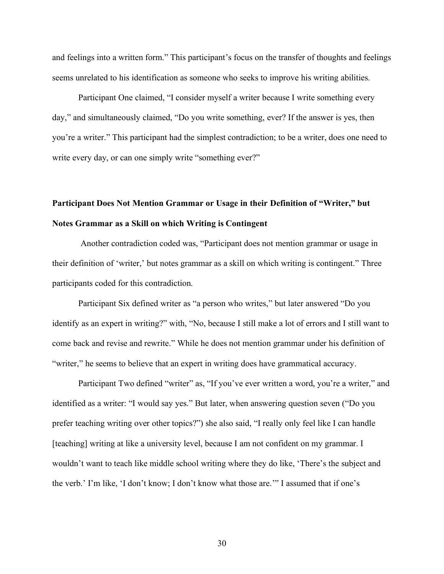and feelings into a written form." This participant's focus on the transfer of thoughts and feelings seems unrelated to his identification as someone who seeks to improve his writing abilities.

Participant One claimed, "I consider myself a writer because I write something every day," and simultaneously claimed, "Do you write something, ever? If the answer is yes, then you're a writer." This participant had the simplest contradiction; to be a writer, does one need to write every day, or can one simply write "something ever?"

# **Participant Does Not Mention Grammar or Usage in their Definition of "Writer," but Notes Grammar as a Skill on which Writing is Contingent**

Another contradiction coded was, "Participant does not mention grammar or usage in their definition of 'writer,' but notes grammar as a skill on which writing is contingent." Three participants coded for this contradiction.

Participant Six defined writer as "a person who writes," but later answered "Do you identify as an expert in writing?" with, "No, because I still make a lot of errors and I still want to come back and revise and rewrite." While he does not mention grammar under his definition of "writer," he seems to believe that an expert in writing does have grammatical accuracy.

Participant Two defined "writer" as, "If you've ever written a word, you're a writer," and identified as a writer: "I would say yes." But later, when answering question seven ("Do you prefer teaching writing over other topics?") she also said, "I really only feel like I can handle [teaching] writing at like a university level, because I am not confident on my grammar. I wouldn't want to teach like middle school writing where they do like, 'There's the subject and the verb.' I'm like, 'I don't know; I don't know what those are.'" I assumed that if one's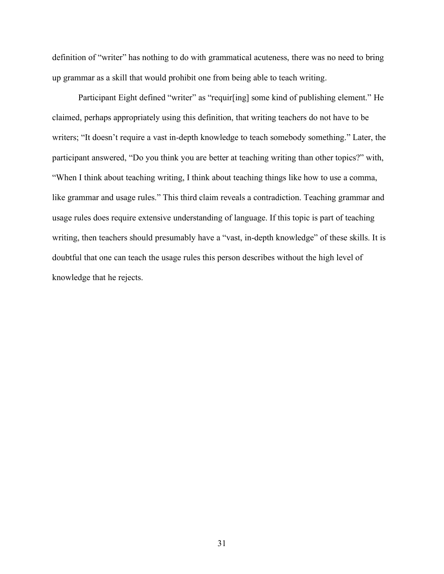definition of "writer" has nothing to do with grammatical acuteness, there was no need to bring up grammar as a skill that would prohibit one from being able to teach writing.

Participant Eight defined "writer" as "requir[ing] some kind of publishing element." He claimed, perhaps appropriately using this definition, that writing teachers do not have to be writers; "It doesn't require a vast in-depth knowledge to teach somebody something." Later, the participant answered, "Do you think you are better at teaching writing than other topics?" with, "When I think about teaching writing, I think about teaching things like how to use a comma, like grammar and usage rules." This third claim reveals a contradiction. Teaching grammar and usage rules does require extensive understanding of language. If this topic is part of teaching writing, then teachers should presumably have a "vast, in-depth knowledge" of these skills. It is doubtful that one can teach the usage rules this person describes without the high level of knowledge that he rejects.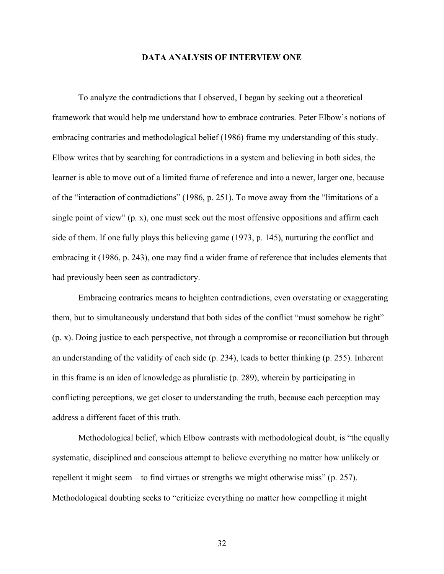### **DATA ANALYSIS OF INTERVIEW ONE**

To analyze the contradictions that I observed, I began by seeking out a theoretical framework that would help me understand how to embrace contraries. Peter Elbow's notions of embracing contraries and methodological belief (1986) frame my understanding of this study. Elbow writes that by searching for contradictions in a system and believing in both sides, the learner is able to move out of a limited frame of reference and into a newer, larger one, because of the "interaction of contradictions" (1986, p. 251). To move away from the "limitations of a single point of view" (p. x), one must seek out the most offensive oppositions and affirm each side of them. If one fully plays this believing game (1973, p. 145), nurturing the conflict and embracing it (1986, p. 243), one may find a wider frame of reference that includes elements that had previously been seen as contradictory.

Embracing contraries means to heighten contradictions, even overstating or exaggerating them, but to simultaneously understand that both sides of the conflict "must somehow be right" (p. x). Doing justice to each perspective, not through a compromise or reconciliation but through an understanding of the validity of each side (p. 234), leads to better thinking (p. 255). Inherent in this frame is an idea of knowledge as pluralistic (p. 289), wherein by participating in conflicting perceptions, we get closer to understanding the truth, because each perception may address a different facet of this truth.

Methodological belief, which Elbow contrasts with methodological doubt, is "the equally systematic, disciplined and conscious attempt to believe everything no matter how unlikely or repellent it might seem – to find virtues or strengths we might otherwise miss" (p. 257). Methodological doubting seeks to "criticize everything no matter how compelling it might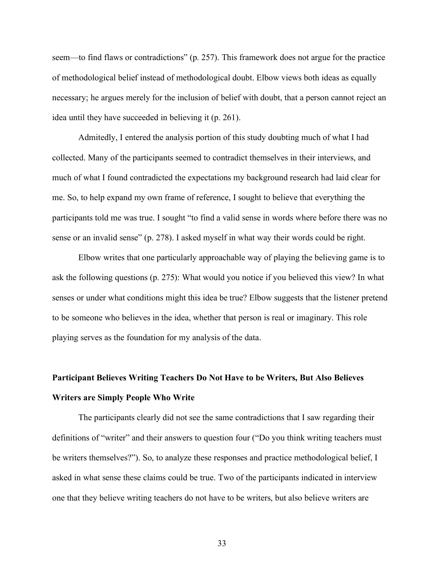seem—to find flaws or contradictions" (p. 257). This framework does not argue for the practice of methodological belief instead of methodological doubt. Elbow views both ideas as equally necessary; he argues merely for the inclusion of belief with doubt, that a person cannot reject an idea until they have succeeded in believing it (p. 261).

Admitedly, I entered the analysis portion of this study doubting much of what I had collected. Many of the participants seemed to contradict themselves in their interviews, and much of what I found contradicted the expectations my background research had laid clear for me. So, to help expand my own frame of reference, I sought to believe that everything the participants told me was true. I sought "to find a valid sense in words where before there was no sense or an invalid sense" (p. 278). I asked myself in what way their words could be right.

Elbow writes that one particularly approachable way of playing the believing game is to ask the following questions (p. 275): What would you notice if you believed this view? In what senses or under what conditions might this idea be true? Elbow suggests that the listener pretend to be someone who believes in the idea, whether that person is real or imaginary. This role playing serves as the foundation for my analysis of the data.

# **Participant Believes Writing Teachers Do Not Have to be Writers, But Also Believes Writers are Simply People Who Write**

The participants clearly did not see the same contradictions that I saw regarding their definitions of "writer" and their answers to question four ("Do you think writing teachers must be writers themselves?"). So, to analyze these responses and practice methodological belief, I asked in what sense these claims could be true. Two of the participants indicated in interview one that they believe writing teachers do not have to be writers, but also believe writers are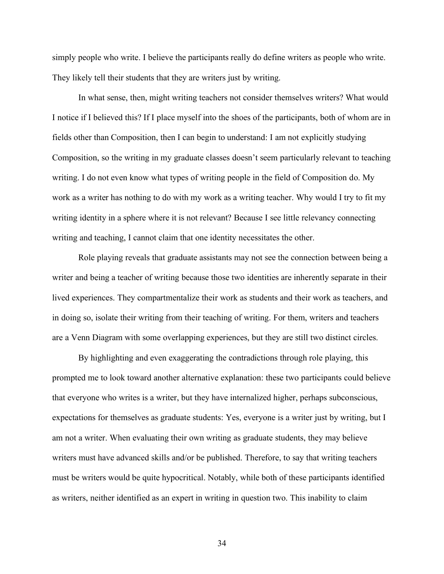simply people who write. I believe the participants really do define writers as people who write. They likely tell their students that they are writers just by writing.

In what sense, then, might writing teachers not consider themselves writers? What would I notice if I believed this? If I place myself into the shoes of the participants, both of whom are in fields other than Composition, then I can begin to understand: I am not explicitly studying Composition, so the writing in my graduate classes doesn't seem particularly relevant to teaching writing. I do not even know what types of writing people in the field of Composition do. My work as a writer has nothing to do with my work as a writing teacher. Why would I try to fit my writing identity in a sphere where it is not relevant? Because I see little relevancy connecting writing and teaching, I cannot claim that one identity necessitates the other.

Role playing reveals that graduate assistants may not see the connection between being a writer and being a teacher of writing because those two identities are inherently separate in their lived experiences. They compartmentalize their work as students and their work as teachers, and in doing so, isolate their writing from their teaching of writing. For them, writers and teachers are a Venn Diagram with some overlapping experiences, but they are still two distinct circles.

By highlighting and even exaggerating the contradictions through role playing, this prompted me to look toward another alternative explanation: these two participants could believe that everyone who writes is a writer, but they have internalized higher, perhaps subconscious, expectations for themselves as graduate students: Yes, everyone is a writer just by writing, but I am not a writer. When evaluating their own writing as graduate students, they may believe writers must have advanced skills and/or be published. Therefore, to say that writing teachers must be writers would be quite hypocritical. Notably, while both of these participants identified as writers, neither identified as an expert in writing in question two. This inability to claim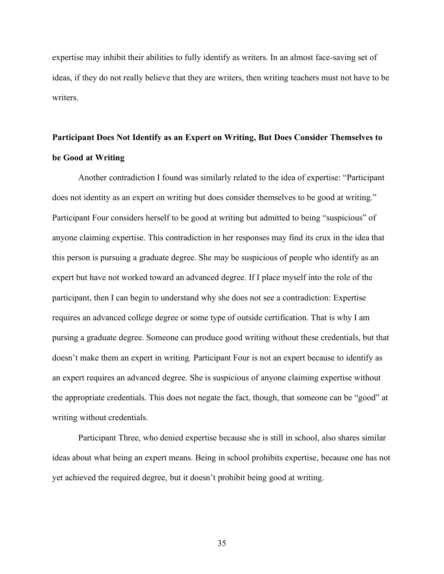expertise may inhibit their abilities to fully identify as writers. In an almost face-saving set of ideas, if they do not really believe that they are writers, then writing teachers must not have to be writers.

# **Participant Does Not Identify as an Expert on Writing, But Does Consider Themselves to be Good at Writing**

Another contradiction I found was similarly related to the idea of expertise: "Participant does not identity as an expert on writing but does consider themselves to be good at writing." Participant Four considers herself to be good at writing but admitted to being "suspicious" of anyone claiming expertise. This contradiction in her responses may find its crux in the idea that this person is pursuing a graduate degree. She may be suspicious of people who identify as an expert but have not worked toward an advanced degree. If I place myself into the role of the participant, then I can begin to understand why she does not see a contradiction: Expertise requires an advanced college degree or some type of outside certification. That is why I am pursing a graduate degree. Someone can produce good writing without these credentials, but that doesn't make them an expert in writing*.* Participant Four is not an expert because to identify as an expert requires an advanced degree. She is suspicious of anyone claiming expertise without the appropriate credentials. This does not negate the fact, though, that someone can be "good" at writing without credentials.

Participant Three, who denied expertise because she is still in school, also shares similar ideas about what being an expert means. Being in school prohibits expertise, because one has not yet achieved the required degree, but it doesn't prohibit being good at writing.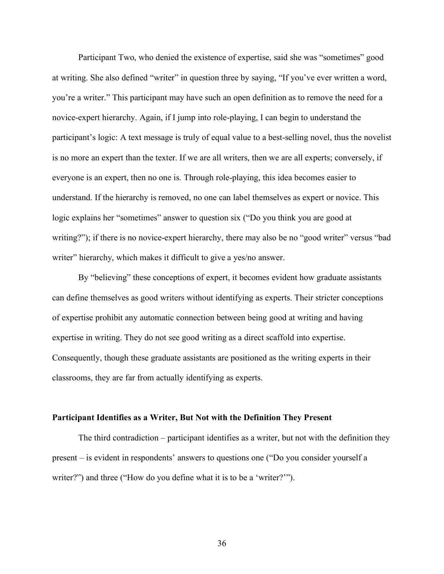Participant Two, who denied the existence of expertise, said she was "sometimes" good at writing. She also defined "writer" in question three by saying, "If you've ever written a word, you're a writer." This participant may have such an open definition as to remove the need for a novice-expert hierarchy. Again, if I jump into role-playing, I can begin to understand the participant's logic: A text message is truly of equal value to a best-selling novel, thus the novelist is no more an expert than the texter. If we are all writers, then we are all experts; conversely, if everyone is an expert, then no one is*.* Through role-playing, this idea becomes easier to understand. If the hierarchy is removed, no one can label themselves as expert or novice. This logic explains her "sometimes" answer to question six ("Do you think you are good at writing?"); if there is no novice-expert hierarchy, there may also be no "good writer" versus "bad writer" hierarchy, which makes it difficult to give a yes/no answer.

By "believing" these conceptions of expert, it becomes evident how graduate assistants can define themselves as good writers without identifying as experts. Their stricter conceptions of expertise prohibit any automatic connection between being good at writing and having expertise in writing. They do not see good writing as a direct scaffold into expertise. Consequently, though these graduate assistants are positioned as the writing experts in their classrooms, they are far from actually identifying as experts.

### **Participant Identifies as a Writer, But Not with the Definition They Present**

The third contradiction – participant identifies as a writer, but not with the definition they present – is evident in respondents' answers to questions one ("Do you consider yourself a writer?") and three ("How do you define what it is to be a 'writer?'").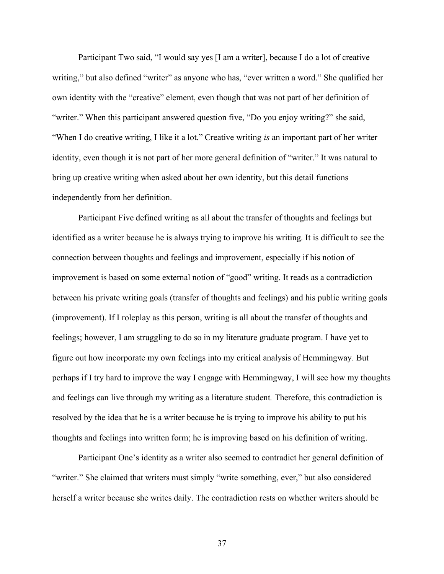Participant Two said, "I would say yes [I am a writer], because I do a lot of creative writing," but also defined "writer" as anyone who has, "ever written a word." She qualified her own identity with the "creative" element, even though that was not part of her definition of "writer." When this participant answered question five, "Do you enjoy writing?" she said, "When I do creative writing, I like it a lot." Creative writing *is* an important part of her writer identity, even though it is not part of her more general definition of "writer." It was natural to bring up creative writing when asked about her own identity, but this detail functions independently from her definition.

Participant Five defined writing as all about the transfer of thoughts and feelings but identified as a writer because he is always trying to improve his writing. It is difficult to see the connection between thoughts and feelings and improvement, especially if his notion of improvement is based on some external notion of "good" writing. It reads as a contradiction between his private writing goals (transfer of thoughts and feelings) and his public writing goals (improvement). If I roleplay as this person, writing is all about the transfer of thoughts and feelings; however, I am struggling to do so in my literature graduate program. I have yet to figure out how incorporate my own feelings into my critical analysis of Hemmingway. But perhaps if I try hard to improve the way I engage with Hemmingway, I will see how my thoughts and feelings can live through my writing as a literature student*.* Therefore, this contradiction is resolved by the idea that he is a writer because he is trying to improve his ability to put his thoughts and feelings into written form; he is improving based on his definition of writing.

Participant One's identity as a writer also seemed to contradict her general definition of "writer." She claimed that writers must simply "write something, ever," but also considered herself a writer because she writes daily. The contradiction rests on whether writers should be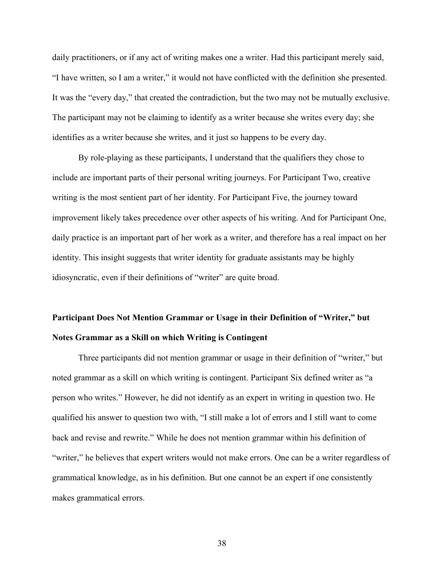daily practitioners, or if any act of writing makes one a writer. Had this participant merely said, "I have written, so I am a writer," it would not have conflicted with the definition she presented. It was the "every day," that created the contradiction, but the two may not be mutually exclusive. The participant may not be claiming to identify as a writer because she writes every day; she identifies as a writer because she writes, and it just so happens to be every day.

By role-playing as these participants, I understand that the qualifiers they chose to include are important parts of their personal writing journeys. For Participant Two, creative writing is the most sentient part of her identity. For Participant Five, the journey toward improvement likely takes precedence over other aspects of his writing. And for Participant One, daily practice is an important part of her work as a writer, and therefore has a real impact on her identity. This insight suggests that writer identity for graduate assistants may be highly idiosyncratic, even if their definitions of "writer" are quite broad.

# **Participant Does Not Mention Grammar or Usage in their Definition of "Writer," but Notes Grammar as a Skill on which Writing is Contingent**

Three participants did not mention grammar or usage in their definition of "writer," but noted grammar as a skill on which writing is contingent. Participant Six defined writer as "a person who writes." However, he did not identify as an expert in writing in question two. He qualified his answer to question two with, "I still make a lot of errors and I still want to come back and revise and rewrite." While he does not mention grammar within his definition of "writer," he believes that expert writers would not make errors. One can be a writer regardless of grammatical knowledge, as in his definition. But one cannot be an expert if one consistently makes grammatical errors.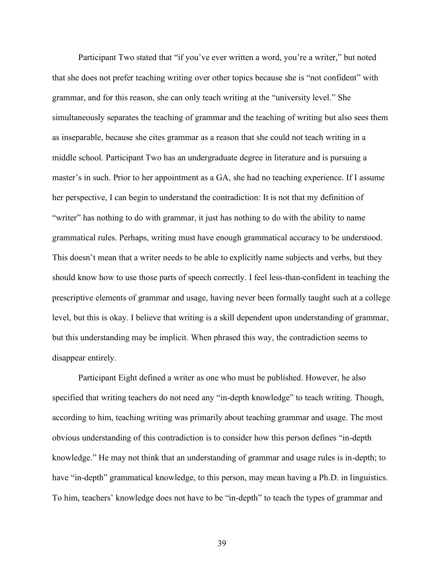Participant Two stated that "if you've ever written a word, you're a writer," but noted that she does not prefer teaching writing over other topics because she is "not confident" with grammar, and for this reason, she can only teach writing at the "university level." She simultaneously separates the teaching of grammar and the teaching of writing but also sees them as inseparable, because she cites grammar as a reason that she could not teach writing in a middle school. Participant Two has an undergraduate degree in literature and is pursuing a master's in such. Prior to her appointment as a GA, she had no teaching experience. If I assume her perspective, I can begin to understand the contradiction: It is not that my definition of "writer" has nothing to do with grammar, it just has nothing to do with the ability to name grammatical rules. Perhaps, writing must have enough grammatical accuracy to be understood. This doesn't mean that a writer needs to be able to explicitly name subjects and verbs, but they should know how to use those parts of speech correctly. I feel less-than-confident in teaching the prescriptive elements of grammar and usage, having never been formally taught such at a college level, but this is okay. I believe that writing is a skill dependent upon understanding of grammar, but this understanding may be implicit*.* When phrased this way, the contradiction seems to disappear entirely.

Participant Eight defined a writer as one who must be published. However, he also specified that writing teachers do not need any "in-depth knowledge" to teach writing. Though, according to him, teaching writing was primarily about teaching grammar and usage. The most obvious understanding of this contradiction is to consider how this person defines "in-depth knowledge." He may not think that an understanding of grammar and usage rules is in-depth; to have "in-depth" grammatical knowledge, to this person, may mean having a Ph.D. in linguistics. To him, teachers' knowledge does not have to be "in-depth" to teach the types of grammar and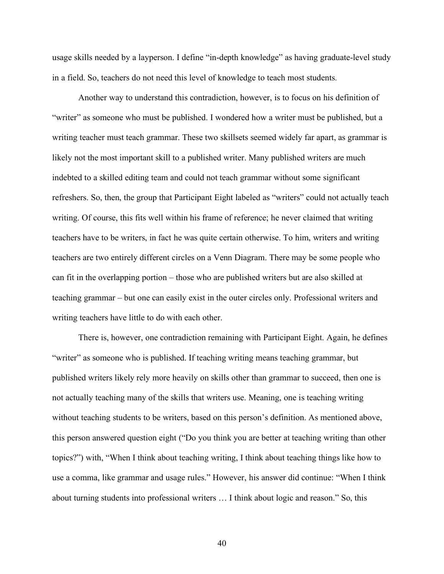usage skills needed by a layperson. I define "in-depth knowledge" as having graduate-level study in a field. So, teachers do not need this level of knowledge to teach most students*.*

Another way to understand this contradiction, however, is to focus on his definition of "writer" as someone who must be published. I wondered how a writer must be published, but a writing teacher must teach grammar. These two skillsets seemed widely far apart, as grammar is likely not the most important skill to a published writer. Many published writers are much indebted to a skilled editing team and could not teach grammar without some significant refreshers. So, then, the group that Participant Eight labeled as "writers" could not actually teach writing. Of course, this fits well within his frame of reference; he never claimed that writing teachers have to be writers, in fact he was quite certain otherwise. To him, writers and writing teachers are two entirely different circles on a Venn Diagram. There may be some people who can fit in the overlapping portion – those who are published writers but are also skilled at teaching grammar – but one can easily exist in the outer circles only. Professional writers and writing teachers have little to do with each other.

There is, however, one contradiction remaining with Participant Eight. Again, he defines "writer" as someone who is published. If teaching writing means teaching grammar, but published writers likely rely more heavily on skills other than grammar to succeed, then one is not actually teaching many of the skills that writers use. Meaning, one is teaching writing without teaching students to be writers, based on this person's definition. As mentioned above, this person answered question eight ("Do you think you are better at teaching writing than other topics?") with, "When I think about teaching writing, I think about teaching things like how to use a comma, like grammar and usage rules." However, his answer did continue: "When I think about turning students into professional writers … I think about logic and reason." So, this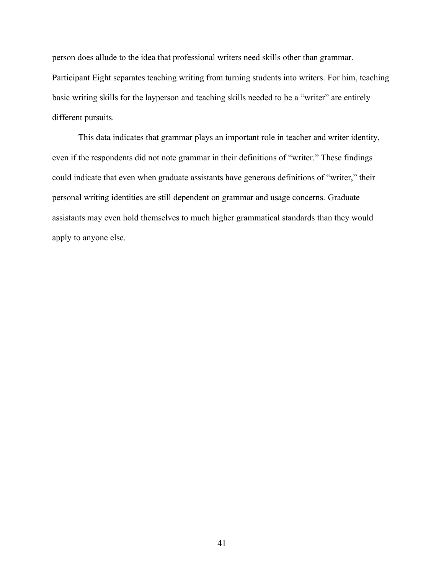person does allude to the idea that professional writers need skills other than grammar. Participant Eight separates teaching writing from turning students into writers. For him, teaching basic writing skills for the layperson and teaching skills needed to be a "writer" are entirely different pursuits.

This data indicates that grammar plays an important role in teacher and writer identity, even if the respondents did not note grammar in their definitions of "writer." These findings could indicate that even when graduate assistants have generous definitions of "writer," their personal writing identities are still dependent on grammar and usage concerns. Graduate assistants may even hold themselves to much higher grammatical standards than they would apply to anyone else.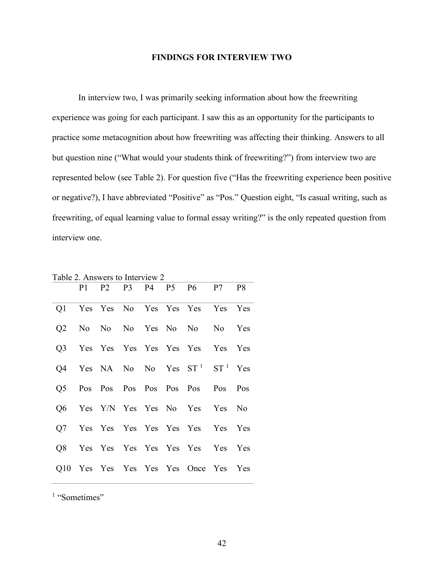## **FINDINGS FOR INTERVIEW TWO**

In interview two, I was primarily seeking information about how the freewriting experience was going for each participant. I saw this as an opportunity for the participants to practice some metacognition about how freewriting was affecting their thinking. Answers to all but question nine ("What would your students think of freewriting?") from interview two are represented below (see Table 2). For question five ("Has the freewriting experience been positive or negative?), I have abbreviated "Positive" as "Pos." Question eight, "Is casual writing, such as freewriting, of equal learning value to formal essay writing?" is the only repeated question from interview one.

|  |  |  | P1 P2 P3 P4 P5 P6 P7 P8                                 |  |
|--|--|--|---------------------------------------------------------|--|
|  |  |  | Q1 Yes Yes No Yes Yes Yes Yes Yes S                     |  |
|  |  |  | Q2 No No No Yes No No No Yes                            |  |
|  |  |  | Q3 Yes Yes Yes Yes Yes Yes Yes Yes Yes                  |  |
|  |  |  | Q4 Yes NA No No Yes ST <sup>1</sup> ST <sup>1</sup> Yes |  |
|  |  |  | Q5 Pos Pos Pos Pos Pos Pos Pos Pos Pos                  |  |
|  |  |  | Q6 Yes Y/N Yes Yes No Yes Yes No                        |  |
|  |  |  | Q7 Yes Yes Yes Yes Yes Yes Yes Yes Yes                  |  |
|  |  |  | Q8 Yes Yes Yes Yes Yes Yes Yes Yes Yes                  |  |
|  |  |  | Q10 Yes Yes Yes Yes Yes Once Yes Yes                    |  |

Table 2. Answers to Interview 2

<sup>1</sup> "Sometimes"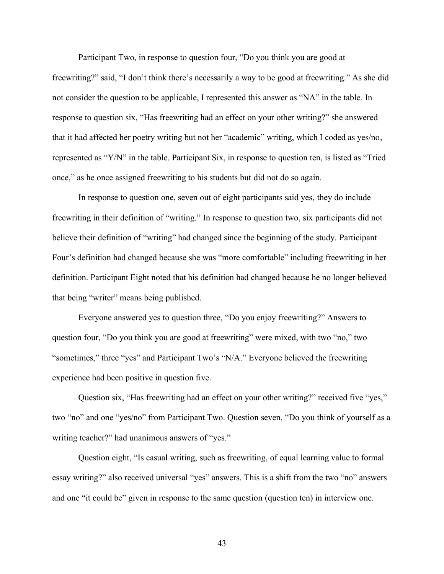Participant Two, in response to question four, "Do you think you are good at

freewriting?" said, "I don't think there's necessarily a way to be good at freewriting." As she did not consider the question to be applicable, I represented this answer as "NA" in the table. In response to question six, "Has freewriting had an effect on your other writing?" she answered that it had affected her poetry writing but not her "academic" writing, which I coded as yes/no, represented as "Y/N" in the table. Participant Six, in response to question ten, is listed as "Tried once," as he once assigned freewriting to his students but did not do so again.

In response to question one, seven out of eight participants said yes, they do include freewriting in their definition of "writing." In response to question two, six participants did not believe their definition of "writing" had changed since the beginning of the study. Participant Four's definition had changed because she was "more comfortable" including freewriting in her definition. Participant Eight noted that his definition had changed because he no longer believed that being "writer" means being published.

Everyone answered yes to question three, "Do you enjoy freewriting?" Answers to question four, "Do you think you are good at freewriting" were mixed, with two "no," two "sometimes," three "yes" and Participant Two's "N/A." Everyone believed the freewriting experience had been positive in question five.

Question six, "Has freewriting had an effect on your other writing?" received five "yes," two "no" and one "yes/no" from Participant Two. Question seven, "Do you think of yourself as a writing teacher?" had unanimous answers of "yes."

Question eight, "Is casual writing, such as freewriting, of equal learning value to formal essay writing?" also received universal "yes" answers. This is a shift from the two "no" answers and one "it could be" given in response to the same question (question ten) in interview one.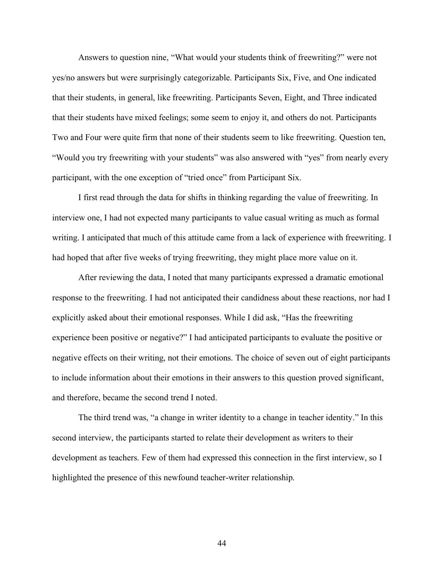Answers to question nine, "What would your students think of freewriting?" were not yes/no answers but were surprisingly categorizable. Participants Six, Five, and One indicated that their students, in general, like freewriting. Participants Seven, Eight, and Three indicated that their students have mixed feelings; some seem to enjoy it, and others do not. Participants Two and Four were quite firm that none of their students seem to like freewriting. Question ten, "Would you try freewriting with your students" was also answered with "yes" from nearly every participant, with the one exception of "tried once" from Participant Six.

I first read through the data for shifts in thinking regarding the value of freewriting. In interview one, I had not expected many participants to value casual writing as much as formal writing. I anticipated that much of this attitude came from a lack of experience with freewriting. I had hoped that after five weeks of trying freewriting, they might place more value on it.

After reviewing the data, I noted that many participants expressed a dramatic emotional response to the freewriting. I had not anticipated their candidness about these reactions, nor had I explicitly asked about their emotional responses. While I did ask, "Has the freewriting experience been positive or negative?" I had anticipated participants to evaluate the positive or negative effects on their writing, not their emotions. The choice of seven out of eight participants to include information about their emotions in their answers to this question proved significant, and therefore, became the second trend I noted.

The third trend was, "a change in writer identity to a change in teacher identity." In this second interview, the participants started to relate their development as writers to their development as teachers. Few of them had expressed this connection in the first interview, so I highlighted the presence of this newfound teacher-writer relationship.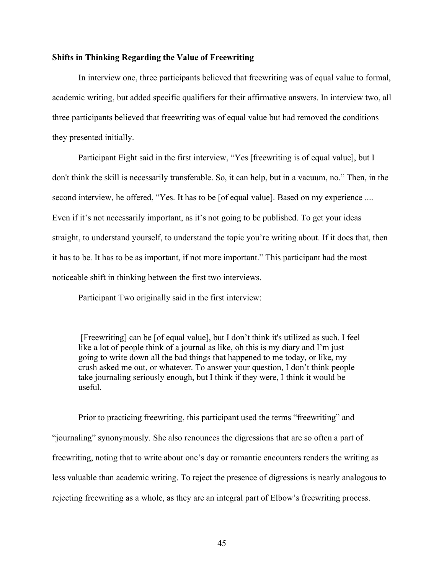### **Shifts in Thinking Regarding the Value of Freewriting**

In interview one, three participants believed that freewriting was of equal value to formal, academic writing, but added specific qualifiers for their affirmative answers. In interview two, all three participants believed that freewriting was of equal value but had removed the conditions they presented initially.

Participant Eight said in the first interview, "Yes [freewriting is of equal value], but I don't think the skill is necessarily transferable. So, it can help, but in a vacuum, no." Then, in the second interview, he offered, "Yes. It has to be [of equal value]. Based on my experience .... Even if it's not necessarily important, as it's not going to be published. To get your ideas straight, to understand yourself, to understand the topic you're writing about. If it does that, then it has to be. It has to be as important, if not more important." This participant had the most noticeable shift in thinking between the first two interviews.

Participant Two originally said in the first interview:

[Freewriting] can be [of equal value], but I don't think it's utilized as such. I feel like a lot of people think of a journal as like, oh this is my diary and I'm just going to write down all the bad things that happened to me today, or like, my crush asked me out, or whatever. To answer your question, I don't think people take journaling seriously enough, but I think if they were, I think it would be useful.

Prior to practicing freewriting, this participant used the terms "freewriting" and "journaling" synonymously. She also renounces the digressions that are so often a part of freewriting, noting that to write about one's day or romantic encounters renders the writing as less valuable than academic writing. To reject the presence of digressions is nearly analogous to rejecting freewriting as a whole, as they are an integral part of Elbow's freewriting process.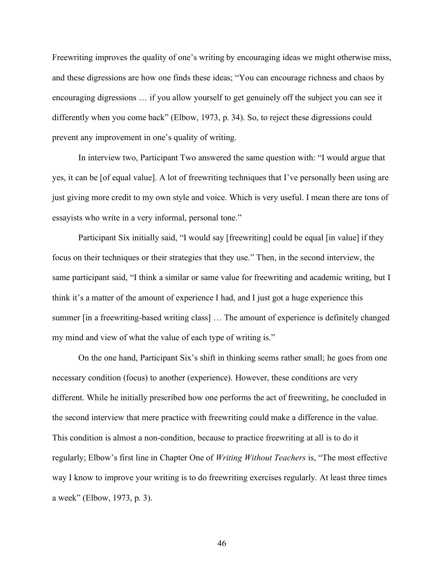Freewriting improves the quality of one's writing by encouraging ideas we might otherwise miss, and these digressions are how one finds these ideas; "You can encourage richness and chaos by encouraging digressions … if you allow yourself to get genuinely off the subject you can see it differently when you come back" (Elbow, 1973, p. 34). So, to reject these digressions could prevent any improvement in one's quality of writing.

In interview two, Participant Two answered the same question with: "I would argue that yes, it can be [of equal value]. A lot of freewriting techniques that I've personally been using are just giving more credit to my own style and voice. Which is very useful. I mean there are tons of essayists who write in a very informal, personal tone."

Participant Six initially said, "I would say [freewriting] could be equal [in value] if they focus on their techniques or their strategies that they use." Then, in the second interview, the same participant said, "I think a similar or same value for freewriting and academic writing, but I think it's a matter of the amount of experience I had, and I just got a huge experience this summer [in a freewriting-based writing class] … The amount of experience is definitely changed my mind and view of what the value of each type of writing is."

On the one hand, Participant Six's shift in thinking seems rather small; he goes from one necessary condition (focus) to another (experience). However, these conditions are very different. While he initially prescribed how one performs the act of freewriting, he concluded in the second interview that mere practice with freewriting could make a difference in the value. This condition is almost a non-condition, because to practice freewriting at all is to do it regularly; Elbow's first line in Chapter One of *Writing Without Teachers* is, "The most effective way I know to improve your writing is to do freewriting exercises regularly. At least three times a week" (Elbow, 1973, p. 3).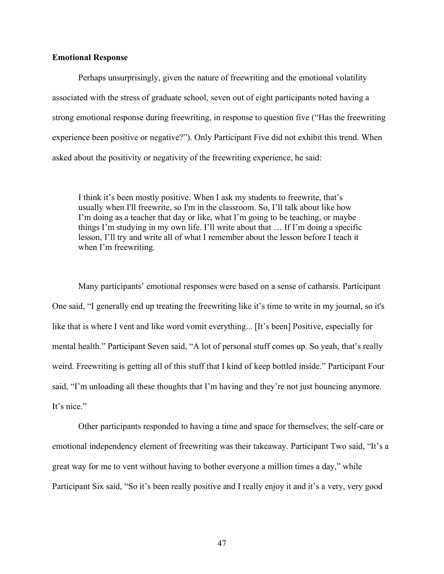### **Emotional Response**

Perhaps unsurprisingly, given the nature of freewriting and the emotional volatility associated with the stress of graduate school, seven out of eight participants noted having a strong emotional response during freewriting, in response to question five ("Has the freewriting experience been positive or negative?"). Only Participant Five did not exhibit this trend. When asked about the positivity or negativity of the freewriting experience, he said:

I think it's been mostly positive. When I ask my students to freewrite, that's usually when I'll freewrite, so I'm in the classroom. So, I'll talk about like how I'm doing as a teacher that day or like, what I'm going to be teaching, or maybe things I'm studying in my own life. I'll write about that … If I'm doing a specific lesson, I'll try and write all of what I remember about the lesson before I teach it when I'm freewriting.

Many participants' emotional responses were based on a sense of catharsis. Participant One said, "I generally end up treating the freewriting like it's time to write in my journal, so it's like that is where I vent and like word vomit everything... [It's been] Positive, especially for mental health." Participant Seven said, "A lot of personal stuff comes up. So yeah, that's really weird. Freewriting is getting all of this stuff that I kind of keep bottled inside." Participant Four said, "I'm unloading all these thoughts that I'm having and they're not just bouncing anymore. It's nice."

Other participants responded to having a time and space for themselves; the self-care or emotional independency element of freewriting was their takeaway. Participant Two said, "It's a great way for me to vent without having to bother everyone a million times a day," while Participant Six said, "So it's been really positive and I really enjoy it and it's a very, very good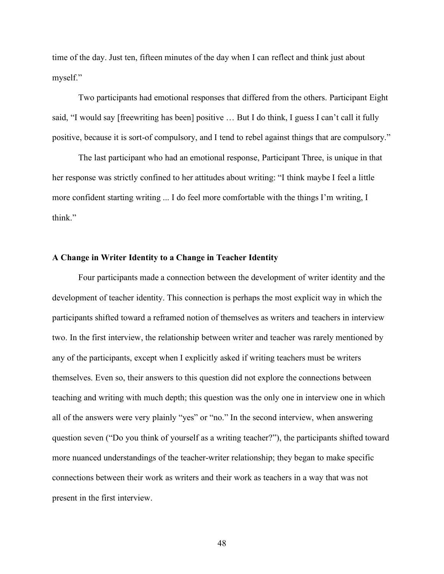time of the day. Just ten, fifteen minutes of the day when I can reflect and think just about myself."

Two participants had emotional responses that differed from the others. Participant Eight said, "I would say [freewriting has been] positive … But I do think, I guess I can't call it fully positive, because it is sort-of compulsory, and I tend to rebel against things that are compulsory."

The last participant who had an emotional response, Participant Three, is unique in that her response was strictly confined to her attitudes about writing: "I think maybe I feel a little more confident starting writing ... I do feel more comfortable with the things I'm writing, I think."

### **A Change in Writer Identity to a Change in Teacher Identity**

Four participants made a connection between the development of writer identity and the development of teacher identity. This connection is perhaps the most explicit way in which the participants shifted toward a reframed notion of themselves as writers and teachers in interview two. In the first interview, the relationship between writer and teacher was rarely mentioned by any of the participants, except when I explicitly asked if writing teachers must be writers themselves. Even so, their answers to this question did not explore the connections between teaching and writing with much depth; this question was the only one in interview one in which all of the answers were very plainly "yes" or "no." In the second interview, when answering question seven ("Do you think of yourself as a writing teacher?"), the participants shifted toward more nuanced understandings of the teacher-writer relationship; they began to make specific connections between their work as writers and their work as teachers in a way that was not present in the first interview.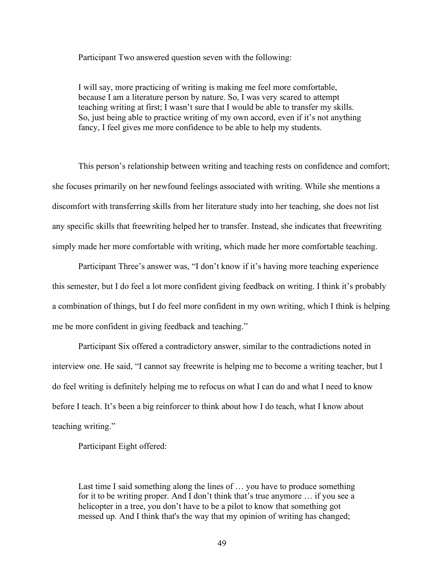Participant Two answered question seven with the following:

I will say, more practicing of writing is making me feel more comfortable, because I am a literature person by nature. So, I was very scared to attempt teaching writing at first; I wasn't sure that I would be able to transfer my skills. So, just being able to practice writing of my own accord, even if it's not anything fancy, I feel gives me more confidence to be able to help my students.

This person's relationship between writing and teaching rests on confidence and comfort; she focuses primarily on her newfound feelings associated with writing. While she mentions a discomfort with transferring skills from her literature study into her teaching, she does not list any specific skills that freewriting helped her to transfer. Instead, she indicates that freewriting simply made her more comfortable with writing, which made her more comfortable teaching.

Participant Three's answer was, "I don't know if it's having more teaching experience this semester, but I do feel a lot more confident giving feedback on writing. I think it's probably a combination of things, but I do feel more confident in my own writing, which I think is helping me be more confident in giving feedback and teaching."

Participant Six offered a contradictory answer, similar to the contradictions noted in interview one. He said, "I cannot say freewrite is helping me to become a writing teacher, but I do feel writing is definitely helping me to refocus on what I can do and what I need to know before I teach. It's been a big reinforcer to think about how I do teach, what I know about teaching writing."

Participant Eight offered:

Last time I said something along the lines of … you have to produce something for it to be writing proper. And I don't think that's true anymore … if you see a helicopter in a tree, you don't have to be a pilot to know that something got messed up. And I think that's the way that my opinion of writing has changed;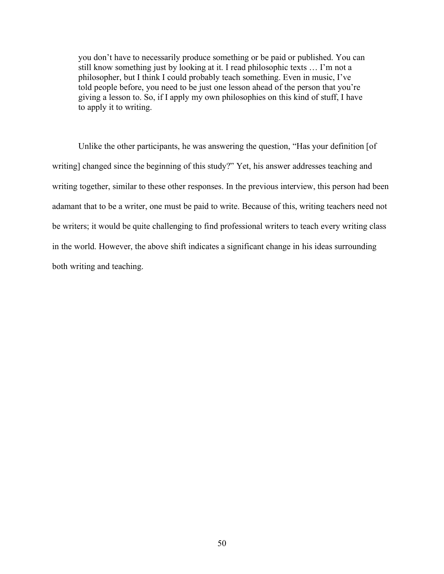you don't have to necessarily produce something or be paid or published. You can still know something just by looking at it. I read philosophic texts … I'm not a philosopher, but I think I could probably teach something. Even in music, I've told people before, you need to be just one lesson ahead of the person that you're giving a lesson to. So, if I apply my own philosophies on this kind of stuff, I have to apply it to writing.

Unlike the other participants, he was answering the question, "Has your definition [of writing] changed since the beginning of this study?" Yet, his answer addresses teaching and writing together, similar to these other responses. In the previous interview, this person had been adamant that to be a writer, one must be paid to write. Because of this, writing teachers need not be writers; it would be quite challenging to find professional writers to teach every writing class in the world. However, the above shift indicates a significant change in his ideas surrounding both writing and teaching.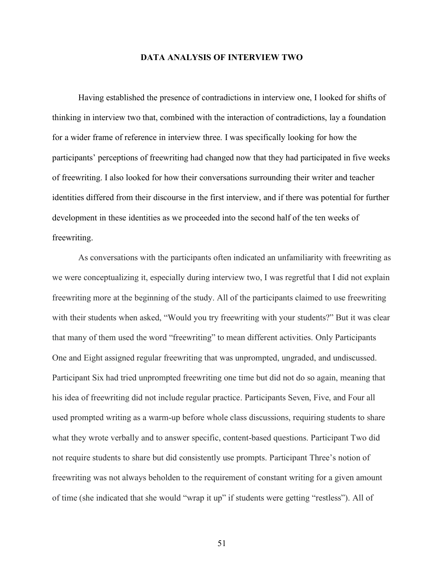### **DATA ANALYSIS OF INTERVIEW TWO**

Having established the presence of contradictions in interview one, I looked for shifts of thinking in interview two that, combined with the interaction of contradictions, lay a foundation for a wider frame of reference in interview three. I was specifically looking for how the participants' perceptions of freewriting had changed now that they had participated in five weeks of freewriting. I also looked for how their conversations surrounding their writer and teacher identities differed from their discourse in the first interview, and if there was potential for further development in these identities as we proceeded into the second half of the ten weeks of freewriting.

As conversations with the participants often indicated an unfamiliarity with freewriting as we were conceptualizing it, especially during interview two, I was regretful that I did not explain freewriting more at the beginning of the study. All of the participants claimed to use freewriting with their students when asked, "Would you try freewriting with your students?" But it was clear that many of them used the word "freewriting" to mean different activities. Only Participants One and Eight assigned regular freewriting that was unprompted, ungraded, and undiscussed. Participant Six had tried unprompted freewriting one time but did not do so again, meaning that his idea of freewriting did not include regular practice. Participants Seven, Five, and Four all used prompted writing as a warm-up before whole class discussions, requiring students to share what they wrote verbally and to answer specific, content-based questions. Participant Two did not require students to share but did consistently use prompts. Participant Three's notion of freewriting was not always beholden to the requirement of constant writing for a given amount of time (she indicated that she would "wrap it up" if students were getting "restless"). All of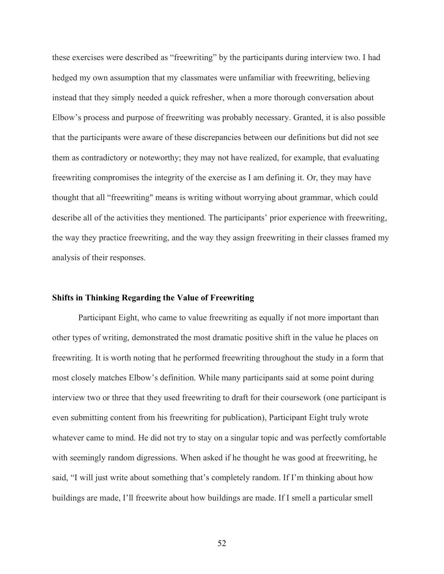these exercises were described as "freewriting" by the participants during interview two. I had hedged my own assumption that my classmates were unfamiliar with freewriting, believing instead that they simply needed a quick refresher, when a more thorough conversation about Elbow's process and purpose of freewriting was probably necessary. Granted, it is also possible that the participants were aware of these discrepancies between our definitions but did not see them as contradictory or noteworthy; they may not have realized, for example, that evaluating freewriting compromises the integrity of the exercise as I am defining it. Or, they may have thought that all "freewriting" means is writing without worrying about grammar, which could describe all of the activities they mentioned. The participants' prior experience with freewriting, the way they practice freewriting, and the way they assign freewriting in their classes framed my analysis of their responses.

### **Shifts in Thinking Regarding the Value of Freewriting**

Participant Eight, who came to value freewriting as equally if not more important than other types of writing, demonstrated the most dramatic positive shift in the value he places on freewriting. It is worth noting that he performed freewriting throughout the study in a form that most closely matches Elbow's definition. While many participants said at some point during interview two or three that they used freewriting to draft for their coursework (one participant is even submitting content from his freewriting for publication), Participant Eight truly wrote whatever came to mind. He did not try to stay on a singular topic and was perfectly comfortable with seemingly random digressions. When asked if he thought he was good at freewriting, he said, "I will just write about something that's completely random. If I'm thinking about how buildings are made, I'll freewrite about how buildings are made. If I smell a particular smell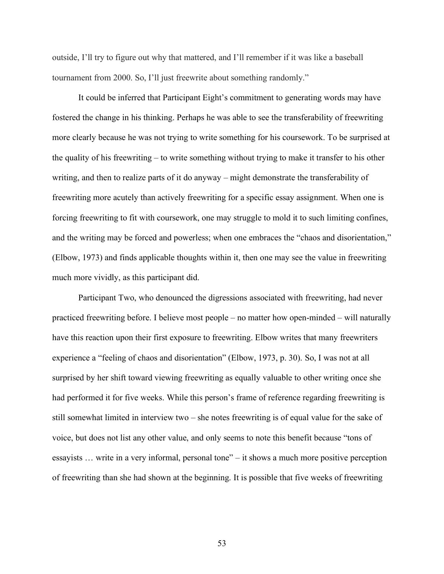outside, I'll try to figure out why that mattered, and I'll remember if it was like a baseball tournament from 2000. So, I'll just freewrite about something randomly."

It could be inferred that Participant Eight's commitment to generating words may have fostered the change in his thinking. Perhaps he was able to see the transferability of freewriting more clearly because he was not trying to write something for his coursework. To be surprised at the quality of his freewriting – to write something without trying to make it transfer to his other writing, and then to realize parts of it do anyway – might demonstrate the transferability of freewriting more acutely than actively freewriting for a specific essay assignment. When one is forcing freewriting to fit with coursework, one may struggle to mold it to such limiting confines, and the writing may be forced and powerless; when one embraces the "chaos and disorientation," (Elbow, 1973) and finds applicable thoughts within it, then one may see the value in freewriting much more vividly, as this participant did.

Participant Two, who denounced the digressions associated with freewriting, had never practiced freewriting before. I believe most people – no matter how open-minded – will naturally have this reaction upon their first exposure to freewriting. Elbow writes that many freewriters experience a "feeling of chaos and disorientation" (Elbow, 1973, p. 30). So, I was not at all surprised by her shift toward viewing freewriting as equally valuable to other writing once she had performed it for five weeks. While this person's frame of reference regarding freewriting is still somewhat limited in interview two – she notes freewriting is of equal value for the sake of voice, but does not list any other value, and only seems to note this benefit because "tons of essayists … write in a very informal, personal tone" – it shows a much more positive perception of freewriting than she had shown at the beginning. It is possible that five weeks of freewriting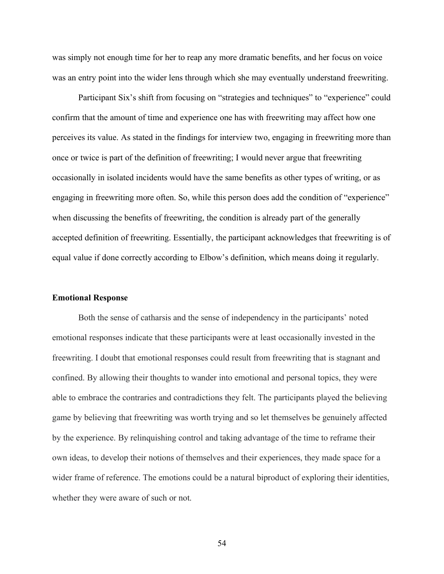was simply not enough time for her to reap any more dramatic benefits, and her focus on voice was an entry point into the wider lens through which she may eventually understand freewriting.

Participant Six's shift from focusing on "strategies and techniques" to "experience" could confirm that the amount of time and experience one has with freewriting may affect how one perceives its value. As stated in the findings for interview two, engaging in freewriting more than once or twice is part of the definition of freewriting; I would never argue that freewriting occasionally in isolated incidents would have the same benefits as other types of writing, or as engaging in freewriting more often. So, while this person does add the condition of "experience" when discussing the benefits of freewriting, the condition is already part of the generally accepted definition of freewriting. Essentially, the participant acknowledges that freewriting is of equal value if done correctly according to Elbow's definition, which means doing it regularly.

#### **Emotional Response**

Both the sense of catharsis and the sense of independency in the participants' noted emotional responses indicate that these participants were at least occasionally invested in the freewriting. I doubt that emotional responses could result from freewriting that is stagnant and confined. By allowing their thoughts to wander into emotional and personal topics, they were able to embrace the contraries and contradictions they felt. The participants played the believing game by believing that freewriting was worth trying and so let themselves be genuinely affected by the experience. By relinquishing control and taking advantage of the time to reframe their own ideas, to develop their notions of themselves and their experiences, they made space for a wider frame of reference. The emotions could be a natural biproduct of exploring their identities, whether they were aware of such or not.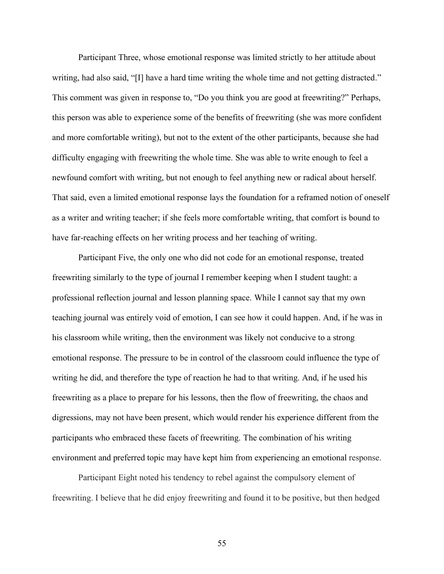Participant Three, whose emotional response was limited strictly to her attitude about writing, had also said, "[I] have a hard time writing the whole time and not getting distracted." This comment was given in response to, "Do you think you are good at freewriting?" Perhaps, this person was able to experience some of the benefits of freewriting (she was more confident and more comfortable writing), but not to the extent of the other participants, because she had difficulty engaging with freewriting the whole time. She was able to write enough to feel a newfound comfort with writing, but not enough to feel anything new or radical about herself. That said, even a limited emotional response lays the foundation for a reframed notion of oneself as a writer and writing teacher; if she feels more comfortable writing, that comfort is bound to have far-reaching effects on her writing process and her teaching of writing.

Participant Five, the only one who did not code for an emotional response, treated freewriting similarly to the type of journal I remember keeping when I student taught: a professional reflection journal and lesson planning space. While I cannot say that my own teaching journal was entirely void of emotion, I can see how it could happen. And, if he was in his classroom while writing, then the environment was likely not conducive to a strong emotional response. The pressure to be in control of the classroom could influence the type of writing he did, and therefore the type of reaction he had to that writing. And, if he used his freewriting as a place to prepare for his lessons, then the flow of freewriting, the chaos and digressions, may not have been present, which would render his experience different from the participants who embraced these facets of freewriting. The combination of his writing environment and preferred topic may have kept him from experiencing an emotional response.

Participant Eight noted his tendency to rebel against the compulsory element of freewriting. I believe that he did enjoy freewriting and found it to be positive, but then hedged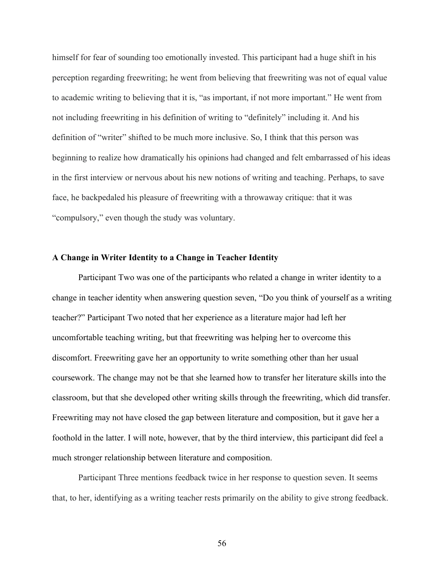himself for fear of sounding too emotionally invested. This participant had a huge shift in his perception regarding freewriting; he went from believing that freewriting was not of equal value to academic writing to believing that it is, "as important, if not more important." He went from not including freewriting in his definition of writing to "definitely" including it. And his definition of "writer" shifted to be much more inclusive. So, I think that this person was beginning to realize how dramatically his opinions had changed and felt embarrassed of his ideas in the first interview or nervous about his new notions of writing and teaching. Perhaps, to save face, he backpedaled his pleasure of freewriting with a throwaway critique: that it was "compulsory," even though the study was voluntary.

#### **A Change in Writer Identity to a Change in Teacher Identity**

Participant Two was one of the participants who related a change in writer identity to a change in teacher identity when answering question seven, "Do you think of yourself as a writing teacher?" Participant Two noted that her experience as a literature major had left her uncomfortable teaching writing, but that freewriting was helping her to overcome this discomfort. Freewriting gave her an opportunity to write something other than her usual coursework. The change may not be that she learned how to transfer her literature skills into the classroom, but that she developed other writing skills through the freewriting, which did transfer. Freewriting may not have closed the gap between literature and composition, but it gave her a foothold in the latter. I will note, however, that by the third interview, this participant did feel a much stronger relationship between literature and composition.

Participant Three mentions feedback twice in her response to question seven. It seems that, to her, identifying as a writing teacher rests primarily on the ability to give strong feedback.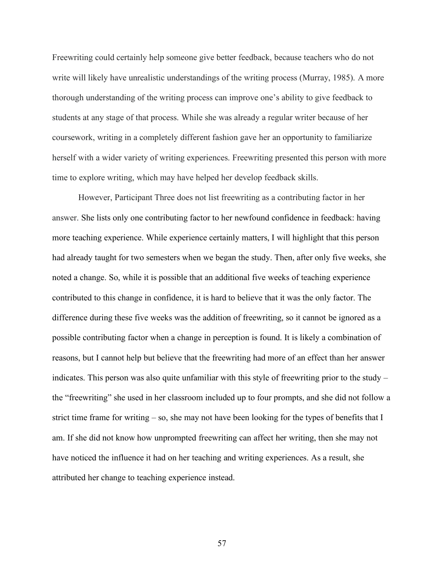Freewriting could certainly help someone give better feedback, because teachers who do not write will likely have unrealistic understandings of the writing process (Murray, 1985). A more thorough understanding of the writing process can improve one's ability to give feedback to students at any stage of that process. While she was already a regular writer because of her coursework, writing in a completely different fashion gave her an opportunity to familiarize herself with a wider variety of writing experiences. Freewriting presented this person with more time to explore writing, which may have helped her develop feedback skills.

However, Participant Three does not list freewriting as a contributing factor in her answer. She lists only one contributing factor to her newfound confidence in feedback: having more teaching experience. While experience certainly matters, I will highlight that this person had already taught for two semesters when we began the study. Then, after only five weeks, she noted a change. So, while it is possible that an additional five weeks of teaching experience contributed to this change in confidence, it is hard to believe that it was the only factor. The difference during these five weeks was the addition of freewriting, so it cannot be ignored as a possible contributing factor when a change in perception is found. It is likely a combination of reasons, but I cannot help but believe that the freewriting had more of an effect than her answer indicates. This person was also quite unfamiliar with this style of freewriting prior to the study – the "freewriting" she used in her classroom included up to four prompts, and she did not follow a strict time frame for writing – so, she may not have been looking for the types of benefits that I am. If she did not know how unprompted freewriting can affect her writing, then she may not have noticed the influence it had on her teaching and writing experiences. As a result, she attributed her change to teaching experience instead.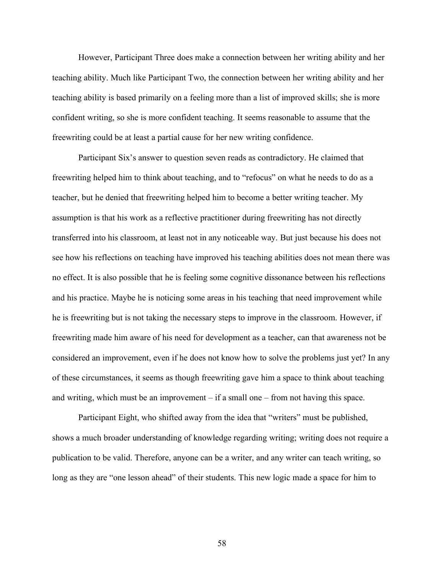However, Participant Three does make a connection between her writing ability and her teaching ability. Much like Participant Two, the connection between her writing ability and her teaching ability is based primarily on a feeling more than a list of improved skills; she is more confident writing, so she is more confident teaching. It seems reasonable to assume that the freewriting could be at least a partial cause for her new writing confidence.

Participant Six's answer to question seven reads as contradictory. He claimed that freewriting helped him to think about teaching, and to "refocus" on what he needs to do as a teacher, but he denied that freewriting helped him to become a better writing teacher. My assumption is that his work as a reflective practitioner during freewriting has not directly transferred into his classroom, at least not in any noticeable way. But just because his does not see how his reflections on teaching have improved his teaching abilities does not mean there was no effect. It is also possible that he is feeling some cognitive dissonance between his reflections and his practice. Maybe he is noticing some areas in his teaching that need improvement while he is freewriting but is not taking the necessary steps to improve in the classroom. However, if freewriting made him aware of his need for development as a teacher, can that awareness not be considered an improvement, even if he does not know how to solve the problems just yet? In any of these circumstances, it seems as though freewriting gave him a space to think about teaching and writing, which must be an improvement  $-$  if a small one  $-$  from not having this space.

Participant Eight, who shifted away from the idea that "writers" must be published, shows a much broader understanding of knowledge regarding writing; writing does not require a publication to be valid. Therefore, anyone can be a writer, and any writer can teach writing, so long as they are "one lesson ahead" of their students. This new logic made a space for him to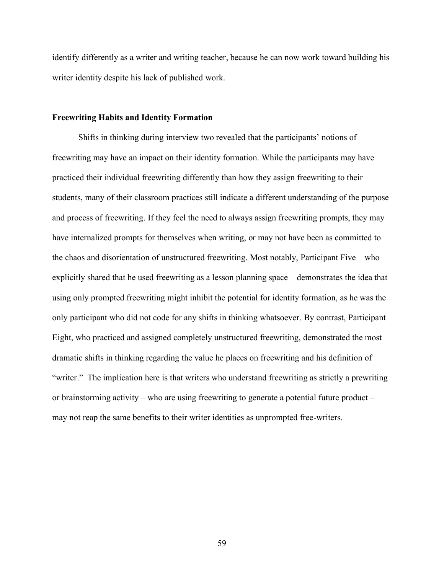identify differently as a writer and writing teacher, because he can now work toward building his writer identity despite his lack of published work.

### **Freewriting Habits and Identity Formation**

Shifts in thinking during interview two revealed that the participants' notions of freewriting may have an impact on their identity formation. While the participants may have practiced their individual freewriting differently than how they assign freewriting to their students, many of their classroom practices still indicate a different understanding of the purpose and process of freewriting. If they feel the need to always assign freewriting prompts, they may have internalized prompts for themselves when writing, or may not have been as committed to the chaos and disorientation of unstructured freewriting. Most notably, Participant Five – who explicitly shared that he used freewriting as a lesson planning space – demonstrates the idea that using only prompted freewriting might inhibit the potential for identity formation, as he was the only participant who did not code for any shifts in thinking whatsoever. By contrast, Participant Eight, who practiced and assigned completely unstructured freewriting, demonstrated the most dramatic shifts in thinking regarding the value he places on freewriting and his definition of "writer." The implication here is that writers who understand freewriting as strictly a prewriting or brainstorming activity – who are using freewriting to generate a potential future product – may not reap the same benefits to their writer identities as unprompted free-writers.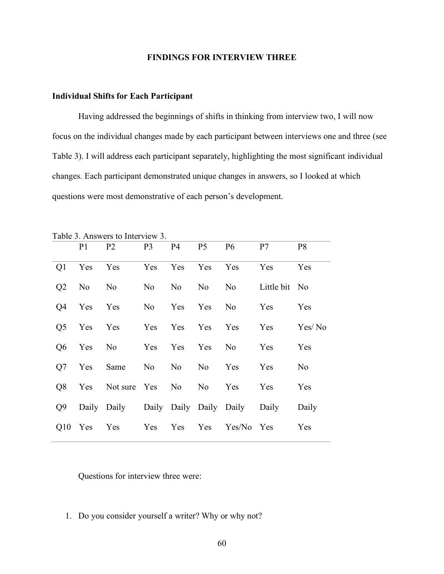## **FINDINGS FOR INTERVIEW THREE**

## **Individual Shifts for Each Participant**

Having addressed the beginnings of shifts in thinking from interview two, I will now focus on the individual changes made by each participant between interviews one and three (see Table 3). I will address each participant separately, highlighting the most significant individual changes. Each participant demonstrated unique changes in answers, so I looked at which questions were most demonstrative of each person's development.

|    | P1      | P2                             | P <sub>3</sub> | P4 P5 P6        |                   | P7                                                 | P <sub>8</sub> |
|----|---------|--------------------------------|----------------|-----------------|-------------------|----------------------------------------------------|----------------|
| Q1 | Yes Yes |                                |                | Yes Yes Yes Yes |                   | Yes                                                | Yes            |
|    |         | Q2 No No No                    |                |                 |                   | No No No Little bit No                             |                |
| Q4 | Yes Yes |                                |                |                 | No Yes Yes No Yes |                                                    | Yes            |
|    |         | Q5 Yes Yes Yes Yes Yes Yes Yes |                |                 |                   | Yes                                                | Yes/ No        |
|    |         |                                |                |                 |                   | Q6 Yes No Yes Yes Yes No Yes                       | Yes            |
|    |         | Q7 Yes Same No No No Yes Yes   |                |                 |                   |                                                    | N <sub>o</sub> |
| Q8 |         | Yes Not sure Yes No No Yes     |                |                 |                   | Yes                                                | Yes            |
|    |         |                                |                |                 |                   | Q9 Daily Daily Daily Daily Daily Daily Daily Daily |                |
|    |         |                                |                |                 |                   | Q10 Yes Yes Yes Yes Yes Yes/No Yes                 | Yes            |

Table 3. Answers to Interview 3.

Questions for interview three were:

1. Do you consider yourself a writer? Why or why not?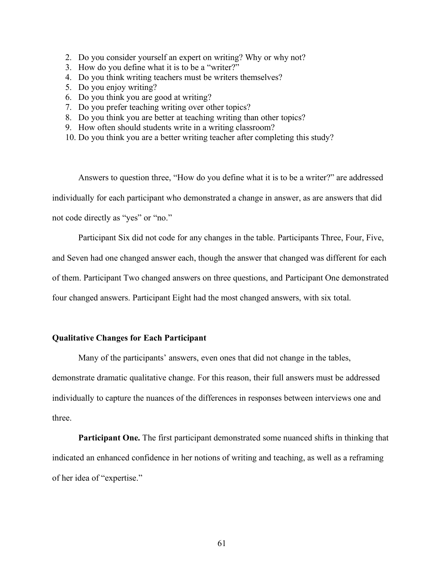- 2. Do you consider yourself an expert on writing? Why or why not?
- 3. How do you define what it is to be a "writer?"
- 4. Do you think writing teachers must be writers themselves?
- 5. Do you enjoy writing?
- 6. Do you think you are good at writing?
- 7. Do you prefer teaching writing over other topics?
- 8. Do you think you are better at teaching writing than other topics?
- 9. How often should students write in a writing classroom?
- 10. Do you think you are a better writing teacher after completing this study?

Answers to question three, "How do you define what it is to be a writer?" are addressed individually for each participant who demonstrated a change in answer, as are answers that did not code directly as "yes" or "no."

Participant Six did not code for any changes in the table. Participants Three, Four, Five,

and Seven had one changed answer each, though the answer that changed was different for each

of them. Participant Two changed answers on three questions, and Participant One demonstrated

four changed answers. Participant Eight had the most changed answers, with six total.

#### **Qualitative Changes for Each Participant**

Many of the participants' answers, even ones that did not change in the tables, demonstrate dramatic qualitative change. For this reason, their full answers must be addressed individually to capture the nuances of the differences in responses between interviews one and three.

**Participant One.** The first participant demonstrated some nuanced shifts in thinking that indicated an enhanced confidence in her notions of writing and teaching, as well as a reframing of her idea of "expertise."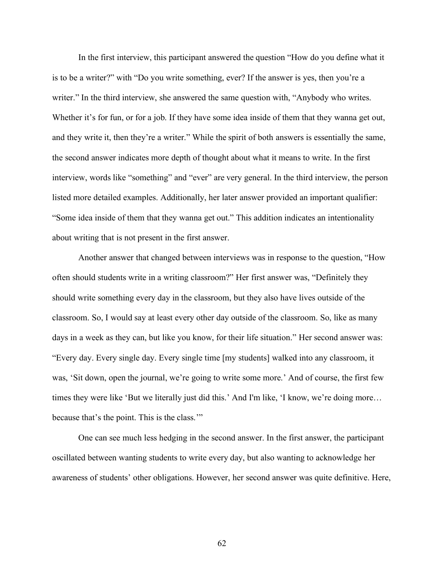In the first interview, this participant answered the question "How do you define what it is to be a writer?" with "Do you write something, ever? If the answer is yes, then you're a writer." In the third interview, she answered the same question with, "Anybody who writes. Whether it's for fun, or for a job. If they have some idea inside of them that they wanna get out, and they write it, then they're a writer." While the spirit of both answers is essentially the same, the second answer indicates more depth of thought about what it means to write. In the first interview, words like "something" and "ever" are very general. In the third interview, the person listed more detailed examples. Additionally, her later answer provided an important qualifier: "Some idea inside of them that they wanna get out." This addition indicates an intentionality about writing that is not present in the first answer.

Another answer that changed between interviews was in response to the question, "How often should students write in a writing classroom?" Her first answer was, "Definitely they should write something every day in the classroom, but they also have lives outside of the classroom. So, I would say at least every other day outside of the classroom. So, like as many days in a week as they can, but like you know, for their life situation." Her second answer was: "Every day. Every single day. Every single time [my students] walked into any classroom, it was, 'Sit down, open the journal, we're going to write some more.' And of course, the first few times they were like 'But we literally just did this.' And I'm like, 'I know, we're doing more… because that's the point. This is the class.'"

One can see much less hedging in the second answer. In the first answer, the participant oscillated between wanting students to write every day, but also wanting to acknowledge her awareness of students' other obligations. However, her second answer was quite definitive. Here,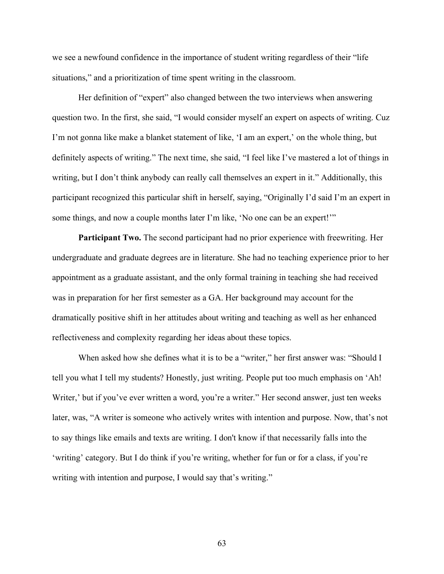we see a newfound confidence in the importance of student writing regardless of their "life situations," and a prioritization of time spent writing in the classroom.

Her definition of "expert" also changed between the two interviews when answering question two. In the first, she said, "I would consider myself an expert on aspects of writing. Cuz I'm not gonna like make a blanket statement of like, 'I am an expert,' on the whole thing, but definitely aspects of writing." The next time, she said, "I feel like I've mastered a lot of things in writing, but I don't think anybody can really call themselves an expert in it." Additionally, this participant recognized this particular shift in herself, saying, "Originally I'd said I'm an expert in some things, and now a couple months later I'm like, 'No one can be an expert!'"

**Participant Two.** The second participant had no prior experience with freewriting. Her undergraduate and graduate degrees are in literature. She had no teaching experience prior to her appointment as a graduate assistant, and the only formal training in teaching she had received was in preparation for her first semester as a GA. Her background may account for the dramatically positive shift in her attitudes about writing and teaching as well as her enhanced reflectiveness and complexity regarding her ideas about these topics.

When asked how she defines what it is to be a "writer," her first answer was: "Should I tell you what I tell my students? Honestly, just writing. People put too much emphasis on 'Ah! Writer,' but if you've ever written a word, you're a writer." Her second answer, just ten weeks later, was, "A writer is someone who actively writes with intention and purpose. Now, that's not to say things like emails and texts are writing. I don't know if that necessarily falls into the 'writing' category. But I do think if you're writing, whether for fun or for a class, if you're writing with intention and purpose, I would say that's writing."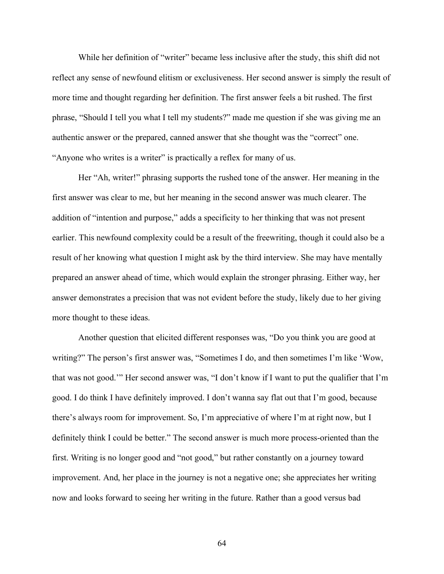While her definition of "writer" became less inclusive after the study, this shift did not reflect any sense of newfound elitism or exclusiveness. Her second answer is simply the result of more time and thought regarding her definition. The first answer feels a bit rushed. The first phrase, "Should I tell you what I tell my students?" made me question if she was giving me an authentic answer or the prepared, canned answer that she thought was the "correct" one. "Anyone who writes is a writer" is practically a reflex for many of us.

Her "Ah, writer!" phrasing supports the rushed tone of the answer. Her meaning in the first answer was clear to me, but her meaning in the second answer was much clearer. The addition of "intention and purpose," adds a specificity to her thinking that was not present earlier. This newfound complexity could be a result of the freewriting, though it could also be a result of her knowing what question I might ask by the third interview. She may have mentally prepared an answer ahead of time, which would explain the stronger phrasing. Either way, her answer demonstrates a precision that was not evident before the study, likely due to her giving more thought to these ideas.

Another question that elicited different responses was, "Do you think you are good at writing?" The person's first answer was, "Sometimes I do, and then sometimes I'm like 'Wow, that was not good.'" Her second answer was, "I don't know if I want to put the qualifier that I'm good. I do think I have definitely improved. I don't wanna say flat out that I'm good, because there's always room for improvement. So, I'm appreciative of where I'm at right now, but I definitely think I could be better." The second answer is much more process-oriented than the first. Writing is no longer good and "not good," but rather constantly on a journey toward improvement. And, her place in the journey is not a negative one; she appreciates her writing now and looks forward to seeing her writing in the future. Rather than a good versus bad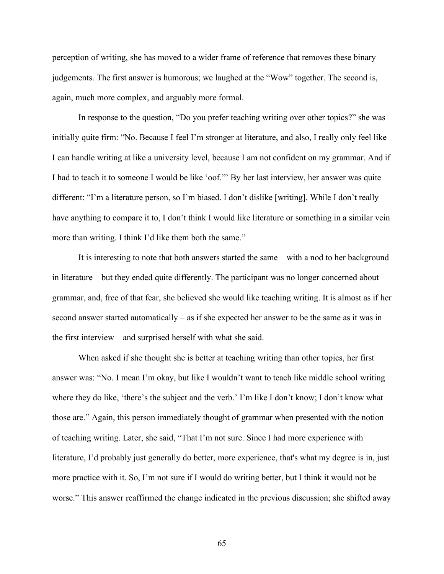perception of writing, she has moved to a wider frame of reference that removes these binary judgements. The first answer is humorous; we laughed at the "Wow" together. The second is, again, much more complex, and arguably more formal.

In response to the question, "Do you prefer teaching writing over other topics?" she was initially quite firm: "No. Because I feel I'm stronger at literature, and also, I really only feel like I can handle writing at like a university level, because I am not confident on my grammar. And if I had to teach it to someone I would be like 'oof."' By her last interview, her answer was quite different: "I'm a literature person, so I'm biased. I don't dislike [writing]. While I don't really have anything to compare it to, I don't think I would like literature or something in a similar vein more than writing. I think I'd like them both the same."

It is interesting to note that both answers started the same – with a nod to her background in literature – but they ended quite differently. The participant was no longer concerned about grammar, and, free of that fear, she believed she would like teaching writing. It is almost as if her second answer started automatically – as if she expected her answer to be the same as it was in the first interview – and surprised herself with what she said.

When asked if she thought she is better at teaching writing than other topics, her first answer was: "No. I mean I'm okay, but like I wouldn't want to teach like middle school writing where they do like, 'there's the subject and the verb.' I'm like I don't know; I don't know what those are." Again, this person immediately thought of grammar when presented with the notion of teaching writing. Later, she said, "That I'm not sure. Since I had more experience with literature, I'd probably just generally do better, more experience, that's what my degree is in, just more practice with it. So, I'm not sure if I would do writing better, but I think it would not be worse." This answer reaffirmed the change indicated in the previous discussion; she shifted away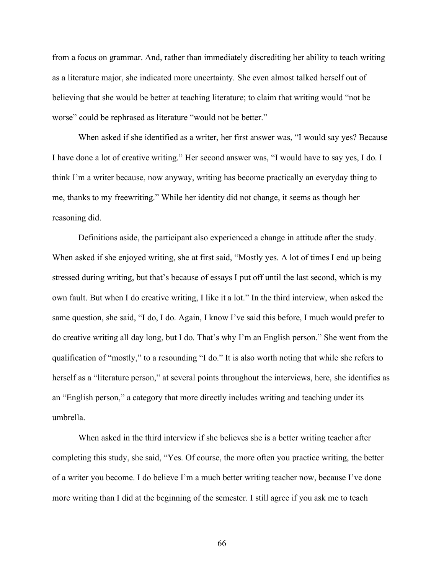from a focus on grammar. And, rather than immediately discrediting her ability to teach writing as a literature major, she indicated more uncertainty. She even almost talked herself out of believing that she would be better at teaching literature; to claim that writing would "not be worse" could be rephrased as literature "would not be better."

When asked if she identified as a writer, her first answer was, "I would say yes? Because I have done a lot of creative writing." Her second answer was, "I would have to say yes, I do. I think I'm a writer because, now anyway, writing has become practically an everyday thing to me, thanks to my freewriting." While her identity did not change, it seems as though her reasoning did.

Definitions aside, the participant also experienced a change in attitude after the study. When asked if she enjoyed writing, she at first said, "Mostly yes. A lot of times I end up being stressed during writing, but that's because of essays I put off until the last second, which is my own fault. But when I do creative writing, I like it a lot." In the third interview, when asked the same question, she said, "I do, I do. Again, I know I've said this before, I much would prefer to do creative writing all day long, but I do. That's why I'm an English person." She went from the qualification of "mostly," to a resounding "I do." It is also worth noting that while she refers to herself as a "literature person," at several points throughout the interviews, here, she identifies as an "English person," a category that more directly includes writing and teaching under its umbrella.

When asked in the third interview if she believes she is a better writing teacher after completing this study, she said, "Yes. Of course, the more often you practice writing, the better of a writer you become. I do believe I'm a much better writing teacher now, because I've done more writing than I did at the beginning of the semester. I still agree if you ask me to teach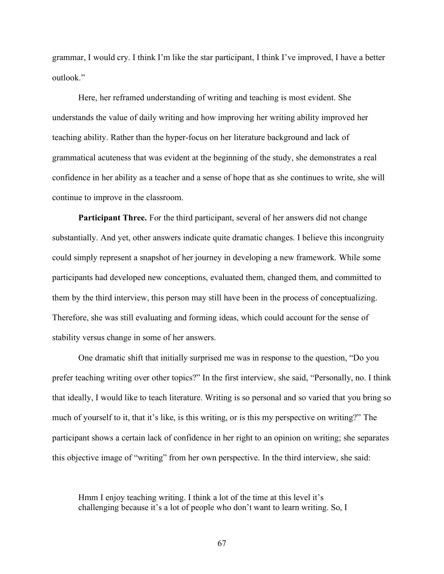grammar, I would cry. I think I'm like the star participant, I think I've improved, I have a better outlook."

Here, her reframed understanding of writing and teaching is most evident. She understands the value of daily writing and how improving her writing ability improved her teaching ability. Rather than the hyper-focus on her literature background and lack of grammatical acuteness that was evident at the beginning of the study, she demonstrates a real confidence in her ability as a teacher and a sense of hope that as she continues to write, she will continue to improve in the classroom.

**Participant Three.** For the third participant, several of her answers did not change substantially. And yet, other answers indicate quite dramatic changes. I believe this incongruity could simply represent a snapshot of her journey in developing a new framework. While some participants had developed new conceptions, evaluated them, changed them, and committed to them by the third interview, this person may still have been in the process of conceptualizing. Therefore, she was still evaluating and forming ideas, which could account for the sense of stability versus change in some of her answers.

One dramatic shift that initially surprised me was in response to the question, "Do you prefer teaching writing over other topics?" In the first interview, she said, "Personally, no. I think that ideally, I would like to teach literature. Writing is so personal and so varied that you bring so much of yourself to it, that it's like, is this writing, or is this my perspective on writing?" The participant shows a certain lack of confidence in her right to an opinion on writing; she separates this objective image of "writing" from her own perspective. In the third interview, she said:

Hmm I enjoy teaching writing. I think a lot of the time at this level it's challenging because it's a lot of people who don't want to learn writing. So, I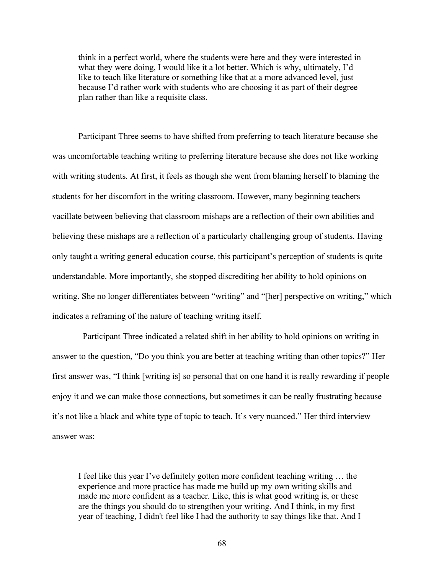think in a perfect world, where the students were here and they were interested in what they were doing, I would like it a lot better. Which is why, ultimately, I'd like to teach like literature or something like that at a more advanced level, just because I'd rather work with students who are choosing it as part of their degree plan rather than like a requisite class.

Participant Three seems to have shifted from preferring to teach literature because she was uncomfortable teaching writing to preferring literature because she does not like working with writing students. At first, it feels as though she went from blaming herself to blaming the students for her discomfort in the writing classroom. However, many beginning teachers vacillate between believing that classroom mishaps are a reflection of their own abilities and believing these mishaps are a reflection of a particularly challenging group of students. Having only taught a writing general education course, this participant's perception of students is quite understandable. More importantly, she stopped discrediting her ability to hold opinions on writing. She no longer differentiates between "writing" and "[her] perspective on writing," which indicates a reframing of the nature of teaching writing itself.

Participant Three indicated a related shift in her ability to hold opinions on writing in answer to the question, "Do you think you are better at teaching writing than other topics?" Her first answer was, "I think [writing is] so personal that on one hand it is really rewarding if people enjoy it and we can make those connections, but sometimes it can be really frustrating because it's not like a black and white type of topic to teach. It's very nuanced." Her third interview answer was:

I feel like this year I've definitely gotten more confident teaching writing … the experience and more practice has made me build up my own writing skills and made me more confident as a teacher. Like, this is what good writing is, or these are the things you should do to strengthen your writing. And I think, in my first year of teaching, I didn't feel like I had the authority to say things like that. And I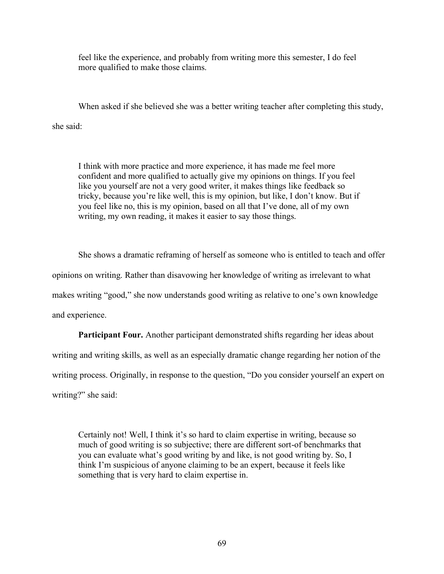feel like the experience, and probably from writing more this semester, I do feel more qualified to make those claims.

When asked if she believed she was a better writing teacher after completing this study, she said:

I think with more practice and more experience, it has made me feel more confident and more qualified to actually give my opinions on things. If you feel like you yourself are not a very good writer, it makes things like feedback so tricky, because you're like well, this is my opinion, but like, I don't know. But if you feel like no, this is my opinion, based on all that I've done, all of my own writing, my own reading, it makes it easier to say those things.

She shows a dramatic reframing of herself as someone who is entitled to teach and offer opinions on writing. Rather than disavowing her knowledge of writing as irrelevant to what makes writing "good," she now understands good writing as relative to one's own knowledge and experience.

**Participant Four.** Another participant demonstrated shifts regarding her ideas about writing and writing skills, as well as an especially dramatic change regarding her notion of the writing process. Originally, in response to the question, "Do you consider yourself an expert on writing?" she said:

Certainly not! Well, I think it's so hard to claim expertise in writing, because so much of good writing is so subjective; there are different sort-of benchmarks that you can evaluate what's good writing by and like, is not good writing by. So, I think I'm suspicious of anyone claiming to be an expert, because it feels like something that is very hard to claim expertise in.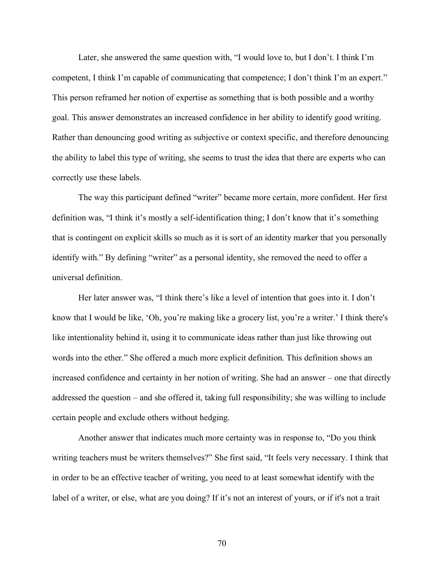Later, she answered the same question with, "I would love to, but I don't. I think I'm competent, I think I'm capable of communicating that competence; I don't think I'm an expert." This person reframed her notion of expertise as something that is both possible and a worthy goal. This answer demonstrates an increased confidence in her ability to identify good writing. Rather than denouncing good writing as subjective or context specific, and therefore denouncing the ability to label this type of writing, she seems to trust the idea that there are experts who can correctly use these labels.

The way this participant defined "writer" became more certain, more confident. Her first definition was, "I think it's mostly a self-identification thing; I don't know that it's something that is contingent on explicit skills so much as it is sort of an identity marker that you personally identify with." By defining "writer" as a personal identity, she removed the need to offer a universal definition.

Her later answer was, "I think there's like a level of intention that goes into it. I don't know that I would be like, 'Oh, you're making like a grocery list, you're a writer.' I think there's like intentionality behind it, using it to communicate ideas rather than just like throwing out words into the ether." She offered a much more explicit definition. This definition shows an increased confidence and certainty in her notion of writing. She had an answer – one that directly addressed the question – and she offered it, taking full responsibility; she was willing to include certain people and exclude others without hedging.

Another answer that indicates much more certainty was in response to, "Do you think writing teachers must be writers themselves?" She first said, "It feels very necessary. I think that in order to be an effective teacher of writing, you need to at least somewhat identify with the label of a writer, or else, what are you doing? If it's not an interest of yours, or if it's not a trait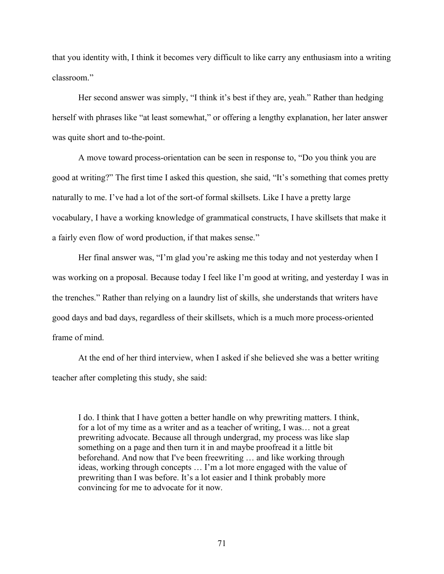that you identity with, I think it becomes very difficult to like carry any enthusiasm into a writing classroom."

Her second answer was simply, "I think it's best if they are, yeah." Rather than hedging herself with phrases like "at least somewhat," or offering a lengthy explanation, her later answer was quite short and to-the-point.

A move toward process-orientation can be seen in response to, "Do you think you are good at writing?" The first time I asked this question, she said, "It's something that comes pretty naturally to me. I've had a lot of the sort-of formal skillsets. Like I have a pretty large vocabulary, I have a working knowledge of grammatical constructs, I have skillsets that make it a fairly even flow of word production, if that makes sense."

Her final answer was, "I'm glad you're asking me this today and not yesterday when I was working on a proposal. Because today I feel like I'm good at writing, and yesterday I was in the trenches." Rather than relying on a laundry list of skills, she understands that writers have good days and bad days, regardless of their skillsets, which is a much more process-oriented frame of mind.

At the end of her third interview, when I asked if she believed she was a better writing teacher after completing this study, she said:

I do. I think that I have gotten a better handle on why prewriting matters. I think, for a lot of my time as a writer and as a teacher of writing, I was… not a great prewriting advocate. Because all through undergrad, my process was like slap something on a page and then turn it in and maybe proofread it a little bit beforehand. And now that I've been freewriting … and like working through ideas, working through concepts … I'm a lot more engaged with the value of prewriting than I was before. It's a lot easier and I think probably more convincing for me to advocate for it now.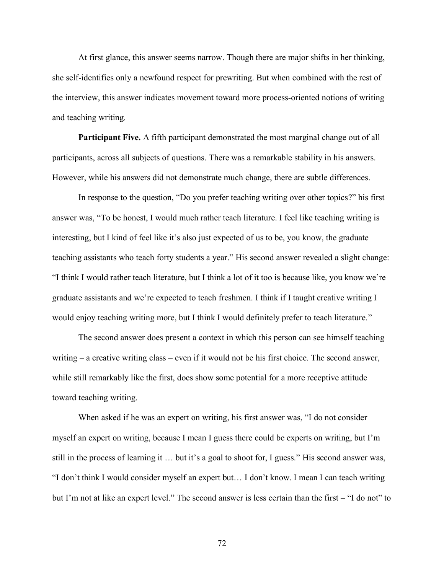At first glance, this answer seems narrow. Though there are major shifts in her thinking, she self-identifies only a newfound respect for prewriting. But when combined with the rest of the interview, this answer indicates movement toward more process-oriented notions of writing and teaching writing.

**Participant Five.** A fifth participant demonstrated the most marginal change out of all participants, across all subjects of questions. There was a remarkable stability in his answers. However, while his answers did not demonstrate much change, there are subtle differences.

In response to the question, "Do you prefer teaching writing over other topics?" his first answer was, "To be honest, I would much rather teach literature. I feel like teaching writing is interesting, but I kind of feel like it's also just expected of us to be, you know, the graduate teaching assistants who teach forty students a year." His second answer revealed a slight change: "I think I would rather teach literature, but I think a lot of it too is because like, you know we're graduate assistants and we're expected to teach freshmen. I think if I taught creative writing I would enjoy teaching writing more, but I think I would definitely prefer to teach literature."

The second answer does present a context in which this person can see himself teaching writing – a creative writing class – even if it would not be his first choice. The second answer, while still remarkably like the first, does show some potential for a more receptive attitude toward teaching writing.

When asked if he was an expert on writing, his first answer was, "I do not consider myself an expert on writing, because I mean I guess there could be experts on writing, but I'm still in the process of learning it … but it's a goal to shoot for, I guess." His second answer was, "I don't think I would consider myself an expert but… I don't know. I mean I can teach writing but I'm not at like an expert level." The second answer is less certain than the first – "I do not" to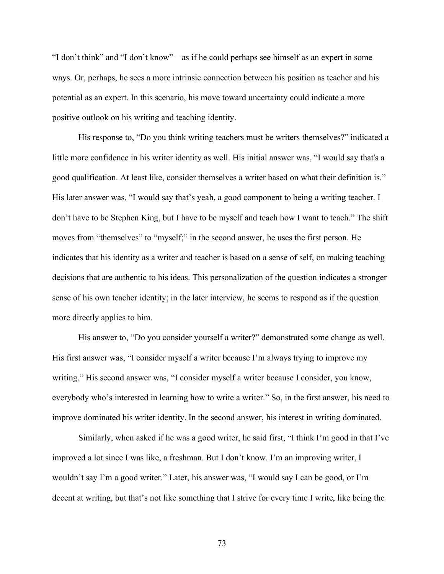"I don't think" and "I don't know" – as if he could perhaps see himself as an expert in some ways. Or, perhaps, he sees a more intrinsic connection between his position as teacher and his potential as an expert. In this scenario, his move toward uncertainty could indicate a more positive outlook on his writing and teaching identity.

His response to, "Do you think writing teachers must be writers themselves?" indicated a little more confidence in his writer identity as well. His initial answer was, "I would say that's a good qualification. At least like, consider themselves a writer based on what their definition is." His later answer was, "I would say that's yeah, a good component to being a writing teacher. I don't have to be Stephen King, but I have to be myself and teach how I want to teach." The shift moves from "themselves" to "myself;" in the second answer, he uses the first person. He indicates that his identity as a writer and teacher is based on a sense of self, on making teaching decisions that are authentic to his ideas. This personalization of the question indicates a stronger sense of his own teacher identity; in the later interview, he seems to respond as if the question more directly applies to him.

His answer to, "Do you consider yourself a writer?" demonstrated some change as well. His first answer was, "I consider myself a writer because I'm always trying to improve my writing." His second answer was, "I consider myself a writer because I consider, you know, everybody who's interested in learning how to write a writer." So, in the first answer, his need to improve dominated his writer identity. In the second answer, his interest in writing dominated.

Similarly, when asked if he was a good writer, he said first, "I think I'm good in that I've improved a lot since I was like, a freshman. But I don't know. I'm an improving writer, I wouldn't say I'm a good writer." Later, his answer was, "I would say I can be good, or I'm decent at writing, but that's not like something that I strive for every time I write, like being the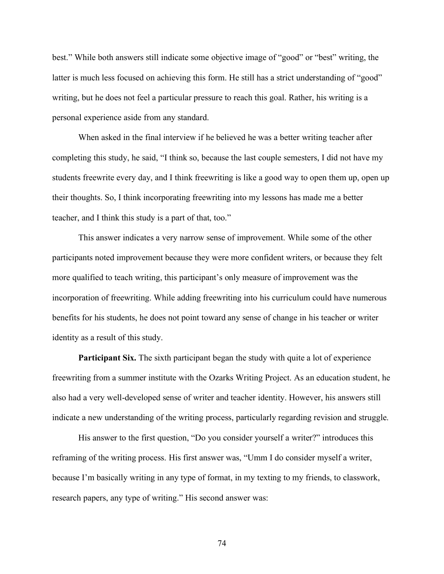best." While both answers still indicate some objective image of "good" or "best" writing, the latter is much less focused on achieving this form. He still has a strict understanding of "good" writing, but he does not feel a particular pressure to reach this goal. Rather, his writing is a personal experience aside from any standard.

When asked in the final interview if he believed he was a better writing teacher after completing this study, he said, "I think so, because the last couple semesters, I did not have my students freewrite every day, and I think freewriting is like a good way to open them up, open up their thoughts. So, I think incorporating freewriting into my lessons has made me a better teacher, and I think this study is a part of that, too."

This answer indicates a very narrow sense of improvement. While some of the other participants noted improvement because they were more confident writers, or because they felt more qualified to teach writing, this participant's only measure of improvement was the incorporation of freewriting. While adding freewriting into his curriculum could have numerous benefits for his students, he does not point toward any sense of change in his teacher or writer identity as a result of this study.

**Participant Six.** The sixth participant began the study with quite a lot of experience freewriting from a summer institute with the Ozarks Writing Project. As an education student, he also had a very well-developed sense of writer and teacher identity. However, his answers still indicate a new understanding of the writing process, particularly regarding revision and struggle.

His answer to the first question, "Do you consider yourself a writer?" introduces this reframing of the writing process. His first answer was, "Umm I do consider myself a writer, because I'm basically writing in any type of format, in my texting to my friends, to classwork, research papers, any type of writing." His second answer was: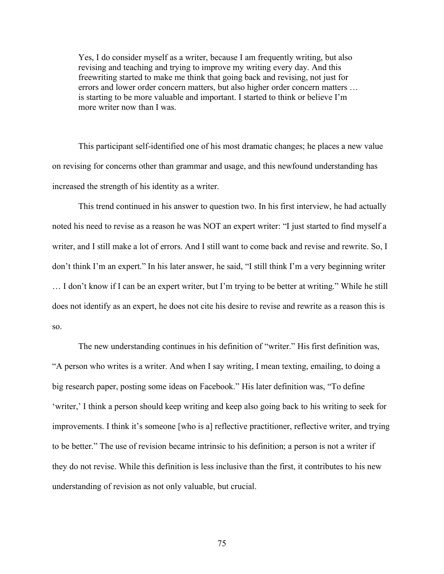Yes, I do consider myself as a writer, because I am frequently writing, but also revising and teaching and trying to improve my writing every day. And this freewriting started to make me think that going back and revising, not just for errors and lower order concern matters, but also higher order concern matters … is starting to be more valuable and important. I started to think or believe I'm more writer now than I was.

This participant self-identified one of his most dramatic changes; he places a new value on revising for concerns other than grammar and usage, and this newfound understanding has increased the strength of his identity as a writer.

This trend continued in his answer to question two. In his first interview, he had actually noted his need to revise as a reason he was NOT an expert writer: "I just started to find myself a writer, and I still make a lot of errors. And I still want to come back and revise and rewrite. So, I don't think I'm an expert." In his later answer, he said, "I still think I'm a very beginning writer … I don't know if I can be an expert writer, but I'm trying to be better at writing." While he still does not identify as an expert, he does not cite his desire to revise and rewrite as a reason this is so.

The new understanding continues in his definition of "writer." His first definition was, "A person who writes is a writer. And when I say writing, I mean texting, emailing, to doing a big research paper, posting some ideas on Facebook." His later definition was, "To define 'writer,' I think a person should keep writing and keep also going back to his writing to seek for improvements. I think it's someone [who is a] reflective practitioner, reflective writer, and trying to be better." The use of revision became intrinsic to his definition; a person is not a writer if they do not revise. While this definition is less inclusive than the first, it contributes to his new understanding of revision as not only valuable, but crucial.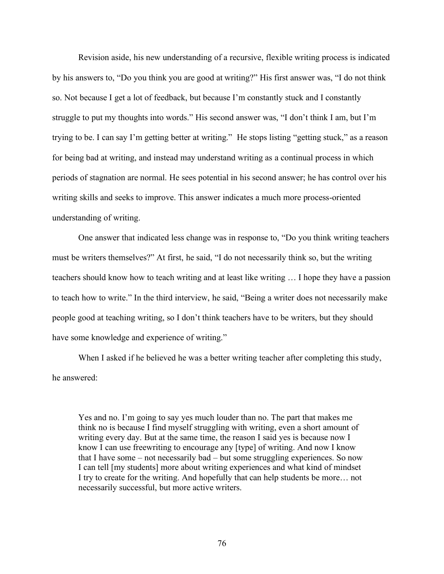Revision aside, his new understanding of a recursive, flexible writing process is indicated by his answers to, "Do you think you are good at writing?" His first answer was, "I do not think so. Not because I get a lot of feedback, but because I'm constantly stuck and I constantly struggle to put my thoughts into words." His second answer was, "I don't think I am, but I'm trying to be. I can say I'm getting better at writing." He stops listing "getting stuck," as a reason for being bad at writing, and instead may understand writing as a continual process in which periods of stagnation are normal. He sees potential in his second answer; he has control over his writing skills and seeks to improve. This answer indicates a much more process-oriented understanding of writing.

One answer that indicated less change was in response to, "Do you think writing teachers must be writers themselves?" At first, he said, "I do not necessarily think so, but the writing teachers should know how to teach writing and at least like writing … I hope they have a passion to teach how to write." In the third interview, he said, "Being a writer does not necessarily make people good at teaching writing, so I don't think teachers have to be writers, but they should have some knowledge and experience of writing."

When I asked if he believed he was a better writing teacher after completing this study, he answered:

Yes and no. I'm going to say yes much louder than no. The part that makes me think no is because I find myself struggling with writing, even a short amount of writing every day. But at the same time, the reason I said yes is because now I know I can use freewriting to encourage any [type] of writing. And now I know that I have some – not necessarily bad – but some struggling experiences. So now I can tell [my students] more about writing experiences and what kind of mindset I try to create for the writing. And hopefully that can help students be more… not necessarily successful, but more active writers.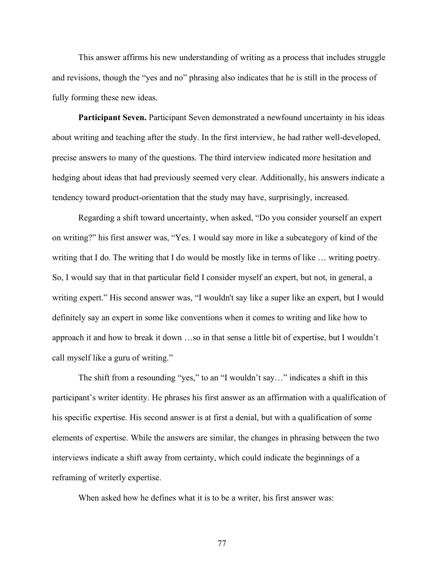This answer affirms his new understanding of writing as a process that includes struggle and revisions, though the "yes and no" phrasing also indicates that he is still in the process of fully forming these new ideas.

**Participant Seven.** Participant Seven demonstrated a newfound uncertainty in his ideas about writing and teaching after the study. In the first interview, he had rather well-developed, precise answers to many of the questions. The third interview indicated more hesitation and hedging about ideas that had previously seemed very clear. Additionally, his answers indicate a tendency toward product-orientation that the study may have, surprisingly, increased.

Regarding a shift toward uncertainty, when asked, "Do you consider yourself an expert on writing?" his first answer was, "Yes. I would say more in like a subcategory of kind of the writing that I do. The writing that I do would be mostly like in terms of like … writing poetry. So, I would say that in that particular field I consider myself an expert, but not, in general, a writing expert." His second answer was, "I wouldn't say like a super like an expert, but I would definitely say an expert in some like conventions when it comes to writing and like how to approach it and how to break it down …so in that sense a little bit of expertise, but I wouldn't call myself like a guru of writing."

The shift from a resounding "yes," to an "I wouldn't say…" indicates a shift in this participant's writer identity. He phrases his first answer as an affirmation with a qualification of his specific expertise. His second answer is at first a denial, but with a qualification of some elements of expertise. While the answers are similar, the changes in phrasing between the two interviews indicate a shift away from certainty, which could indicate the beginnings of a reframing of writerly expertise.

When asked how he defines what it is to be a writer, his first answer was: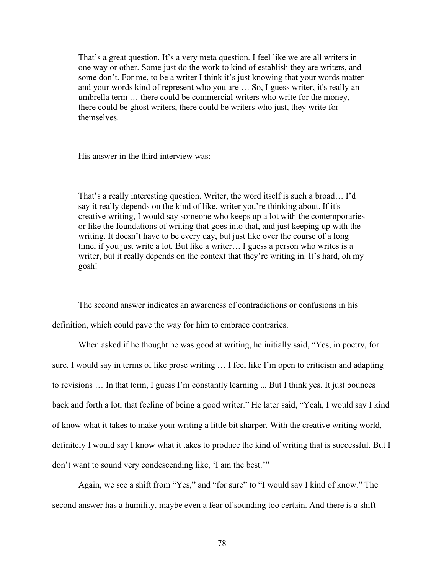That's a great question. It's a very meta question. I feel like we are all writers in one way or other. Some just do the work to kind of establish they are writers, and some don't. For me, to be a writer I think it's just knowing that your words matter and your words kind of represent who you are … So, I guess writer, it's really an umbrella term … there could be commercial writers who write for the money, there could be ghost writers, there could be writers who just, they write for themselves.

His answer in the third interview was:

That's a really interesting question. Writer, the word itself is such a broad… I'd say it really depends on the kind of like, writer you're thinking about. If it's creative writing, I would say someone who keeps up a lot with the contemporaries or like the foundations of writing that goes into that, and just keeping up with the writing. It doesn't have to be every day, but just like over the course of a long time, if you just write a lot. But like a writer… I guess a person who writes is a writer, but it really depends on the context that they're writing in. It's hard, oh my gosh!

The second answer indicates an awareness of contradictions or confusions in his definition, which could pave the way for him to embrace contraries.

When asked if he thought he was good at writing, he initially said, "Yes, in poetry, for sure. I would say in terms of like prose writing … I feel like I'm open to criticism and adapting to revisions … In that term, I guess I'm constantly learning ... But I think yes. It just bounces back and forth a lot, that feeling of being a good writer." He later said, "Yeah, I would say I kind of know what it takes to make your writing a little bit sharper. With the creative writing world, definitely I would say I know what it takes to produce the kind of writing that is successful. But I don't want to sound very condescending like, 'I am the best.'"

Again, we see a shift from "Yes," and "for sure" to "I would say I kind of know." The second answer has a humility, maybe even a fear of sounding too certain. And there is a shift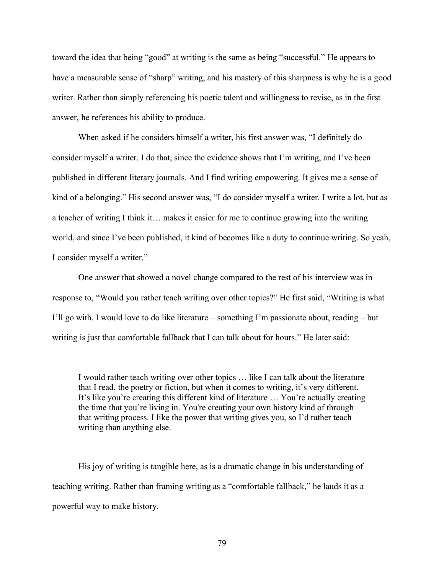toward the idea that being "good" at writing is the same as being "successful." He appears to have a measurable sense of "sharp" writing, and his mastery of this sharpness is why he is a good writer. Rather than simply referencing his poetic talent and willingness to revise, as in the first answer, he references his ability to produce.

When asked if he considers himself a writer, his first answer was, "I definitely do consider myself a writer. I do that, since the evidence shows that I'm writing, and I've been published in different literary journals. And I find writing empowering. It gives me a sense of kind of a belonging." His second answer was, "I do consider myself a writer. I write a lot, but as a teacher of writing I think it… makes it easier for me to continue growing into the writing world, and since I've been published, it kind of becomes like a duty to continue writing. So yeah, I consider myself a writer."

One answer that showed a novel change compared to the rest of his interview was in response to, "Would you rather teach writing over other topics?" He first said, "Writing is what I'll go with. I would love to do like literature – something I'm passionate about, reading – but writing is just that comfortable fallback that I can talk about for hours." He later said:

I would rather teach writing over other topics … like I can talk about the literature that I read, the poetry or fiction, but when it comes to writing, it's very different. It's like you're creating this different kind of literature … You're actually creating the time that you're living in. You're creating your own history kind of through that writing process. I like the power that writing gives you, so I'd rather teach writing than anything else.

His joy of writing is tangible here, as is a dramatic change in his understanding of teaching writing. Rather than framing writing as a "comfortable fallback," he lauds it as a powerful way to make history.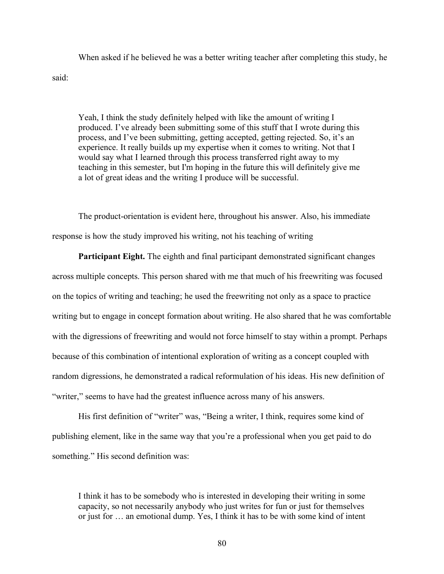When asked if he believed he was a better writing teacher after completing this study, he said:

Yeah, I think the study definitely helped with like the amount of writing I produced. I've already been submitting some of this stuff that I wrote during this process, and I've been submitting, getting accepted, getting rejected. So, it's an experience. It really builds up my expertise when it comes to writing. Not that I would say what I learned through this process transferred right away to my teaching in this semester, but I'm hoping in the future this will definitely give me a lot of great ideas and the writing I produce will be successful.

The product-orientation is evident here, throughout his answer. Also, his immediate response is how the study improved his writing, not his teaching of writing

**Participant Eight.** The eighth and final participant demonstrated significant changes across multiple concepts. This person shared with me that much of his freewriting was focused on the topics of writing and teaching; he used the freewriting not only as a space to practice writing but to engage in concept formation about writing. He also shared that he was comfortable with the digressions of freewriting and would not force himself to stay within a prompt. Perhaps because of this combination of intentional exploration of writing as a concept coupled with random digressions, he demonstrated a radical reformulation of his ideas. His new definition of "writer," seems to have had the greatest influence across many of his answers.

His first definition of "writer" was, "Being a writer, I think, requires some kind of publishing element, like in the same way that you're a professional when you get paid to do something." His second definition was:

I think it has to be somebody who is interested in developing their writing in some capacity, so not necessarily anybody who just writes for fun or just for themselves or just for … an emotional dump. Yes, I think it has to be with some kind of intent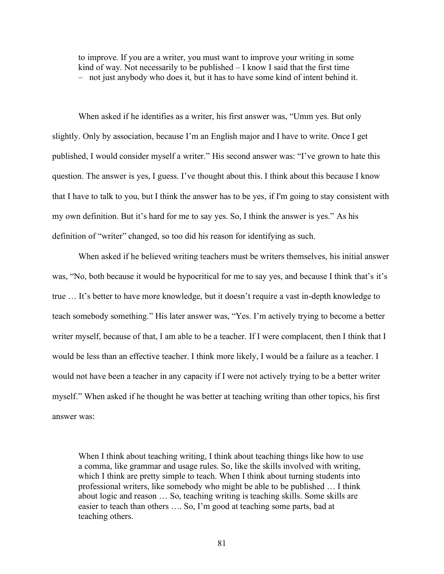to improve. If you are a writer, you must want to improve your writing in some kind of way. Not necessarily to be published – I know I said that the first time – not just anybody who does it, but it has to have some kind of intent behind it.

When asked if he identifies as a writer, his first answer was, "Umm yes. But only slightly. Only by association, because I'm an English major and I have to write. Once I get published, I would consider myself a writer." His second answer was: "I've grown to hate this question. The answer is yes, I guess. I've thought about this. I think about this because I know that I have to talk to you, but I think the answer has to be yes, if I'm going to stay consistent with my own definition. But it's hard for me to say yes. So, I think the answer is yes." As his definition of "writer" changed, so too did his reason for identifying as such.

When asked if he believed writing teachers must be writers themselves, his initial answer was, "No, both because it would be hypocritical for me to say yes, and because I think that's it's true … It's better to have more knowledge, but it doesn't require a vast in-depth knowledge to teach somebody something." His later answer was, "Yes. I'm actively trying to become a better writer myself, because of that, I am able to be a teacher. If I were complacent, then I think that I would be less than an effective teacher. I think more likely, I would be a failure as a teacher. I would not have been a teacher in any capacity if I were not actively trying to be a better writer myself." When asked if he thought he was better at teaching writing than other topics, his first answer was:

When I think about teaching writing, I think about teaching things like how to use a comma, like grammar and usage rules. So, like the skills involved with writing, which I think are pretty simple to teach. When I think about turning students into professional writers, like somebody who might be able to be published … I think about logic and reason … So, teaching writing is teaching skills. Some skills are easier to teach than others …. So, I'm good at teaching some parts, bad at teaching others.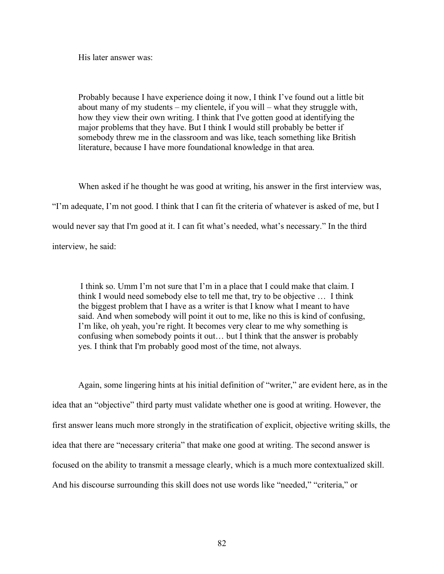His later answer was:

Probably because I have experience doing it now, I think I've found out a little bit about many of my students – my clientele, if you will – what they struggle with, how they view their own writing. I think that I've gotten good at identifying the major problems that they have. But I think I would still probably be better if somebody threw me in the classroom and was like, teach something like British literature, because I have more foundational knowledge in that area.

When asked if he thought he was good at writing, his answer in the first interview was, "I'm adequate, I'm not good. I think that I can fit the criteria of whatever is asked of me, but I would never say that I'm good at it. I can fit what's needed, what's necessary." In the third interview, he said:

I think so. Umm I'm not sure that I'm in a place that I could make that claim. I think I would need somebody else to tell me that, try to be objective … I think the biggest problem that I have as a writer is that I know what I meant to have said. And when somebody will point it out to me, like no this is kind of confusing, I'm like, oh yeah, you're right. It becomes very clear to me why something is confusing when somebody points it out… but I think that the answer is probably yes. I think that I'm probably good most of the time, not always.

Again, some lingering hints at his initial definition of "writer," are evident here, as in the idea that an "objective" third party must validate whether one is good at writing. However, the first answer leans much more strongly in the stratification of explicit, objective writing skills, the idea that there are "necessary criteria" that make one good at writing. The second answer is focused on the ability to transmit a message clearly, which is a much more contextualized skill. And his discourse surrounding this skill does not use words like "needed," "criteria," or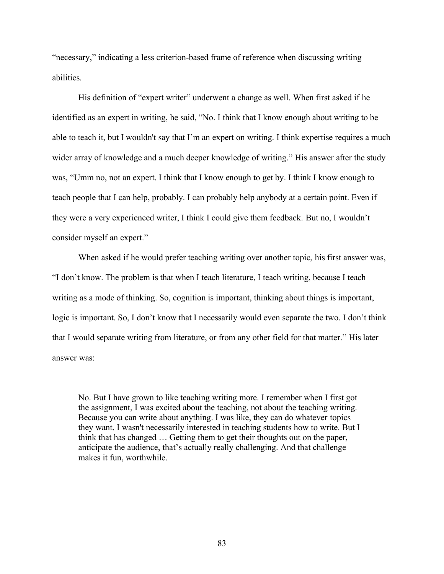"necessary," indicating a less criterion-based frame of reference when discussing writing abilities.

His definition of "expert writer" underwent a change as well. When first asked if he identified as an expert in writing, he said, "No. I think that I know enough about writing to be able to teach it, but I wouldn't say that I'm an expert on writing. I think expertise requires a much wider array of knowledge and a much deeper knowledge of writing." His answer after the study was, "Umm no, not an expert. I think that I know enough to get by. I think I know enough to teach people that I can help, probably. I can probably help anybody at a certain point. Even if they were a very experienced writer, I think I could give them feedback. But no, I wouldn't consider myself an expert."

When asked if he would prefer teaching writing over another topic, his first answer was, "I don't know. The problem is that when I teach literature, I teach writing, because I teach writing as a mode of thinking. So, cognition is important, thinking about things is important, logic is important. So, I don't know that I necessarily would even separate the two. I don't think that I would separate writing from literature, or from any other field for that matter." His later answer was:

No. But I have grown to like teaching writing more. I remember when I first got the assignment, I was excited about the teaching, not about the teaching writing. Because you can write about anything. I was like, they can do whatever topics they want. I wasn't necessarily interested in teaching students how to write. But I think that has changed … Getting them to get their thoughts out on the paper, anticipate the audience, that's actually really challenging. And that challenge makes it fun, worthwhile.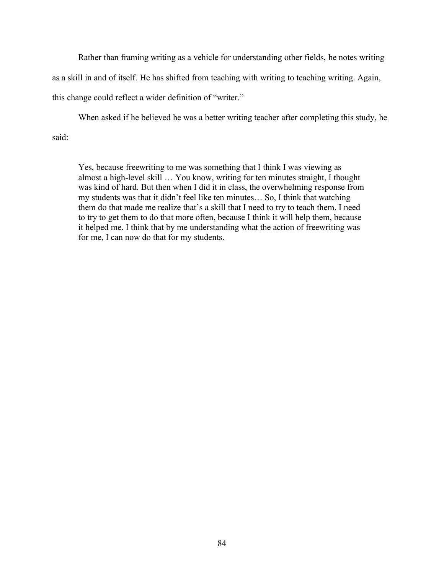Rather than framing writing as a vehicle for understanding other fields, he notes writing as a skill in and of itself. He has shifted from teaching with writing to teaching writing. Again, this change could reflect a wider definition of "writer."

When asked if he believed he was a better writing teacher after completing this study, he said:

Yes, because freewriting to me was something that I think I was viewing as almost a high-level skill … You know, writing for ten minutes straight, I thought was kind of hard. But then when I did it in class, the overwhelming response from my students was that it didn't feel like ten minutes… So, I think that watching them do that made me realize that's a skill that I need to try to teach them. I need to try to get them to do that more often, because I think it will help them, because it helped me. I think that by me understanding what the action of freewriting was for me, I can now do that for my students.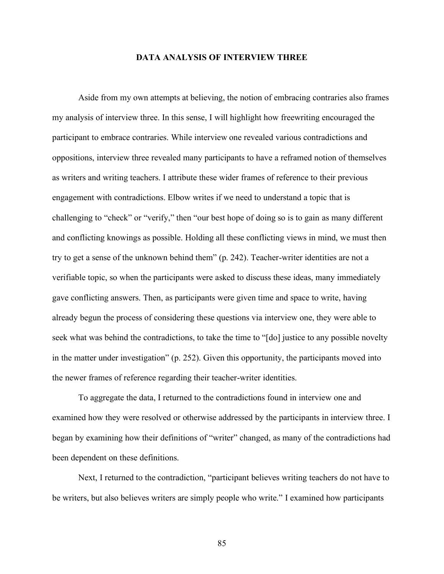## **DATA ANALYSIS OF INTERVIEW THREE**

Aside from my own attempts at believing, the notion of embracing contraries also frames my analysis of interview three. In this sense, I will highlight how freewriting encouraged the participant to embrace contraries. While interview one revealed various contradictions and oppositions, interview three revealed many participants to have a reframed notion of themselves as writers and writing teachers. I attribute these wider frames of reference to their previous engagement with contradictions. Elbow writes if we need to understand a topic that is challenging to "check" or "verify," then "our best hope of doing so is to gain as many different and conflicting knowings as possible. Holding all these conflicting views in mind, we must then try to get a sense of the unknown behind them" (p. 242). Teacher-writer identities are not a verifiable topic, so when the participants were asked to discuss these ideas, many immediately gave conflicting answers. Then, as participants were given time and space to write, having already begun the process of considering these questions via interview one, they were able to seek what was behind the contradictions, to take the time to "[do] justice to any possible novelty in the matter under investigation" (p. 252). Given this opportunity, the participants moved into the newer frames of reference regarding their teacher-writer identities.

To aggregate the data, I returned to the contradictions found in interview one and examined how they were resolved or otherwise addressed by the participants in interview three. I began by examining how their definitions of "writer" changed, as many of the contradictions had been dependent on these definitions.

Next, I returned to the contradiction, "participant believes writing teachers do not have to be writers, but also believes writers are simply people who write." I examined how participants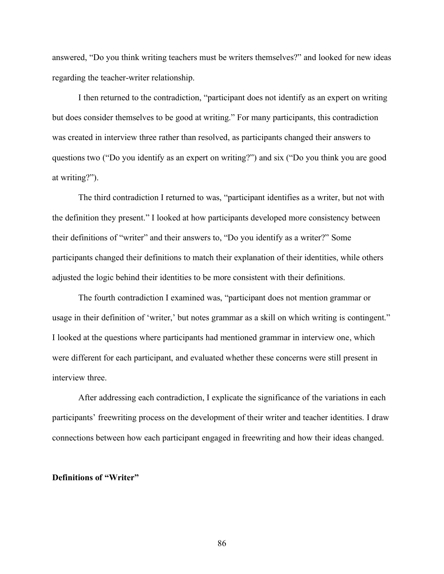answered, "Do you think writing teachers must be writers themselves?" and looked for new ideas regarding the teacher-writer relationship.

I then returned to the contradiction, "participant does not identify as an expert on writing but does consider themselves to be good at writing." For many participants, this contradiction was created in interview three rather than resolved, as participants changed their answers to questions two ("Do you identify as an expert on writing?") and six ("Do you think you are good at writing?").

The third contradiction I returned to was, "participant identifies as a writer, but not with the definition they present." I looked at how participants developed more consistency between their definitions of "writer" and their answers to, "Do you identify as a writer?" Some participants changed their definitions to match their explanation of their identities, while others adjusted the logic behind their identities to be more consistent with their definitions.

The fourth contradiction I examined was, "participant does not mention grammar or usage in their definition of 'writer,' but notes grammar as a skill on which writing is contingent." I looked at the questions where participants had mentioned grammar in interview one, which were different for each participant, and evaluated whether these concerns were still present in interview three.

After addressing each contradiction, I explicate the significance of the variations in each participants' freewriting process on the development of their writer and teacher identities. I draw connections between how each participant engaged in freewriting and how their ideas changed.

# **Definitions of "Writer"**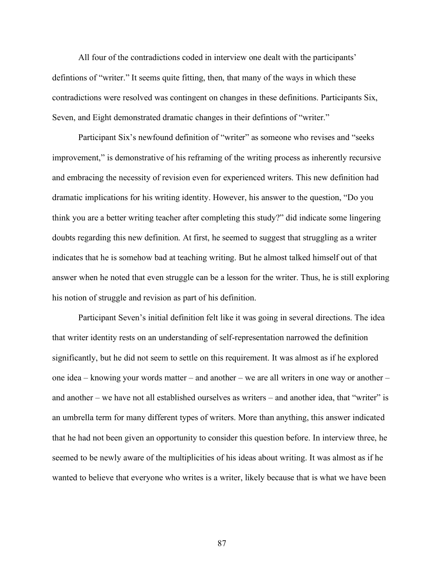All four of the contradictions coded in interview one dealt with the participants' defintions of "writer." It seems quite fitting, then, that many of the ways in which these contradictions were resolved was contingent on changes in these definitions. Participants Six, Seven, and Eight demonstrated dramatic changes in their defintions of "writer."

Participant Six's newfound definition of "writer" as someone who revises and "seeks improvement," is demonstrative of his reframing of the writing process as inherently recursive and embracing the necessity of revision even for experienced writers. This new definition had dramatic implications for his writing identity. However, his answer to the question, "Do you think you are a better writing teacher after completing this study?" did indicate some lingering doubts regarding this new definition. At first, he seemed to suggest that struggling as a writer indicates that he is somehow bad at teaching writing. But he almost talked himself out of that answer when he noted that even struggle can be a lesson for the writer. Thus, he is still exploring his notion of struggle and revision as part of his definition.

Participant Seven's initial definition felt like it was going in several directions. The idea that writer identity rests on an understanding of self-representation narrowed the definition significantly, but he did not seem to settle on this requirement. It was almost as if he explored one idea – knowing your words matter – and another – we are all writers in one way or another – and another – we have not all established ourselves as writers – and another idea, that "writer" is an umbrella term for many different types of writers. More than anything, this answer indicated that he had not been given an opportunity to consider this question before. In interview three, he seemed to be newly aware of the multiplicities of his ideas about writing. It was almost as if he wanted to believe that everyone who writes is a writer, likely because that is what we have been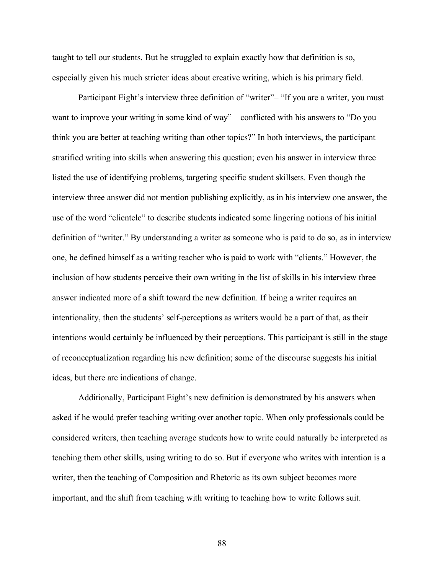taught to tell our students. But he struggled to explain exactly how that definition is so, especially given his much stricter ideas about creative writing, which is his primary field.

Participant Eight's interview three definition of "writer"– "If you are a writer, you must want to improve your writing in some kind of way" – conflicted with his answers to "Do you think you are better at teaching writing than other topics?" In both interviews, the participant stratified writing into skills when answering this question; even his answer in interview three listed the use of identifying problems, targeting specific student skillsets. Even though the interview three answer did not mention publishing explicitly, as in his interview one answer, the use of the word "clientele" to describe students indicated some lingering notions of his initial definition of "writer." By understanding a writer as someone who is paid to do so, as in interview one, he defined himself as a writing teacher who is paid to work with "clients." However, the inclusion of how students perceive their own writing in the list of skills in his interview three answer indicated more of a shift toward the new definition. If being a writer requires an intentionality, then the students' self-perceptions as writers would be a part of that, as their intentions would certainly be influenced by their perceptions. This participant is still in the stage of reconceptualization regarding his new definition; some of the discourse suggests his initial ideas, but there are indications of change.

Additionally, Participant Eight's new definition is demonstrated by his answers when asked if he would prefer teaching writing over another topic. When only professionals could be considered writers, then teaching average students how to write could naturally be interpreted as teaching them other skills, using writing to do so. But if everyone who writes with intention is a writer, then the teaching of Composition and Rhetoric as its own subject becomes more important, and the shift from teaching with writing to teaching how to write follows suit.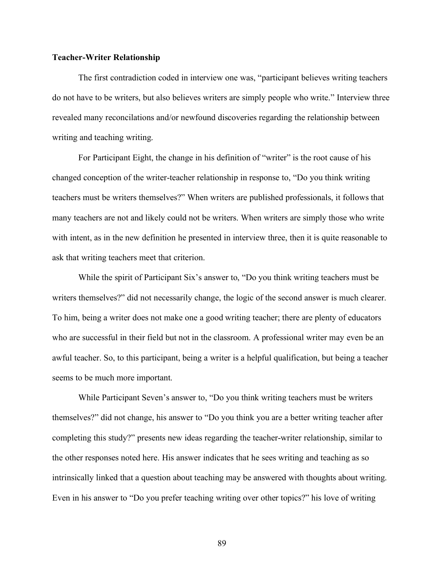## **Teacher-Writer Relationship**

The first contradiction coded in interview one was, "participant believes writing teachers do not have to be writers, but also believes writers are simply people who write." Interview three revealed many reconcilations and/or newfound discoveries regarding the relationship between writing and teaching writing.

For Participant Eight, the change in his definition of "writer" is the root cause of his changed conception of the writer-teacher relationship in response to, "Do you think writing teachers must be writers themselves?" When writers are published professionals, it follows that many teachers are not and likely could not be writers. When writers are simply those who write with intent, as in the new definition he presented in interview three, then it is quite reasonable to ask that writing teachers meet that criterion.

While the spirit of Participant Six's answer to, "Do you think writing teachers must be writers themselves?" did not necessarily change, the logic of the second answer is much clearer. To him, being a writer does not make one a good writing teacher; there are plenty of educators who are successful in their field but not in the classroom. A professional writer may even be an awful teacher. So, to this participant, being a writer is a helpful qualification, but being a teacher seems to be much more important.

While Participant Seven's answer to, "Do you think writing teachers must be writers themselves?" did not change, his answer to "Do you think you are a better writing teacher after completing this study?" presents new ideas regarding the teacher-writer relationship, similar to the other responses noted here. His answer indicates that he sees writing and teaching as so intrinsically linked that a question about teaching may be answered with thoughts about writing. Even in his answer to "Do you prefer teaching writing over other topics?" his love of writing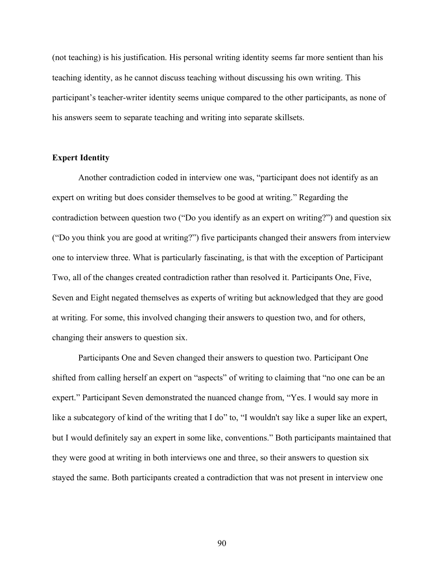(not teaching) is his justification. His personal writing identity seems far more sentient than his teaching identity, as he cannot discuss teaching without discussing his own writing. This participant's teacher-writer identity seems unique compared to the other participants, as none of his answers seem to separate teaching and writing into separate skillsets.

## **Expert Identity**

Another contradiction coded in interview one was, "participant does not identify as an expert on writing but does consider themselves to be good at writing." Regarding the contradiction between question two ("Do you identify as an expert on writing?") and question six ("Do you think you are good at writing?") five participants changed their answers from interview one to interview three. What is particularly fascinating, is that with the exception of Participant Two, all of the changes created contradiction rather than resolved it. Participants One, Five, Seven and Eight negated themselves as experts of writing but acknowledged that they are good at writing. For some, this involved changing their answers to question two, and for others, changing their answers to question six.

Participants One and Seven changed their answers to question two. Participant One shifted from calling herself an expert on "aspects" of writing to claiming that "no one can be an expert." Participant Seven demonstrated the nuanced change from, "Yes. I would say more in like a subcategory of kind of the writing that I do" to, "I wouldn't say like a super like an expert, but I would definitely say an expert in some like, conventions." Both participants maintained that they were good at writing in both interviews one and three, so their answers to question six stayed the same. Both participants created a contradiction that was not present in interview one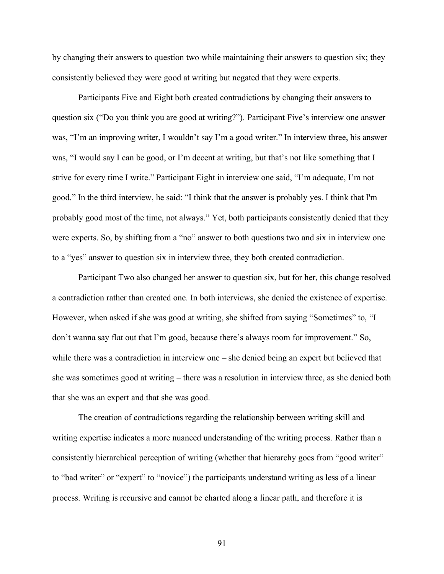by changing their answers to question two while maintaining their answers to question six; they consistently believed they were good at writing but negated that they were experts.

Participants Five and Eight both created contradictions by changing their answers to question six ("Do you think you are good at writing?"). Participant Five's interview one answer was, "I'm an improving writer, I wouldn't say I'm a good writer." In interview three, his answer was, "I would say I can be good, or I'm decent at writing, but that's not like something that I strive for every time I write." Participant Eight in interview one said, "I'm adequate, I'm not good." In the third interview, he said: "I think that the answer is probably yes. I think that I'm probably good most of the time, not always." Yet, both participants consistently denied that they were experts. So, by shifting from a "no" answer to both questions two and six in interview one to a "yes" answer to question six in interview three, they both created contradiction.

Participant Two also changed her answer to question six, but for her, this change resolved a contradiction rather than created one. In both interviews, she denied the existence of expertise. However, when asked if she was good at writing, she shifted from saying "Sometimes" to, "I don't wanna say flat out that I'm good, because there's always room for improvement." So, while there was a contradiction in interview one – she denied being an expert but believed that she was sometimes good at writing – there was a resolution in interview three, as she denied both that she was an expert and that she was good.

The creation of contradictions regarding the relationship between writing skill and writing expertise indicates a more nuanced understanding of the writing process. Rather than a consistently hierarchical perception of writing (whether that hierarchy goes from "good writer" to "bad writer" or "expert" to "novice") the participants understand writing as less of a linear process. Writing is recursive and cannot be charted along a linear path, and therefore it is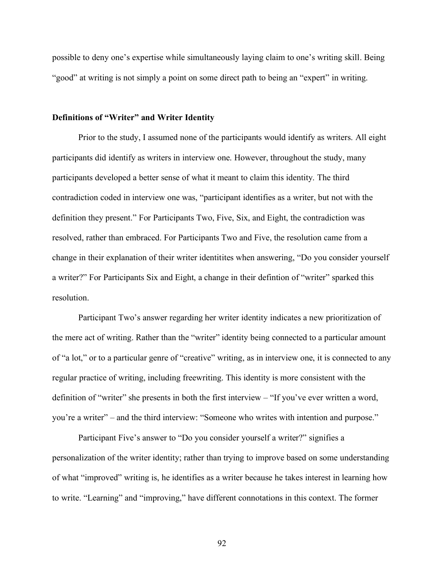possible to deny one's expertise while simultaneously laying claim to one's writing skill. Being "good" at writing is not simply a point on some direct path to being an "expert" in writing.

### **Definitions of "Writer" and Writer Identity**

Prior to the study, I assumed none of the participants would identify as writers. All eight participants did identify as writers in interview one. However, throughout the study, many participants developed a better sense of what it meant to claim this identity. The third contradiction coded in interview one was, "participant identifies as a writer, but not with the definition they present." For Participants Two, Five, Six, and Eight, the contradiction was resolved, rather than embraced. For Participants Two and Five, the resolution came from a change in their explanation of their writer identitites when answering, "Do you consider yourself a writer?" For Participants Six and Eight, a change in their defintion of "writer" sparked this resolution.

Participant Two's answer regarding her writer identity indicates a new prioritization of the mere act of writing. Rather than the "writer" identity being connected to a particular amount of "a lot," or to a particular genre of "creative" writing, as in interview one, it is connected to any regular practice of writing, including freewriting. This identity is more consistent with the definition of "writer" she presents in both the first interview – "If you've ever written a word, you're a writer" – and the third interview: "Someone who writes with intention and purpose."

Participant Five's answer to "Do you consider yourself a writer?" signifies a personalization of the writer identity; rather than trying to improve based on some understanding of what "improved" writing is, he identifies as a writer because he takes interest in learning how to write. "Learning" and "improving," have different connotations in this context. The former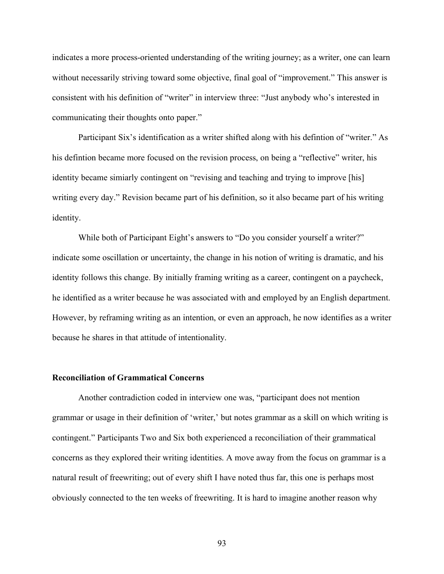indicates a more process-oriented understanding of the writing journey; as a writer, one can learn without necessarily striving toward some objective, final goal of "improvement." This answer is consistent with his definition of "writer" in interview three: "Just anybody who's interested in communicating their thoughts onto paper."

Participant Six's identification as a writer shifted along with his defintion of "writer." As his defintion became more focused on the revision process, on being a "reflective" writer, his identity became simiarly contingent on "revising and teaching and trying to improve [his] writing every day." Revision became part of his definition, so it also became part of his writing identity.

While both of Participant Eight's answers to "Do you consider yourself a writer?" indicate some oscillation or uncertainty, the change in his notion of writing is dramatic, and his identity follows this change. By initially framing writing as a career, contingent on a paycheck, he identified as a writer because he was associated with and employed by an English department. However, by reframing writing as an intention, or even an approach, he now identifies as a writer because he shares in that attitude of intentionality.

## **Reconciliation of Grammatical Concerns**

Another contradiction coded in interview one was, "participant does not mention grammar or usage in their definition of 'writer,' but notes grammar as a skill on which writing is contingent." Participants Two and Six both experienced a reconciliation of their grammatical concerns as they explored their writing identities. A move away from the focus on grammar is a natural result of freewriting; out of every shift I have noted thus far, this one is perhaps most obviously connected to the ten weeks of freewriting. It is hard to imagine another reason why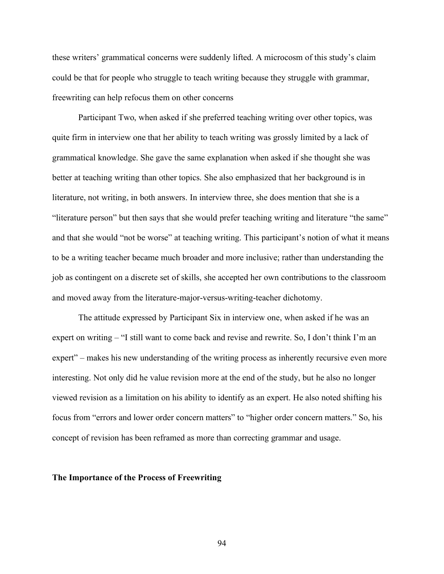these writers' grammatical concerns were suddenly lifted. A microcosm of this study's claim could be that for people who struggle to teach writing because they struggle with grammar, freewriting can help refocus them on other concerns

Participant Two, when asked if she preferred teaching writing over other topics, was quite firm in interview one that her ability to teach writing was grossly limited by a lack of grammatical knowledge. She gave the same explanation when asked if she thought she was better at teaching writing than other topics. She also emphasized that her background is in literature, not writing, in both answers. In interview three, she does mention that she is a "literature person" but then says that she would prefer teaching writing and literature "the same" and that she would "not be worse" at teaching writing. This participant's notion of what it means to be a writing teacher became much broader and more inclusive; rather than understanding the job as contingent on a discrete set of skills, she accepted her own contributions to the classroom and moved away from the literature-major-versus-writing-teacher dichotomy.

The attitude expressed by Participant Six in interview one, when asked if he was an expert on writing – "I still want to come back and revise and rewrite. So, I don't think I'm an expert" – makes his new understanding of the writing process as inherently recursive even more interesting. Not only did he value revision more at the end of the study, but he also no longer viewed revision as a limitation on his ability to identify as an expert. He also noted shifting his focus from "errors and lower order concern matters" to "higher order concern matters." So, his concept of revision has been reframed as more than correcting grammar and usage.

#### **The Importance of the Process of Freewriting**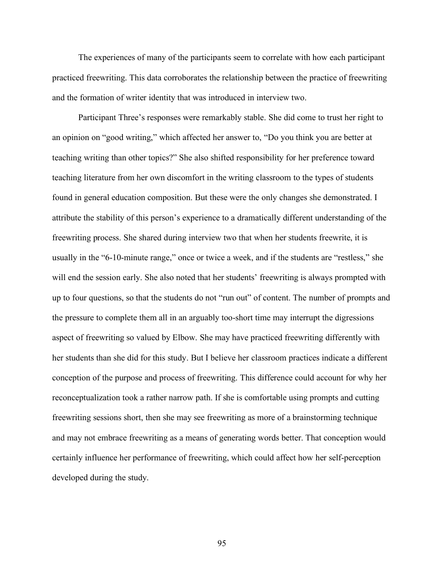The experiences of many of the participants seem to correlate with how each participant practiced freewriting. This data corroborates the relationship between the practice of freewriting and the formation of writer identity that was introduced in interview two.

Participant Three's responses were remarkably stable. She did come to trust her right to an opinion on "good writing," which affected her answer to, "Do you think you are better at teaching writing than other topics?" She also shifted responsibility for her preference toward teaching literature from her own discomfort in the writing classroom to the types of students found in general education composition. But these were the only changes she demonstrated. I attribute the stability of this person's experience to a dramatically different understanding of the freewriting process. She shared during interview two that when her students freewrite, it is usually in the "6-10-minute range," once or twice a week, and if the students are "restless," she will end the session early. She also noted that her students' freewriting is always prompted with up to four questions, so that the students do not "run out" of content. The number of prompts and the pressure to complete them all in an arguably too-short time may interrupt the digressions aspect of freewriting so valued by Elbow. She may have practiced freewriting differently with her students than she did for this study. But I believe her classroom practices indicate a different conception of the purpose and process of freewriting. This difference could account for why her reconceptualization took a rather narrow path. If she is comfortable using prompts and cutting freewriting sessions short, then she may see freewriting as more of a brainstorming technique and may not embrace freewriting as a means of generating words better. That conception would certainly influence her performance of freewriting, which could affect how her self-perception developed during the study.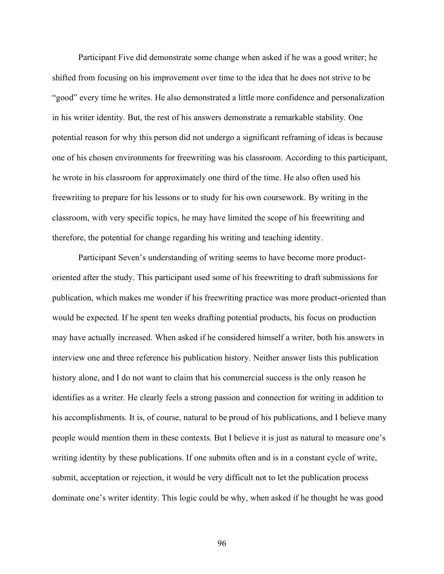Participant Five did demonstrate some change when asked if he was a good writer; he shifted from focusing on his improvement over time to the idea that he does not strive to be "good" every time he writes. He also demonstrated a little more confidence and personalization in his writer identity. But, the rest of his answers demonstrate a remarkable stability. One potential reason for why this person did not undergo a significant reframing of ideas is because one of his chosen environments for freewriting was his classroom. According to this participant, he wrote in his classroom for approximately one third of the time. He also often used his freewriting to prepare for his lessons or to study for his own coursework. By writing in the classroom, with very specific topics, he may have limited the scope of his freewriting and therefore, the potential for change regarding his writing and teaching identity.

Participant Seven's understanding of writing seems to have become more productoriented after the study. This participant used some of his freewriting to draft submissions for publication, which makes me wonder if his freewriting practice was more product-oriented than would be expected. If he spent ten weeks drafting potential products, his focus on production may have actually increased. When asked if he considered himself a writer, both his answers in interview one and three reference his publication history. Neither answer lists this publication history alone, and I do not want to claim that his commercial success is the only reason he identifies as a writer. He clearly feels a strong passion and connection for writing in addition to his accomplishments. It is, of course, natural to be proud of his publications, and I believe many people would mention them in these contexts. But I believe it is just as natural to measure one's writing identity by these publications. If one submits often and is in a constant cycle of write, submit, acceptation or rejection, it would be very difficult not to let the publication process dominate one's writer identity. This logic could be why, when asked if he thought he was good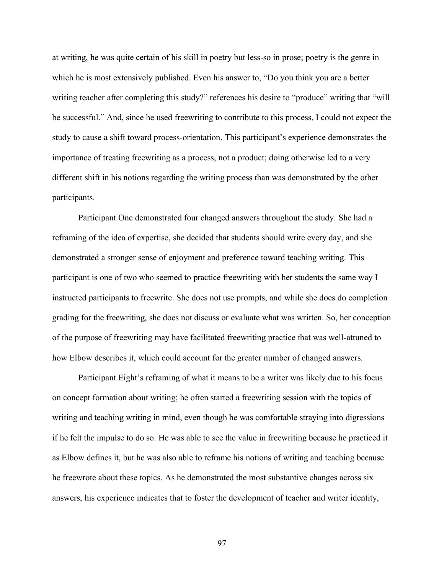at writing, he was quite certain of his skill in poetry but less-so in prose; poetry is the genre in which he is most extensively published. Even his answer to, "Do you think you are a better writing teacher after completing this study?" references his desire to "produce" writing that "will be successful." And, since he used freewriting to contribute to this process, I could not expect the study to cause a shift toward process-orientation. This participant's experience demonstrates the importance of treating freewriting as a process, not a product; doing otherwise led to a very different shift in his notions regarding the writing process than was demonstrated by the other participants.

Participant One demonstrated four changed answers throughout the study. She had a reframing of the idea of expertise, she decided that students should write every day, and she demonstrated a stronger sense of enjoyment and preference toward teaching writing. This participant is one of two who seemed to practice freewriting with her students the same way I instructed participants to freewrite. She does not use prompts, and while she does do completion grading for the freewriting, she does not discuss or evaluate what was written. So, her conception of the purpose of freewriting may have facilitated freewriting practice that was well-attuned to how Elbow describes it, which could account for the greater number of changed answers.

Participant Eight's reframing of what it means to be a writer was likely due to his focus on concept formation about writing; he often started a freewriting session with the topics of writing and teaching writing in mind, even though he was comfortable straying into digressions if he felt the impulse to do so. He was able to see the value in freewriting because he practiced it as Elbow defines it, but he was also able to reframe his notions of writing and teaching because he freewrote about these topics. As he demonstrated the most substantive changes across six answers, his experience indicates that to foster the development of teacher and writer identity,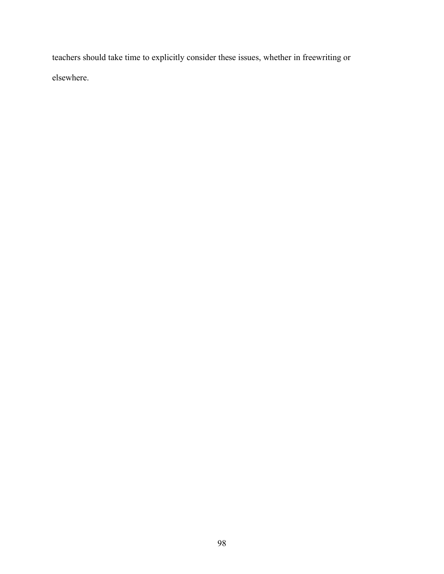teachers should take time to explicitly consider these issues, whether in freewriting or elsewhere.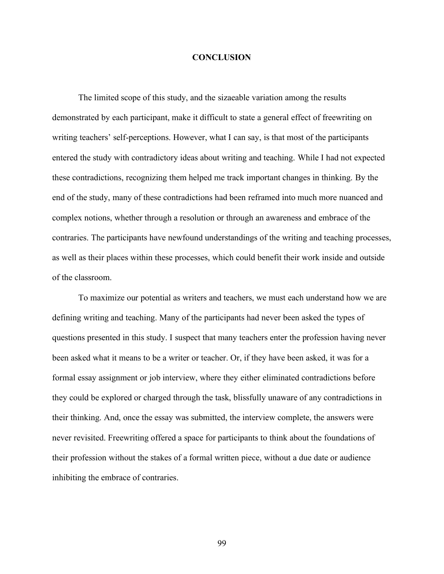### **CONCLUSION**

The limited scope of this study, and the sizaeable variation among the results demonstrated by each participant, make it difficult to state a general effect of freewriting on writing teachers' self-perceptions. However, what I can say, is that most of the participants entered the study with contradictory ideas about writing and teaching. While I had not expected these contradictions, recognizing them helped me track important changes in thinking. By the end of the study, many of these contradictions had been reframed into much more nuanced and complex notions, whether through a resolution or through an awareness and embrace of the contraries. The participants have newfound understandings of the writing and teaching processes, as well as their places within these processes, which could benefit their work inside and outside of the classroom.

To maximize our potential as writers and teachers, we must each understand how we are defining writing and teaching. Many of the participants had never been asked the types of questions presented in this study. I suspect that many teachers enter the profession having never been asked what it means to be a writer or teacher. Or, if they have been asked, it was for a formal essay assignment or job interview, where they either eliminated contradictions before they could be explored or charged through the task, blissfully unaware of any contradictions in their thinking. And, once the essay was submitted, the interview complete, the answers were never revisited. Freewriting offered a space for participants to think about the foundations of their profession without the stakes of a formal written piece, without a due date or audience inhibiting the embrace of contraries.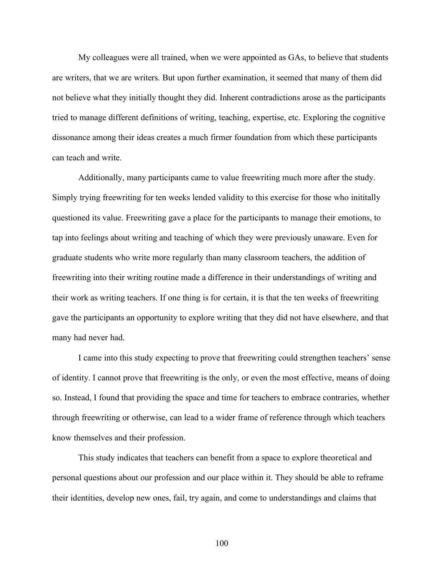My colleagues were all trained, when we were appointed as GAs, to believe that students are writers, that we are writers. But upon further examination, it seemed that many of them did not believe what they initially thought they did. Inherent contradictions arose as the participants tried to manage different definitions of writing, teaching, expertise, etc. Exploring the cognitive dissonance among their ideas creates a much firmer foundation from which these participants can teach and write.

Additionally, many participants came to value freewriting much more after the study. Simply trying freewriting for ten weeks lended validity to this exercise for those who inititally questioned its value. Freewriting gave a place for the participants to manage their emotions, to tap into feelings about writing and teaching of which they were previously unaware. Even for graduate students who write more regularly than many classroom teachers, the addition of freewriting into their writing routine made a difference in their understandings of writing and their work as writing teachers. If one thing is for certain, it is that the ten weeks of freewriting gave the participants an opportunity to explore writing that they did not have elsewhere, and that many had never had.

I came into this study expecting to prove that freewriting could strengthen teachers' sense of identity. I cannot prove that freewriting is the only, or even the most effective, means of doing so. Instead, I found that providing the space and time for teachers to embrace contraries, whether through freewriting or otherwise, can lead to a wider frame of reference through which teachers know themselves and their profession.

This study indicates that teachers can benefit from a space to explore theoretical and personal questions about our profession and our place within it. They should be able to reframe their identities, develop new ones, fail, try again, and come to understandings and claims that

100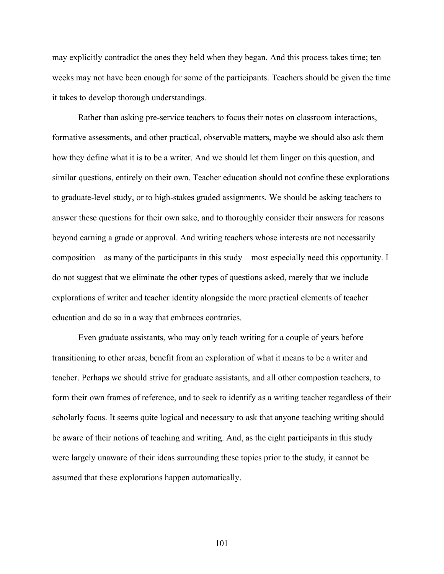may explicitly contradict the ones they held when they began. And this process takes time; ten weeks may not have been enough for some of the participants. Teachers should be given the time it takes to develop thorough understandings.

Rather than asking pre-service teachers to focus their notes on classroom interactions, formative assessments, and other practical, observable matters, maybe we should also ask them how they define what it is to be a writer. And we should let them linger on this question, and similar questions, entirely on their own. Teacher education should not confine these explorations to graduate-level study, or to high-stakes graded assignments. We should be asking teachers to answer these questions for their own sake, and to thoroughly consider their answers for reasons beyond earning a grade or approval. And writing teachers whose interests are not necessarily composition – as many of the participants in this study – most especially need this opportunity. I do not suggest that we eliminate the other types of questions asked, merely that we include explorations of writer and teacher identity alongside the more practical elements of teacher education and do so in a way that embraces contraries.

Even graduate assistants, who may only teach writing for a couple of years before transitioning to other areas, benefit from an exploration of what it means to be a writer and teacher. Perhaps we should strive for graduate assistants, and all other compostion teachers, to form their own frames of reference, and to seek to identify as a writing teacher regardless of their scholarly focus. It seems quite logical and necessary to ask that anyone teaching writing should be aware of their notions of teaching and writing. And, as the eight participants in this study were largely unaware of their ideas surrounding these topics prior to the study, it cannot be assumed that these explorations happen automatically.

101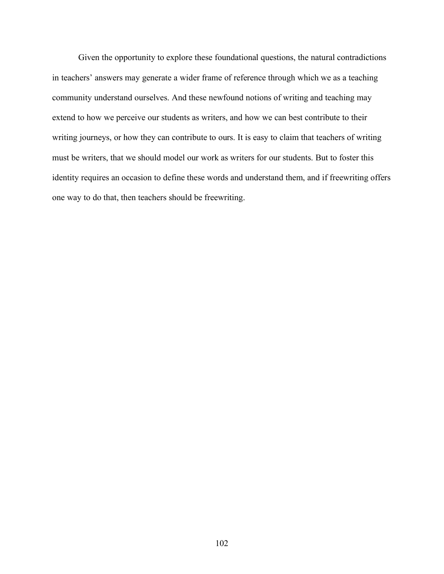Given the opportunity to explore these foundational questions, the natural contradictions in teachers' answers may generate a wider frame of reference through which we as a teaching community understand ourselves. And these newfound notions of writing and teaching may extend to how we perceive our students as writers, and how we can best contribute to their writing journeys, or how they can contribute to ours. It is easy to claim that teachers of writing must be writers, that we should model our work as writers for our students. But to foster this identity requires an occasion to define these words and understand them, and if freewriting offers one way to do that, then teachers should be freewriting.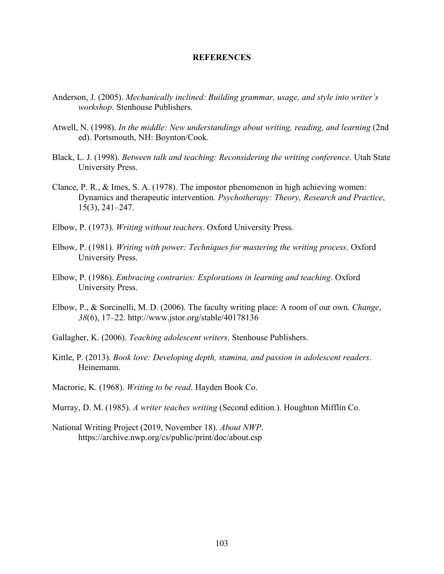## **REFERENCES**

- Anderson, J. (2005). *Mechanically inclined: Building grammar, usage, and style into writer's workshop.* Stenhouse Publishers.
- Atwell, N. (1998). *In the middle: New understandings about writing, reading, and learning* (2nd ed). Portsmouth, NH: Boynton/Cook.
- Black, L. J. (1998). *Between talk and teaching: Reconsidering the writing conference*. Utah State University Press.
- Clance, P. R., & Imes, S. A. (1978). The impostor phenomenon in high achieving women: Dynamics and therapeutic intervention. *Psychotherapy: Theory, Research and Practice*, 15(3), 241–247.
- Elbow, P. (1973). *Writing without teachers*. Oxford University Press.
- Elbow, P. (1981). *Writing with power: Techniques for mastering the writing process*. Oxford University Press.
- Elbow, P. (1986). *Embracing contraries: Explorations in learning and teaching*. Oxford University Press.
- Elbow, P., & Sorcinelli, M. D. (2006). The faculty writing place: A room of our own. *Change*, *38*(6), 17–22. http://www.jstor.org/stable/40178136
- Gallagher, K. (2006). *Teaching adolescent writers*. Stenhouse Publishers.
- Kittle, P. (2013). *Book love: Developing depth, stamina, and passion in adolescent readers*. Heinemann.

Macrorie, K. (1968). *Writing to be read*. Hayden Book Co.

Murray, D. M. (1985). *A writer teaches writing* (Second edition.). Houghton Mifflin Co.

National Writing Project (2019, November 18). *About NWP*. https://archive.nwp.org/cs/public/print/doc/about.csp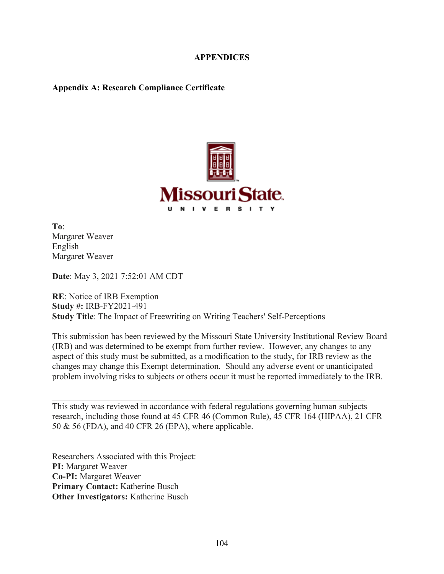## **APPENDICES**

## **Appendix A: Research Compliance Certificate**



**To**: Margaret Weaver English Margaret Weaver

**Date**: May 3, 2021 7:52:01 AM CDT

**RE**: Notice of IRB Exemption **Study #:** IRB-FY2021-491 **Study Title**: The Impact of Freewriting on Writing Teachers' Self-Perceptions

This submission has been reviewed by the Missouri State University Institutional Review Board (IRB) and was determined to be exempt from further review. However, any changes to any aspect of this study must be submitted, as a modification to the study, for IRB review as the changes may change this Exempt determination. Should any adverse event or unanticipated problem involving risks to subjects or others occur it must be reported immediately to the IRB.

This study was reviewed in accordance with federal regulations governing human subjects research, including those found at 45 CFR 46 (Common Rule), 45 CFR 164 (HIPAA), 21 CFR 50 & 56 (FDA), and 40 CFR 26 (EPA), where applicable.

Researchers Associated with this Project: **PI:** Margaret Weaver **Co-PI:** Margaret Weaver **Primary Contact:** Katherine Busch **Other Investigators:** Katherine Busch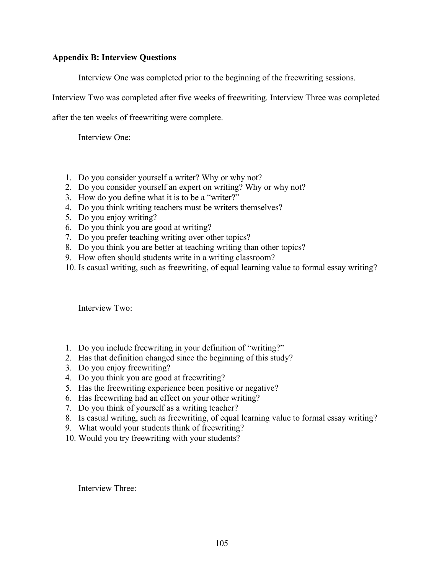## **Appendix B: Interview Questions**

Interview One was completed prior to the beginning of the freewriting sessions.

Interview Two was completed after five weeks of freewriting. Interview Three was completed

after the ten weeks of freewriting were complete.

Interview One:

- 1. Do you consider yourself a writer? Why or why not?
- 2. Do you consider yourself an expert on writing? Why or why not?
- 3. How do you define what it is to be a "writer?"
- 4. Do you think writing teachers must be writers themselves?
- 5. Do you enjoy writing?
- 6. Do you think you are good at writing?
- 7. Do you prefer teaching writing over other topics?
- 8. Do you think you are better at teaching writing than other topics?
- 9. How often should students write in a writing classroom?
- 10. Is casual writing, such as freewriting, of equal learning value to formal essay writing?

Interview Two:

- 1. Do you include freewriting in your definition of "writing?"
- 2. Has that definition changed since the beginning of this study?
- 3. Do you enjoy freewriting?
- 4. Do you think you are good at freewriting?
- 5. Has the freewriting experience been positive or negative?
- 6. Has freewriting had an effect on your other writing?
- 7. Do you think of yourself as a writing teacher?
- 8. Is casual writing, such as freewriting, of equal learning value to formal essay writing?
- 9. What would your students think of freewriting?
- 10. Would you try freewriting with your students?

Interview Three: